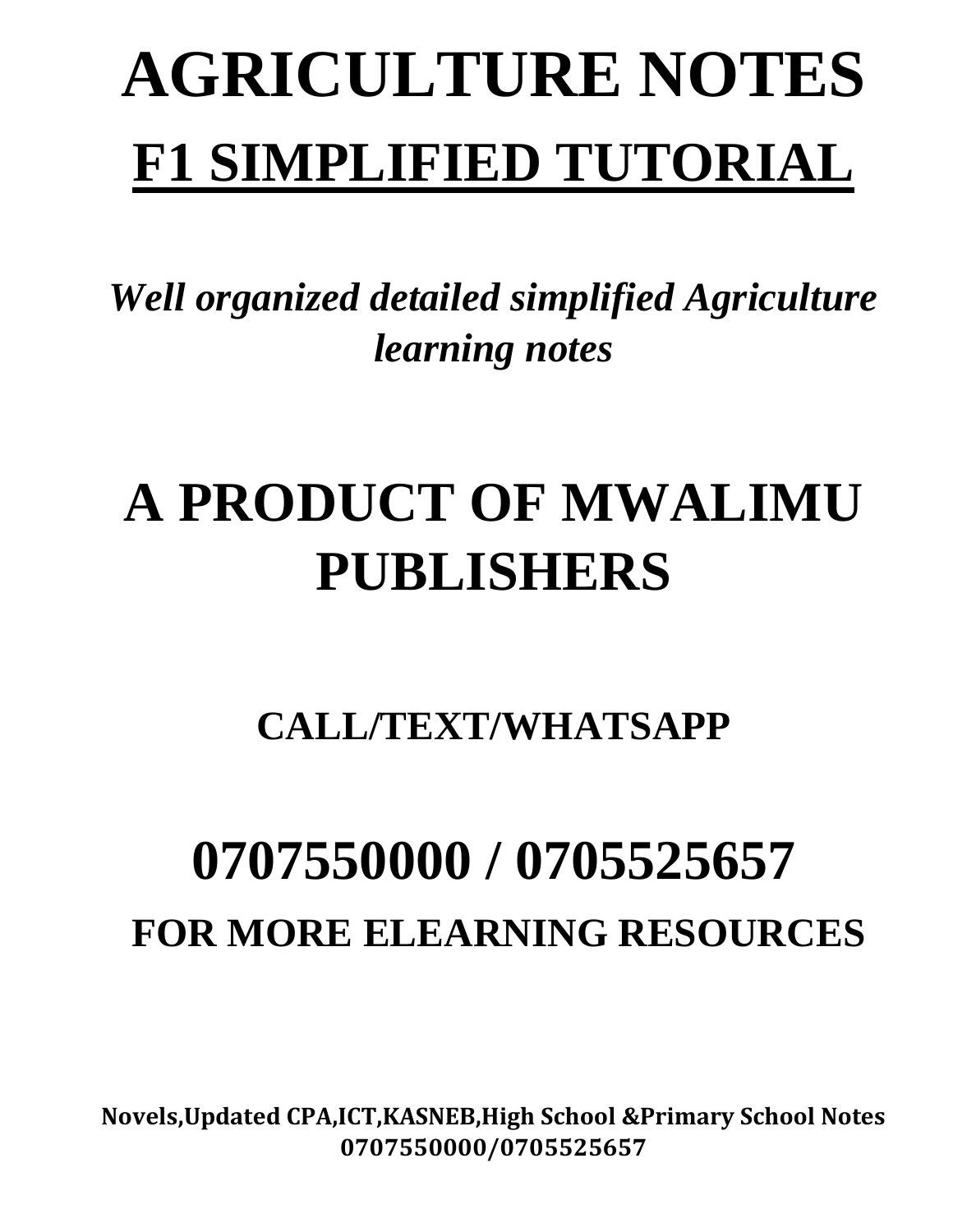# **AGRICULTURE NOTES F1 SIMPLIFIED TUTORIAL**

*Well organized detailed simplified Agriculture learning notes*

# **A PRODUCT OF MWALIMU PUBLISHERS**

**CALL/TEXT/WHATSAPP** 

# **0707550000 / 0705525657 FOR MORE ELEARNING RESOURCES**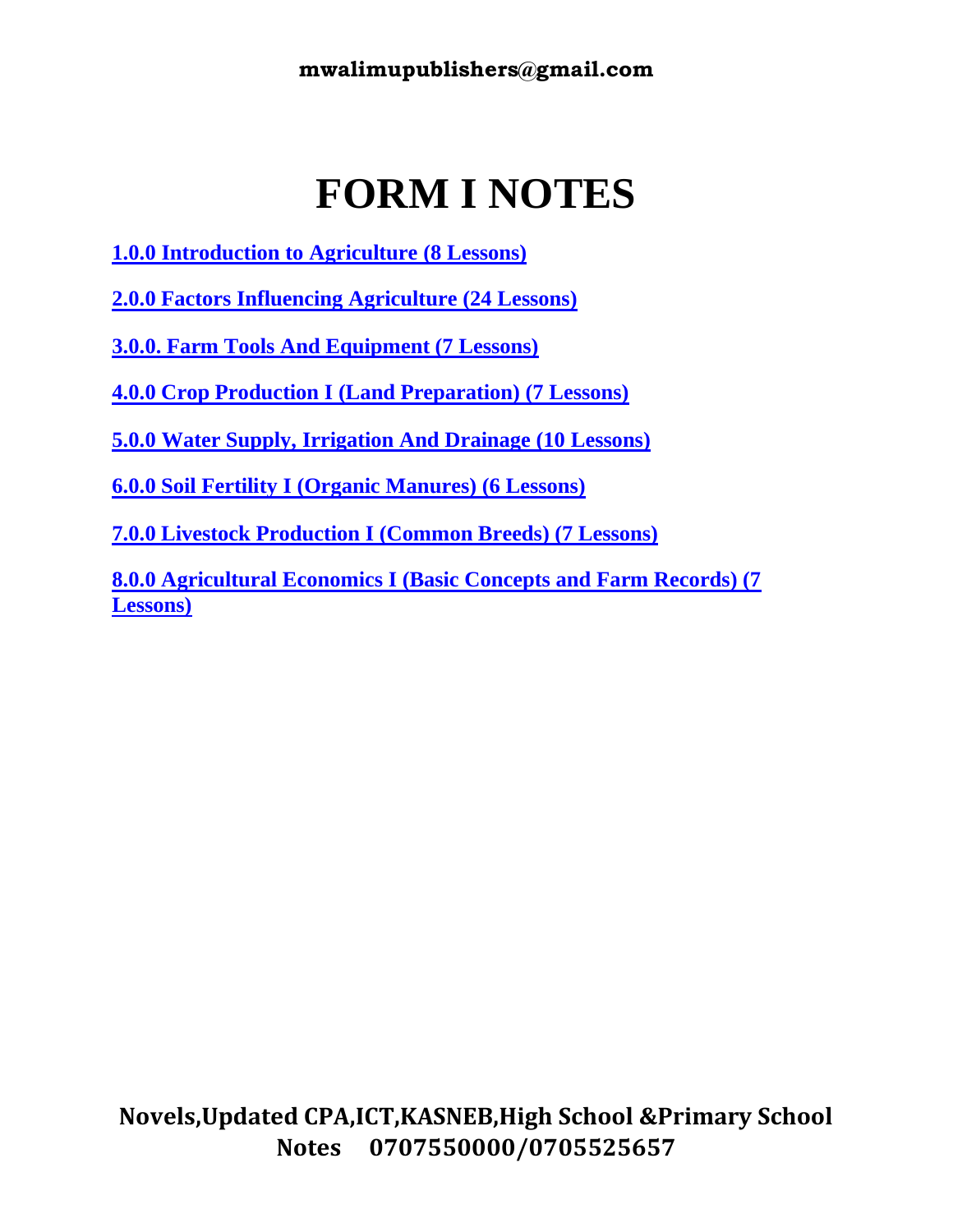## **FORM I NOTES**

- **1.0.0 Introduction to Agriculture (8 Lessons)**
- **2.0.0 Factors Influencing Agriculture (24 Lessons)**
- **3.0.0. Farm Tools And Equipment (7 Lessons)**
- **4.0.0 Crop Production I (Land Preparation) (7 Lessons)**
- **5.0.0 Water Supply, Irrigation And Drainage (10 Lessons)**
- **6.0.0 Soil Fertility I (Organic Manures) (6 Lessons)**
- **7.0.0 Livestock Production I (Common Breeds) (7 Lessons)**

**8.0.0 Agricultural Economics I (Basic Concepts and Farm Records) (7 Lessons)**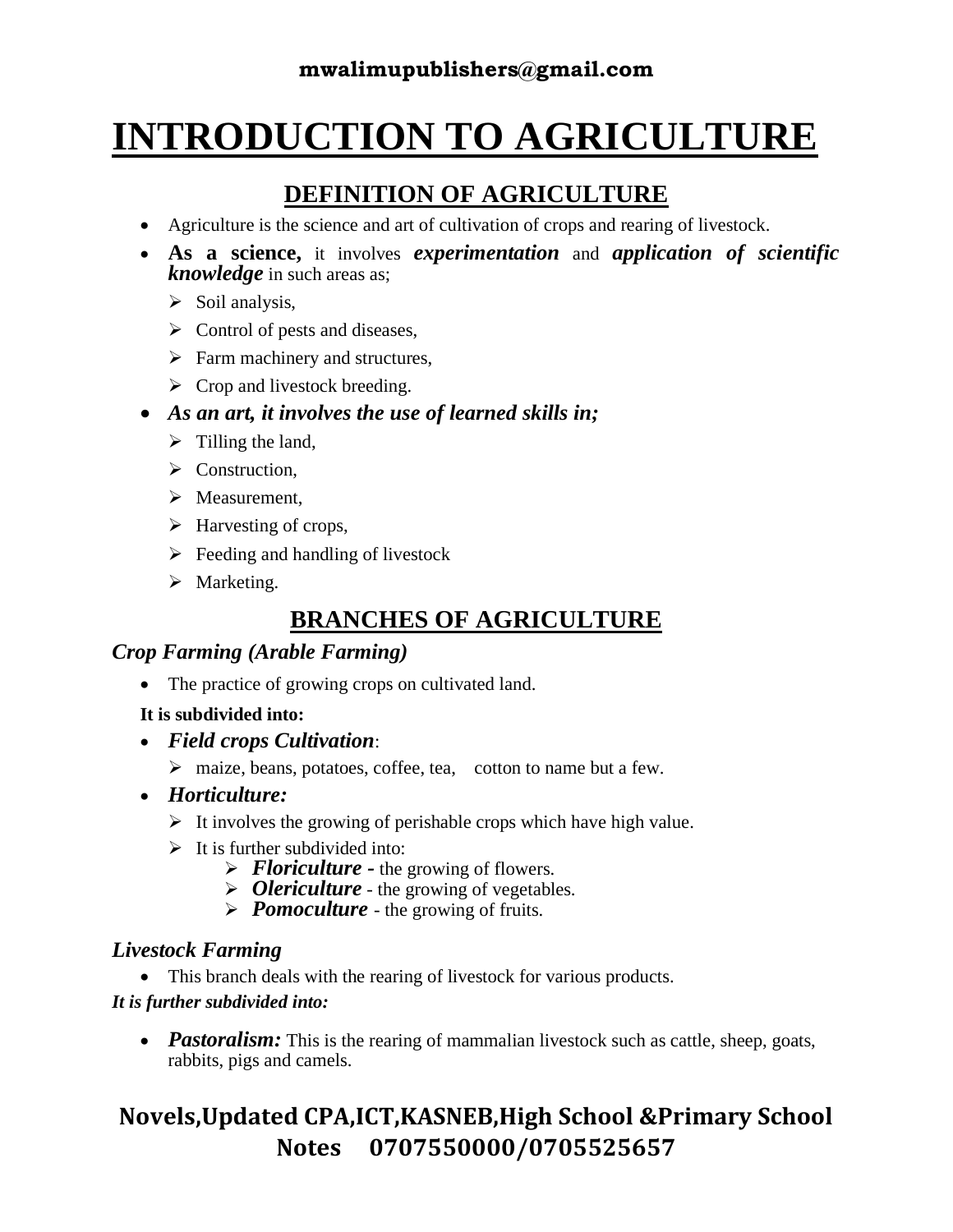## **INTRODUCTION TO AGRICULTURE**

## **DEFINITION OF AGRICULTURE**

- Agriculture is the science and art of cultivation of crops and rearing of livestock.
- **As a science,** it involves *experimentation* and *application of scientific knowledge* in such areas as;
	- $\triangleright$  Soil analysis,
	- $\triangleright$  Control of pests and diseases,
	- $\triangleright$  Farm machinery and structures,
	- $\triangleright$  Crop and livestock breeding.
- *As an art, it involves the use of learned skills in;*
	- $\triangleright$  Tilling the land,
	- ➢ Construction,
	- ➢ Measurement,
	- $\triangleright$  Harvesting of crops,
	- $\triangleright$  Feeding and handling of livestock
	- ➢ Marketing.

## **BRANCHES OF AGRICULTURE**

#### *Crop Farming (Arable Farming)*

• The practice of growing crops on cultivated land.

#### **It is subdivided into:**

- *Field crops Cultivation*:
	- ➢ maize, beans, potatoes, coffee, tea, cotton to name but a few.
- *Horticulture:*
	- $\triangleright$  It involves the growing of perishable crops which have high value.
	- $\triangleright$  It is further subdivided into:
		- ➢ *Floriculture -* the growing of flowers.
		- ➢ *Olericulture* the growing of vegetables.
		- ➢ *Pomoculture*  the growing of fruits.

#### *Livestock Farming*

• This branch deals with the rearing of livestock for various products.

#### *It is further subdivided into:*

• *Pastoralism:* This is the rearing of mammalian livestock such as cattle, sheep, goats, rabbits, pigs and camels.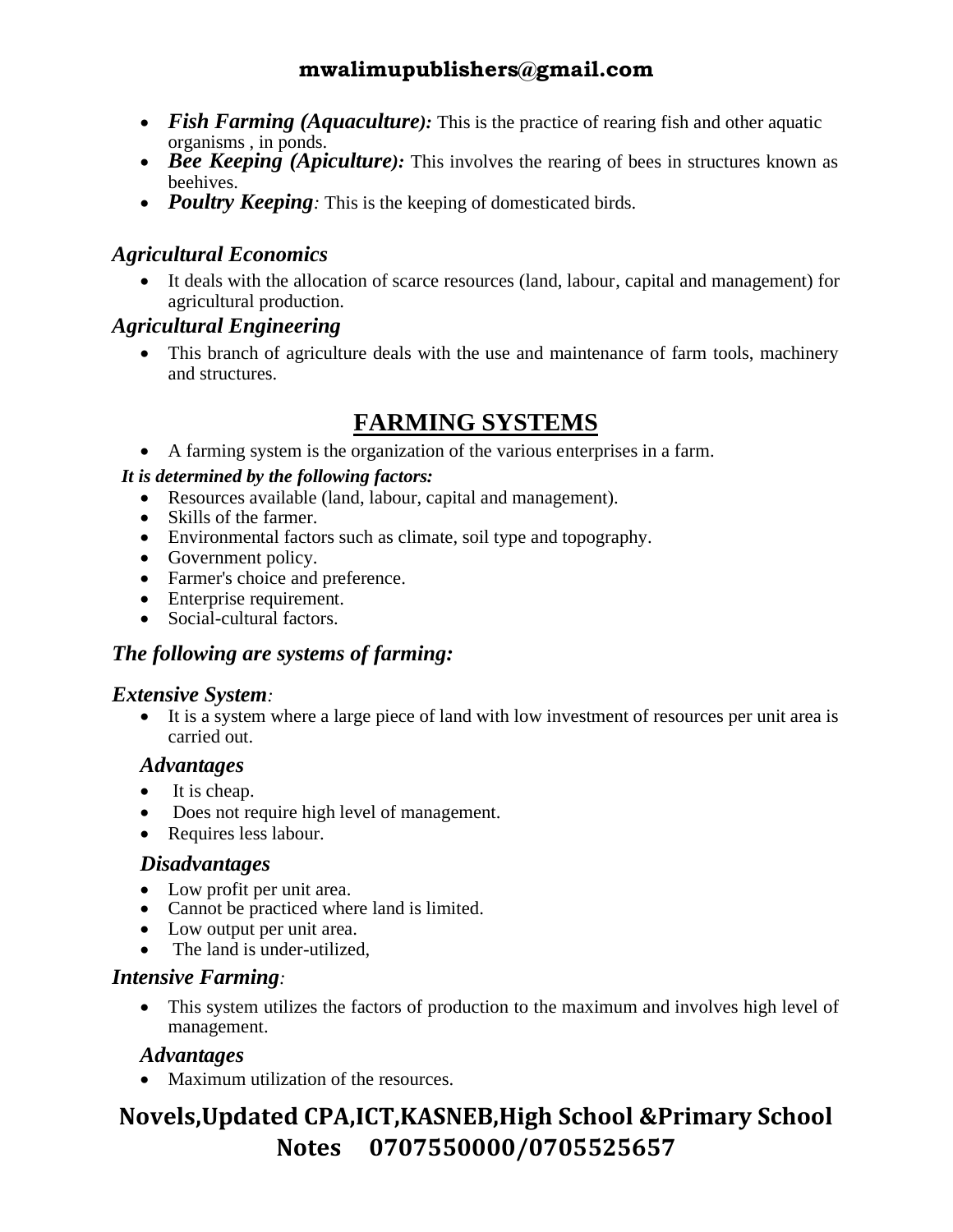- *Fish Farming (Aquaculture)*: This is the practice of rearing fish and other aquatic organisms , in ponds.
- *Bee Keeping (Apiculture)*: This involves the rearing of bees in structures known as beehives.
- *Poultry Keeping*: This is the keeping of domesticated birds.

#### *Agricultural Economics*

• It deals with the allocation of scarce resources (land, labour, capital and management) for agricultural production.

#### *Agricultural Engineering*

• This branch of agriculture deals with the use and maintenance of farm tools, machinery and structures.

#### **FARMING SYSTEMS**

• A farming system is the organization of the various enterprises in a farm.

#### *It is determined by the following factors:*

- Resources available (land, labour, capital and management).
- Skills of the farmer.
- Environmental factors such as climate, soil type and topography.
- Government policy.
- Farmer's choice and preference.
- Enterprise requirement.
- Social-cultural factors.

#### *The following are systems of farming:*

#### *Extensive System:*

• It is a system where a large piece of land with low investment of resources per unit area is carried out.

#### *Advantages*

- It is cheap.
- Does not require high level of management.
- Requires less labour.

#### *Disadvantages*

- Low profit per unit area.
- Cannot be practiced where land is limited.
- Low output per unit area.
- The land is under-utilized.

#### *Intensive Farming:*

• This system utilizes the factors of production to the maximum and involves high level of management.

#### *Advantages*

• Maximum utilization of the resources.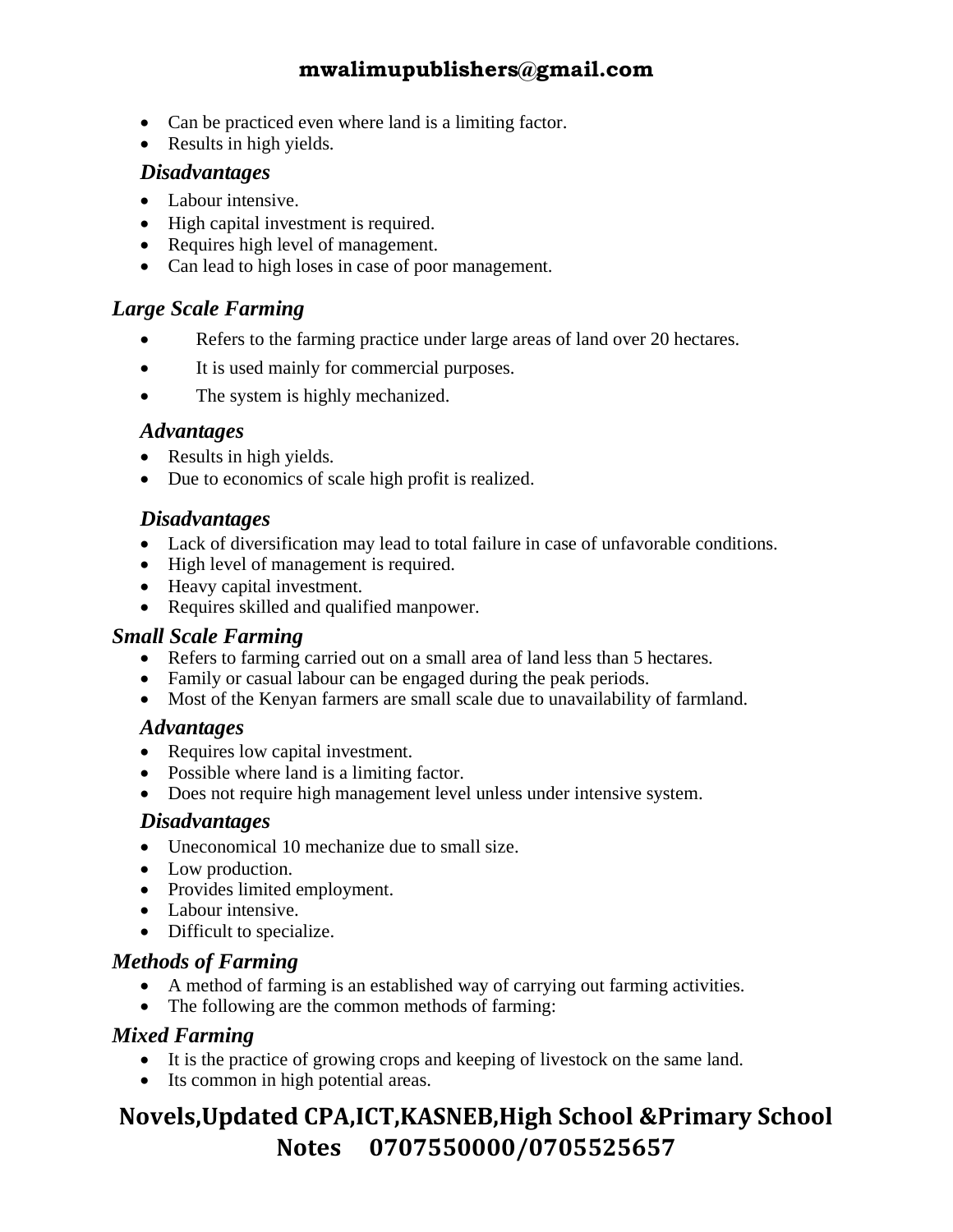- Can be practiced even where land is a limiting factor.
- Results in high yields.

#### *Disadvantages*

- Labour intensive.
- High capital investment is required.
- Requires high level of management.
- Can lead to high loses in case of poor management.

#### *Large Scale Farming*

- Refers to the farming practice under large areas of land over 20 hectares.
- It is used mainly for commercial purposes.
- The system is highly mechanized.

#### *Advantages*

- Results in high yields.
- Due to economics of scale high profit is realized.

#### *Disadvantages*

- Lack of diversification may lead to total failure in case of unfavorable conditions.
- High level of management is required.
- Heavy capital investment.
- Requires skilled and qualified manpower.

#### *Small Scale Farming*

- Refers to farming carried out on a small area of land less than 5 hectares.
- Family or casual labour can be engaged during the peak periods.
- Most of the Kenyan farmers are small scale due to unavailability of farmland.

#### *Advantages*

- Requires low capital investment.
- Possible where land is a limiting factor.
- Does not require high management level unless under intensive system.

#### *Disadvantages*

- Uneconomical 10 mechanize due to small size.
- Low production.
- Provides limited employment.
- Labour intensive.
- Difficult to specialize.

#### *Methods of Farming*

- A method of farming is an established way of carrying out farming activities.
- The following are the common methods of farming:

#### *Mixed Farming*

- It is the practice of growing crops and keeping of livestock on the same land.
- Its common in high potential areas.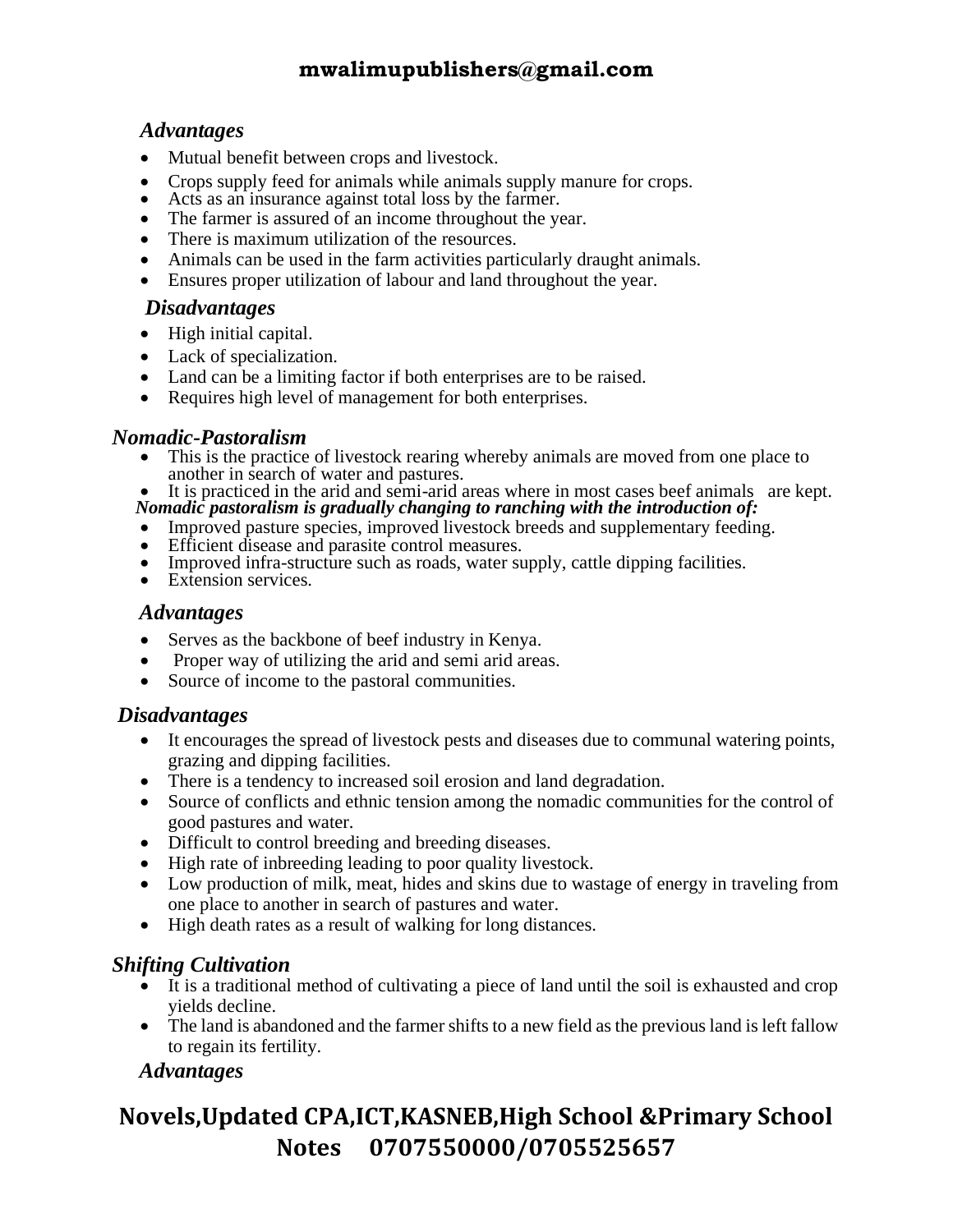#### *Advantages*

- Mutual benefit between crops and livestock.
- Crops supply feed for animals while animals supply manure for crops.
- Acts as an insurance against total loss by the farmer.
- The farmer is assured of an income throughout the year.
- There is maximum utilization of the resources.
- Animals can be used in the farm activities particularly draught animals.
- Ensures proper utilization of labour and land throughout the year.

#### *Disadvantages*

- High initial capital.
- Lack of specialization.
- Land can be a limiting factor if both enterprises are to be raised.
- Requires high level of management for both enterprises.

#### *Nomadic-Pastoralism*

- This is the practice of livestock rearing whereby animals are moved from one place to another in search of water and pastures.
- It is practiced in the arid and semi-arid areas where in most cases beef animals are kept.
- *Nomadic pastoralism is gradually changing to ranching with the introduction of:*
- Improved pasture species, improved livestock breeds and supplementary feeding.
- Efficient disease and parasite control measures.
- Improved infra-structure such as roads, water supply, cattle dipping facilities.
- Extension services.

#### *Advantages*

- Serves as the backbone of beef industry in Kenya.
- Proper way of utilizing the arid and semi arid areas.
- Source of income to the pastoral communities.

#### *Disadvantages*

- It encourages the spread of livestock pests and diseases due to communal watering points, grazing and dipping facilities.
- There is a tendency to increased soil erosion and land degradation.
- Source of conflicts and ethnic tension among the nomadic communities for the control of good pastures and water.
- Difficult to control breeding and breeding diseases.
- High rate of inbreeding leading to poor quality livestock.
- Low production of milk, meat, hides and skins due to wastage of energy in traveling from one place to another in search of pastures and water.
- High death rates as a result of walking for long distances.

#### *Shifting Cultivation*

- It is a traditional method of cultivating a piece of land until the soil is exhausted and crop yields decline.
- The land is abandoned and the farmer shifts to a new field as the previous land is left fallow to regain its fertility.

#### *Advantages*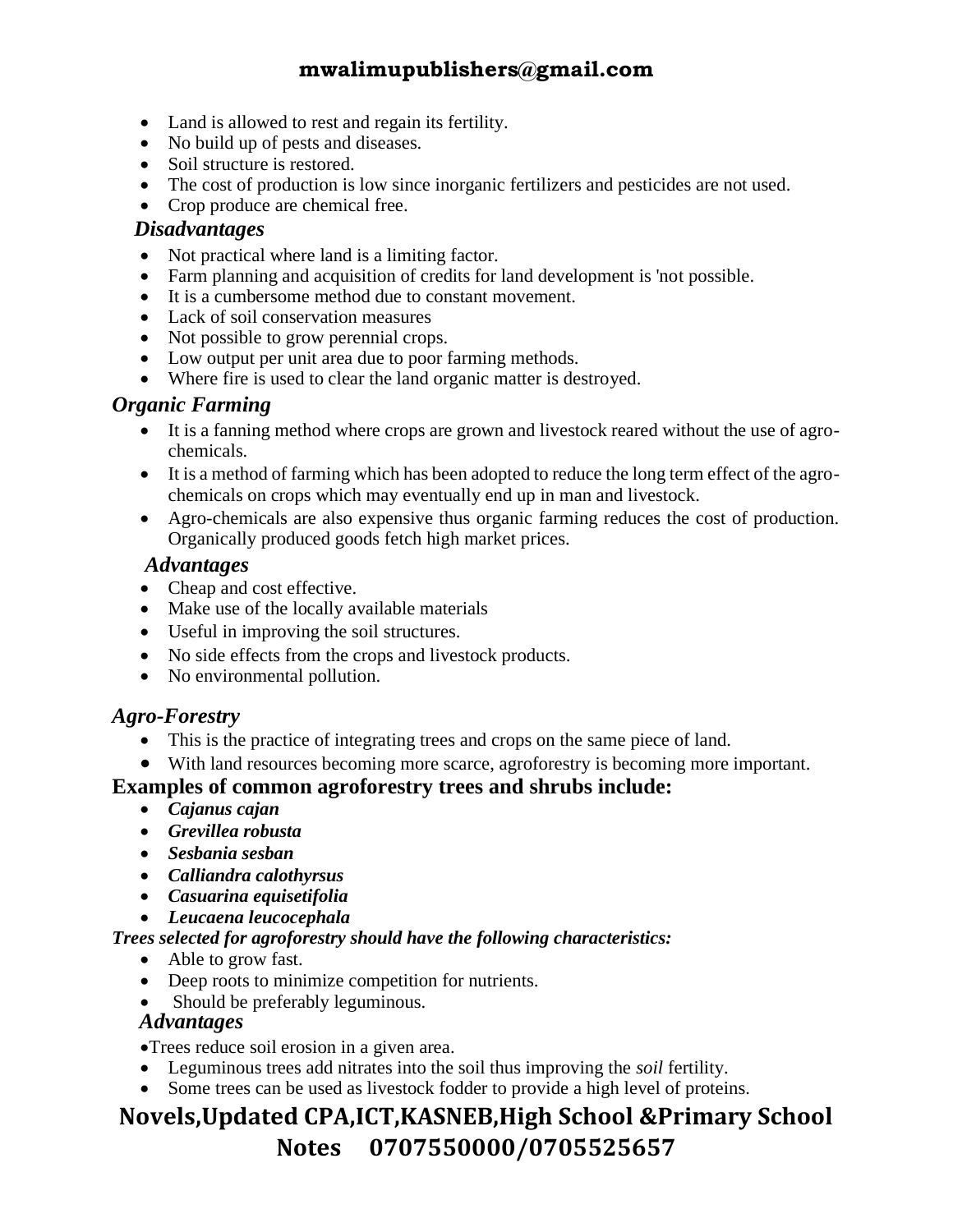- Land is allowed to rest and regain its fertility.
- No build up of pests and diseases.
- Soil structure is restored.
- The cost of production is low since inorganic fertilizers and pesticides are not used.
- Crop produce are chemical free.

#### *Disadvantages*

- Not practical where land is a limiting factor.
- Farm planning and acquisition of credits for land development is 'not possible.
- It is a cumbersome method due to constant movement.
- Lack of soil conservation measures
- Not possible to grow perennial crops.
- Low output per unit area due to poor farming methods.
- Where fire is used to clear the land organic matter is destroyed.

#### *Organic Farming*

- It is a fanning method where crops are grown and livestock reared without the use of agrochemicals.
- It is a method of farming which has been adopted to reduce the long term effect of the agrochemicals on crops which may eventually end up in man and livestock.
- Agro-chemicals are also expensive thus organic farming reduces the cost of production. Organically produced goods fetch high market prices.

#### *Advantages*

- Cheap and cost effective.
- Make use of the locally available materials
- Useful in improving the soil structures.
- No side effects from the crops and livestock products.
- No environmental pollution.

#### *Agro-Forestry*

- This is the practice of integrating trees and crops on the same piece of land.
- With land resources becoming more scarce, agroforestry is becoming more important.

#### **Examples of common agroforestry trees and shrubs include:**

- *Cajanus cajan*
- *Grevillea robusta*
- *Sesbania sesban*
- *Calliandra calothyrsus*
- *Casuarina equisetifolia*
- *Leucaena leucocephala*

#### *Trees selected for agroforestry should have the following characteristics:*

- Able to grow fast.
- Deep roots to minimize competition for nutrients.
- Should be preferably leguminous.

#### *Advantages*

•Trees reduce soil erosion in a given area.

- Leguminous trees add nitrates into the soil thus improving the *soil* fertility.
- Some trees can be used as livestock fodder to provide a high level of proteins.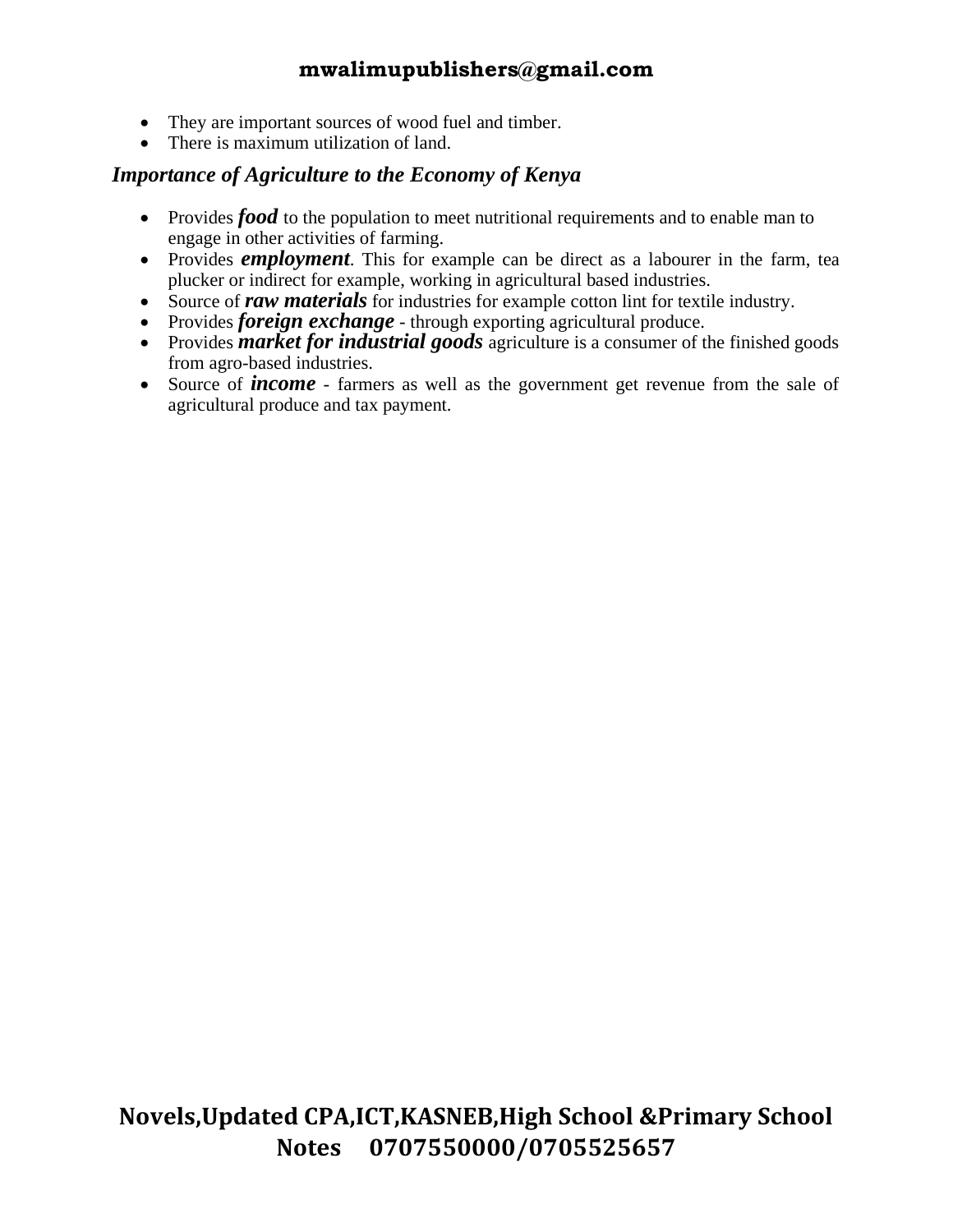- They are important sources of wood fuel and timber.
- There is maximum utilization of land.

#### *Importance of Agriculture to the Economy of Kenya*

- Provides *food* to the population to meet nutritional requirements and to enable man to engage in other activities of farming.
- Provides *employment*. This for example can be direct as a labourer in the farm, tea plucker or indirect for example, working in agricultural based industries.
- Source of *raw materials* for industries for example cotton lint for textile industry.
- Provides *foreign exchange* through exporting agricultural produce.
- Provides *market for industrial goods* agriculture is a consumer of the finished goods from agro-based industries.
- Source of *income* farmers as well as the government get revenue from the sale of agricultural produce and tax payment.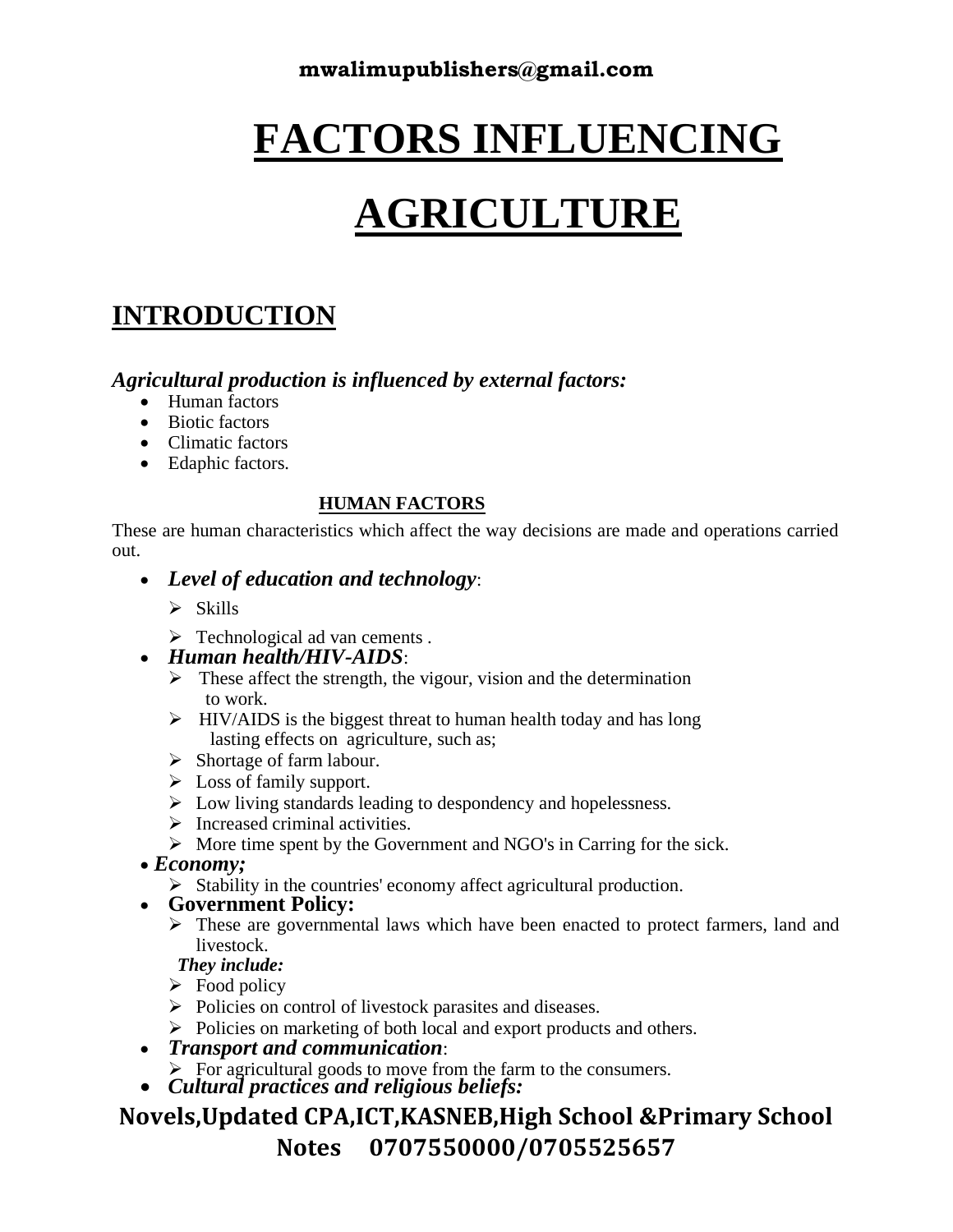# **FACTORS INFLUENCING**

# **AGRICULTURE**

## **INTRODUCTION**

#### *Agricultural production is influenced by external factors:*

- Human factors
- Biotic factors
- Climatic factors
- Edaphic factors.

#### **HUMAN FACTORS**

These are human characteristics which affect the way decisions are made and operations carried out.

- *Level of education and technology*:
	- ➢ Skills
	- ➢ Technological ad van cements .

#### • *Human health/HIV-AIDS*:

- $\triangleright$  These affect the strength, the vigour, vision and the determination to work.
- $\triangleright$  HIV/AIDS is the biggest threat to human health today and has long lasting effects on agriculture, such as;
- ➢ Shortage of farm labour.
- $\triangleright$  Loss of family support.
- ➢ Low living standards leading to despondency and hopelessness.
- $\triangleright$  Increased criminal activities.
- ➢ More time spent by the Government and NGO's in Carring for the sick.

#### • *Economy;*

➢ Stability in the countries' economy affect agricultural production.

#### • **Government Policy:**

➢ These are governmental laws which have been enacted to protect farmers, land and livestock.

#### *They include:*

- $\triangleright$  Food policy
- ➢ Policies on control of livestock parasites and diseases.
- ➢ Policies on marketing of both local and export products and others.
- *Transport and communication*:
	- $\triangleright$  For agricultural goods to move from the farm to the consumers.
- *Cultural practices and religious beliefs:*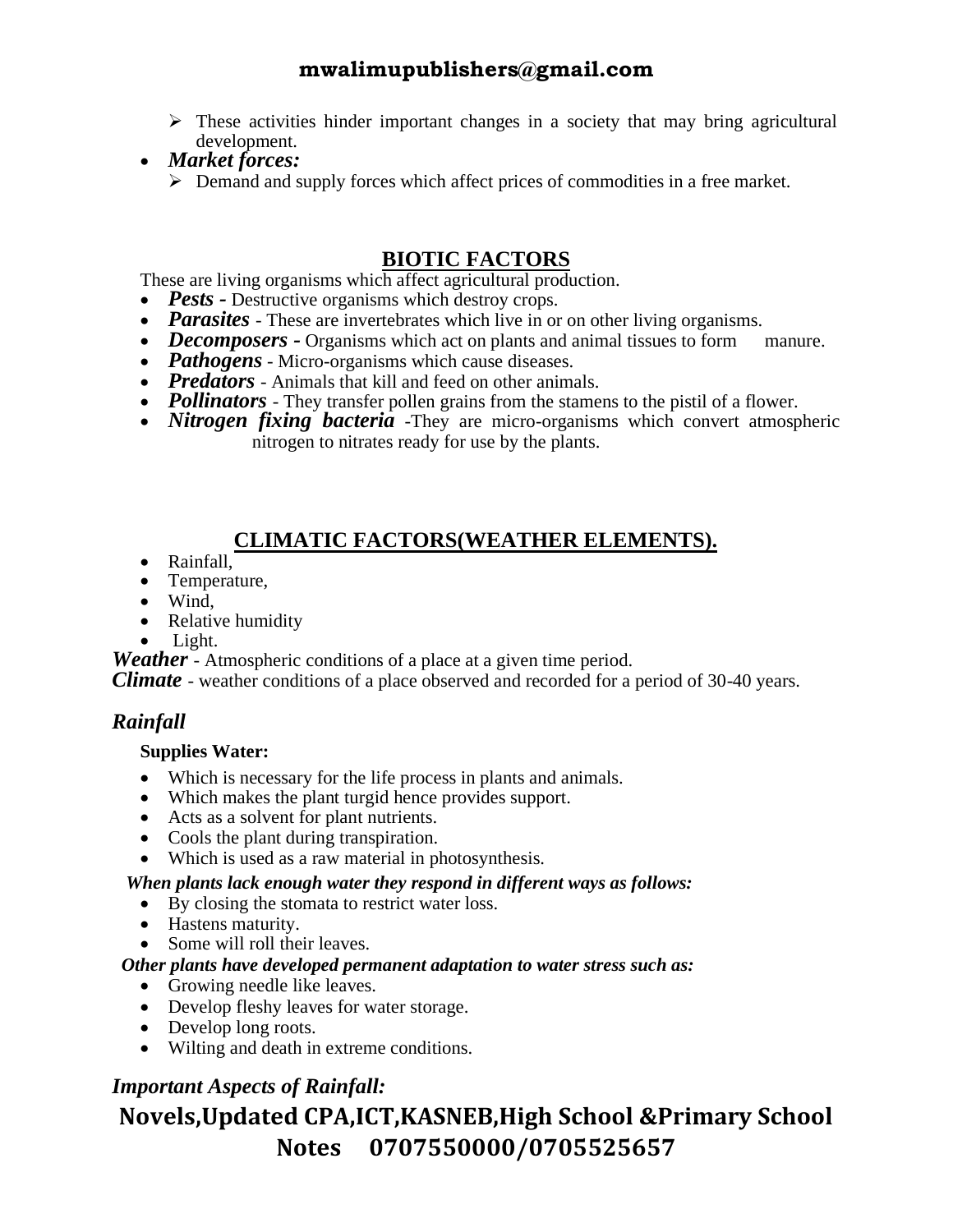- $\triangleright$  These activities hinder important changes in a society that may bring agricultural development.
- *Market forces:*
	- ➢ Demand and supply forces which affect prices of commodities in a free market.

#### **BIOTIC FACTORS**

These are living organisms which affect agricultural production.

- *Pests* Destructive organisms which destroy crops.
- *Parasites* These are invertebrates which live in or on other living organisms.
- *Decomposers* Organisms which act on plants and animal tissues to form manure.
- *Pathogens* Micro-organisms which cause diseases.
- *Predators* Animals that kill and feed on other animals.
- *Pollinators* They transfer pollen grains from the stamens to the pistil of a flower.
- *Nitrogen fixing bacteria* -They are micro-organisms which convert atmospheric nitrogen to nitrates ready for use by the plants.

#### **CLIMATIC FACTORS(WEATHER ELEMENTS).**

- Rainfall,
- Temperature,
- Wind,
- Relative humidity
- Light.

*Weather* - Atmospheric conditions of a place at a given time period.

*Climate* - weather conditions of a place observed and recorded for a period of 30-40 years.

#### *Rainfall*

#### **Supplies Water:**

- Which is necessary for the life process in plants and animals.
- Which makes the plant turgid hence provides support.
- Acts as a solvent for plant nutrients.
- Cools the plant during transpiration.
- Which is used as a raw material in photosynthesis.

#### *When plants lack enough water they respond in different ways as follows:*

- By closing the stomata to restrict water loss.
- Hastens maturity.
- Some will roll their leaves.

#### *Other plants have developed permanent adaptation to water stress such as:*

- Growing needle like leaves.
- Develop fleshy leaves for water storage.
- Develop long roots.
- Wilting and death in extreme conditions.

#### *Important Aspects of Rainfall:*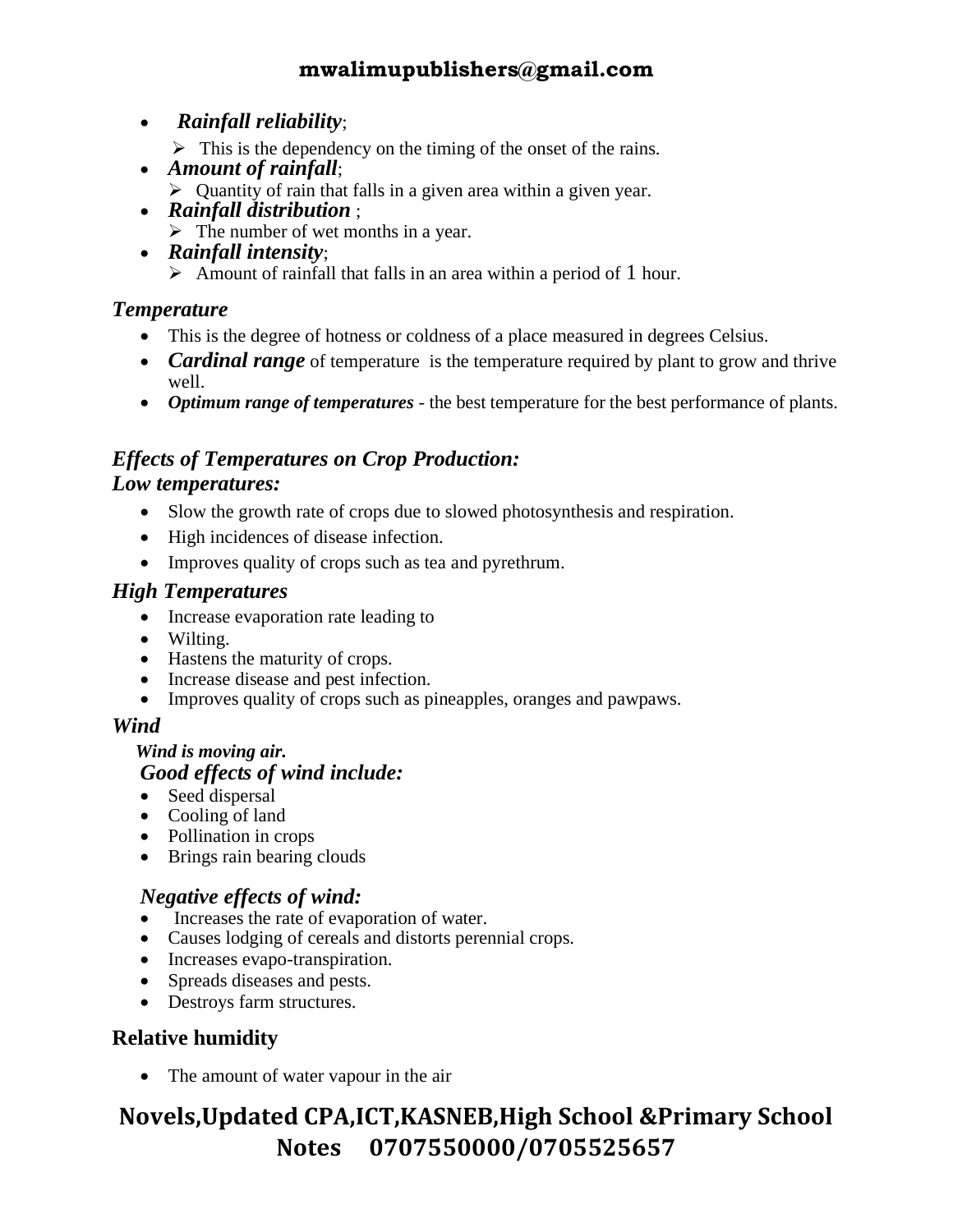- •*Rainfall reliability*;
	- $\triangleright$  This is the dependency on the timing of the onset of the rains.
- *Amount of rainfall*;
	- $\triangleright$  Quantity of rain that falls in a given area within a given year.
- *Rainfall distribution* ;
- $\triangleright$  The number of wet months in a year. • *Rainfall intensity*;
	- $\triangleright$  Amount of rainfall that falls in an area within a period of 1 hour.

#### *Temperature*

- This is the degree of hotness or coldness of a place measured in degrees Celsius.
- *Cardinal range* of temperature is the temperature required by plant to grow and thrive well.
- *Optimum range of temperatures* the best temperature for the best performance of plants.

## *Effects of Temperatures on Crop Production:*

#### *Low temperatures:*

- Slow the growth rate of crops due to slowed photosynthesis and respiration.
- High incidences of disease infection.
- Improves quality of crops such as tea and pyrethrum.

#### *High Temperatures*

- Increase evaporation rate leading to
- Wilting.
- Hastens the maturity of crops.
- Increase disease and pest infection.
- Improves quality of crops such as pineapples, oranges and pawpaws.

#### *Wind*

#### *Wind is moving air. Good effects of wind include:*

- Seed dispersal
- Cooling of land
- Pollination in crops
- Brings rain bearing clouds

#### *Negative effects of wind:*

- Increases the rate of evaporation of water.
- Causes lodging of cereals and distorts perennial crops.
- Increases evapo-transpiration.
- Spreads diseases and pests.
- Destroys farm structures.

#### **Relative humidity**

• The amount of water vapour in the air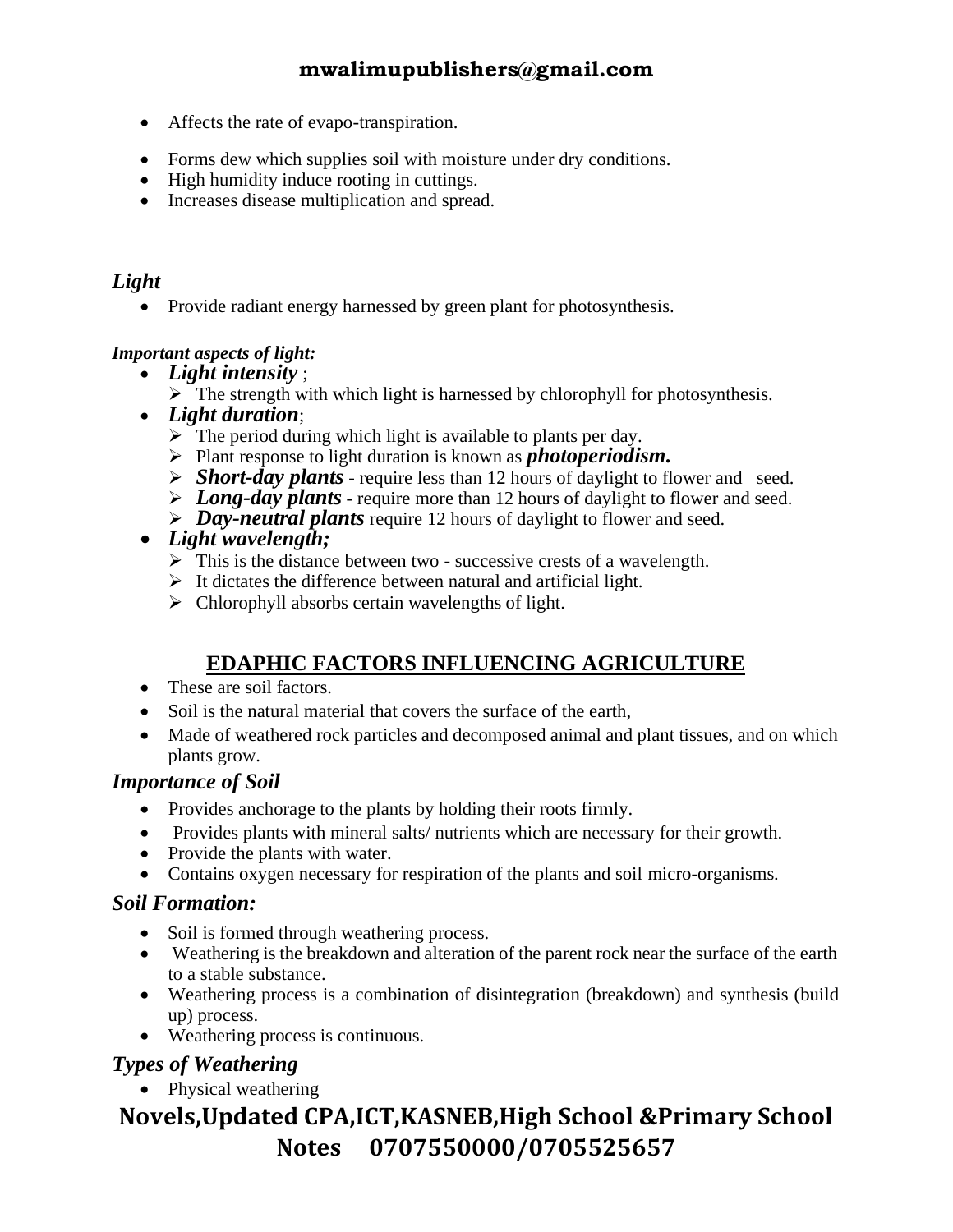- Affects the rate of evapo-transpiration.
- Forms dew which supplies soil with moisture under dry conditions.
- High humidity induce rooting in cuttings.
- Increases disease multiplication and spread.

#### *Light*

• Provide radiant energy harnessed by green plant for photosynthesis.

#### *Important aspects of light:*

- *Light intensity* ;
	- $\triangleright$  The strength with which light is harnessed by chlorophyll for photosynthesis.
- *Light duration*;
	- $\triangleright$  The period during which light is available to plants per day.
	- ➢ Plant response to light duration is known as *photoperiodism.*
	- ➢ *Short-day plants* **-** require less than 12 hours of daylight to flower and seed.
	- ➢ *Long-day plants* require more than 12 hours of daylight to flower and seed.
	- ➢ *Day-neutral plants* require 12 hours of daylight to flower and seed.

#### • *Light wavelength;*

- $\triangleright$  This is the distance between two successive crests of a wavelength.
- $\triangleright$  It dictates the difference between natural and artificial light.
- $\triangleright$  Chlorophyll absorbs certain wavelengths of light.

#### **EDAPHIC FACTORS INFLUENCING AGRICULTURE**

- These are soil factors.
- Soil is the natural material that covers the surface of the earth,
- Made of weathered rock particles and decomposed animal and plant tissues, and on which plants grow.

#### *Importance of Soil*

- Provides anchorage to the plants by holding their roots firmly.
- Provides plants with mineral salts/ nutrients which are necessary for their growth.
- Provide the plants with water.
- Contains oxygen necessary for respiration of the plants and soil micro-organisms.

#### *Soil Formation:*

- Soil is formed through weathering process.
- Weathering is the breakdown and alteration of the parent rock near the surface of the earth to a stable substance.
- Weathering process is a combination of disintegration (breakdown) and synthesis (build up) process.
- Weathering process is continuous.

#### *Types of Weathering*

• Physical weathering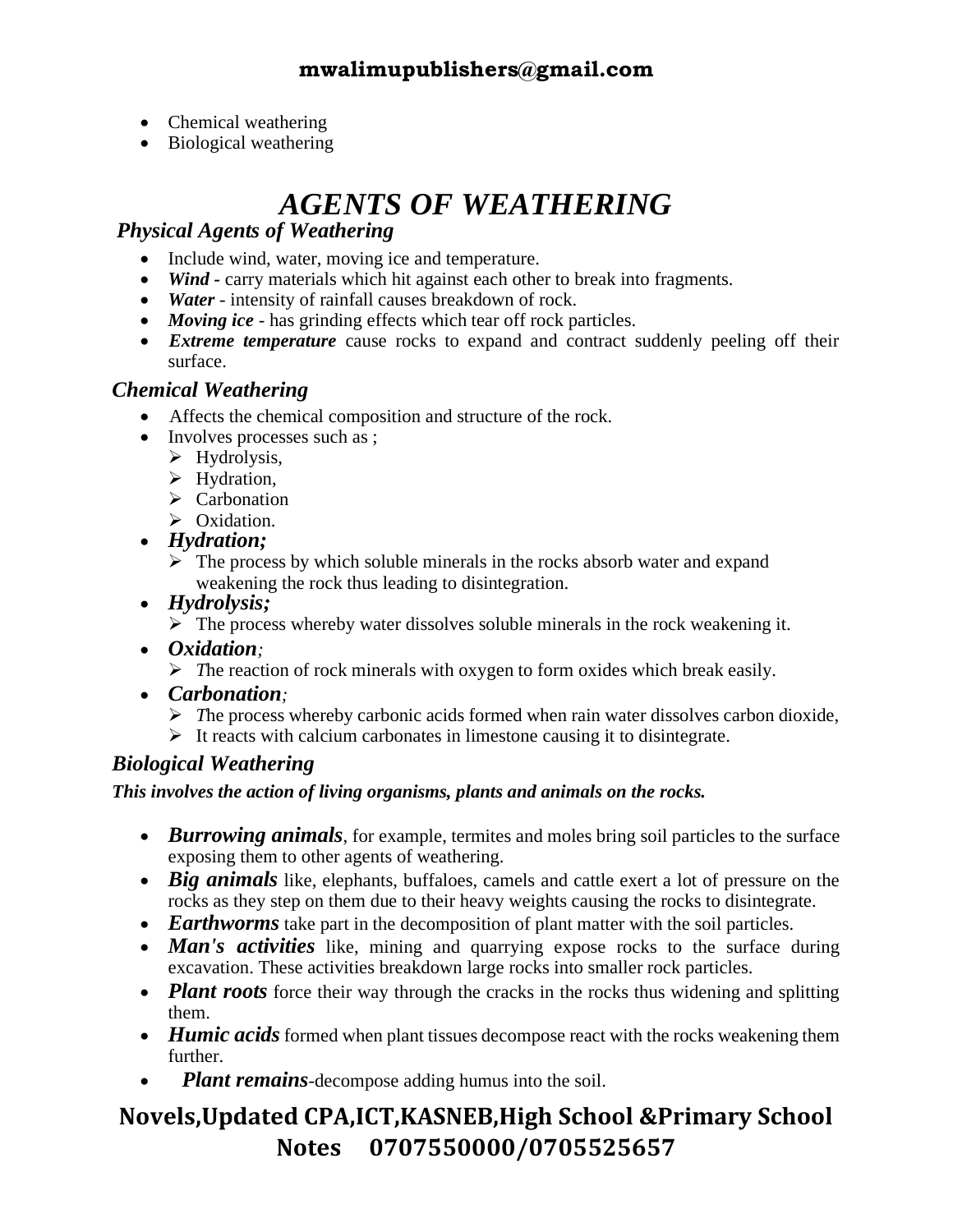- Chemical weathering
- Biological weathering

## *AGENTS OF WEATHERING*

#### *Physical Agents of Weathering*

- Include wind, water, moving ice and temperature.
- *Wind* carry materials which hit against each other to break into fragments.
- *Water* intensity of rainfall causes breakdown of rock.
- *Moving ice* has grinding effects which tear off rock particles.
- *Extreme temperature* cause rocks to expand and contract suddenly peeling off their surface.

#### *Chemical Weathering*

- Affects the chemical composition and structure of the rock.
- Involves processes such as ;
	- ➢ Hydrolysis,
	- ➢ Hydration,
	- ➢ Carbonation
	- ➢ Oxidation.
- *Hydration;*
	- $\triangleright$  The process by which soluble minerals in the rocks absorb water and expand weakening the rock thus leading to disintegration.
- *Hydrolysis;*
	- $\triangleright$  The process whereby water dissolves soluble minerals in the rock weakening it.
- *Oxidation;*
	- ➢ *T*he reaction of rock minerals with oxygen to form oxides which break easily.
- *Carbonation;*
	- ➢ *T*he process whereby carbonic acids formed when rain water dissolves carbon dioxide,
	- ➢ It reacts with calcium carbonates in limestone causing it to disintegrate.

#### *Biological Weathering*

*This involves the action of living organisms, plants and animals on the rocks.* 

- *Burrowing animals*, for example, termites and moles bring soil particles to the surface exposing them to other agents of weathering.
- *Big animals* like, elephants, buffaloes, camels and cattle exert a lot of pressure on the rocks as they step on them due to their heavy weights causing the rocks to disintegrate.
- *Earthworms* take part in the decomposition of plant matter with the soil particles.
- **Man's activities** like, mining and quarrying expose rocks to the surface during excavation. These activities breakdown large rocks into smaller rock particles.
- *Plant roots* force their way through the cracks in the rocks thus widening and splitting them.
- *Humic acids* formed when plant tissues decompose react with the rocks weakening them further.
- *Plant remains*-decompose adding humus into the soil.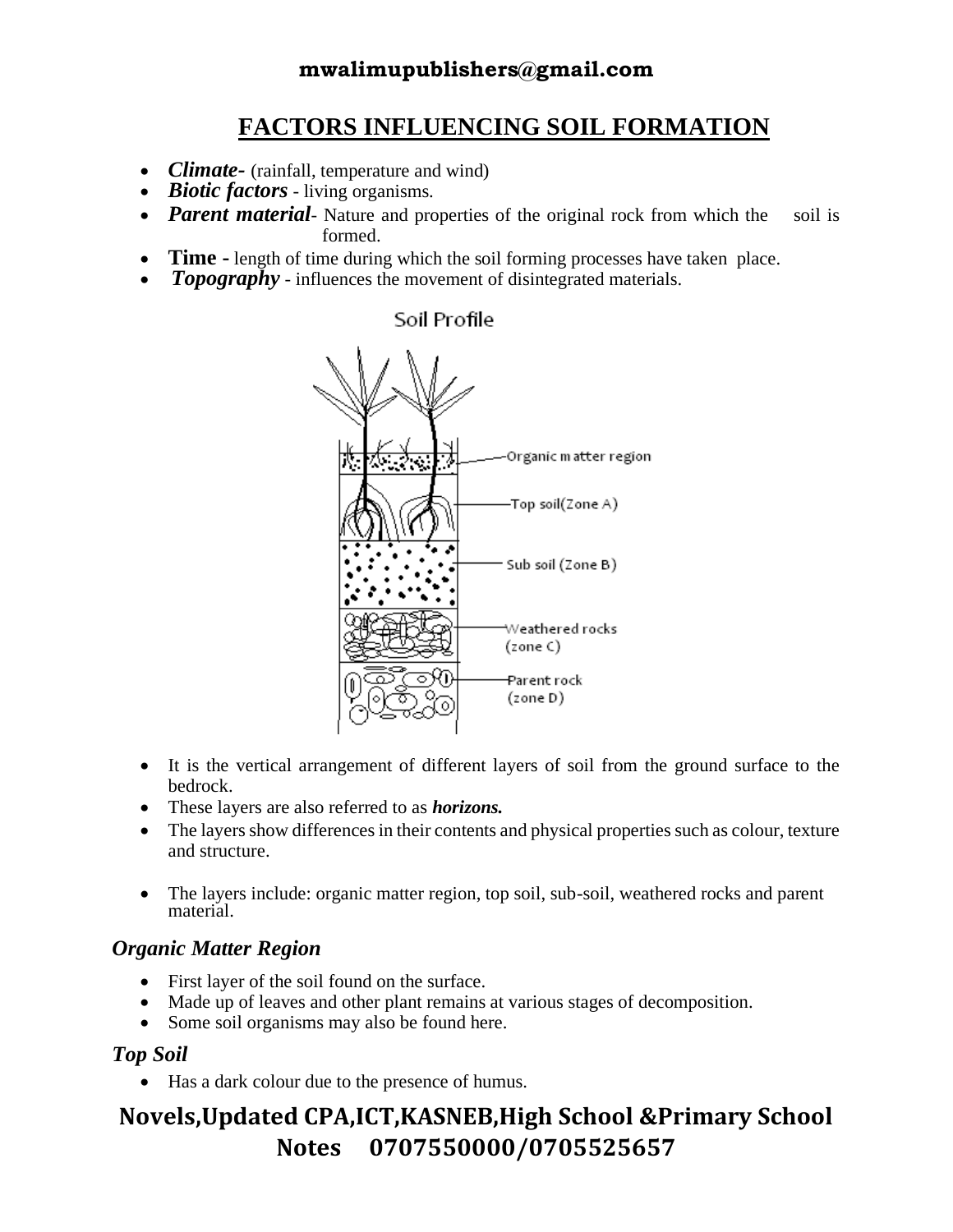## **FACTORS INFLUENCING SOIL FORMATION**

- *Climate* (rainfall, temperature and wind)
- *Biotic factors* living organisms.
- *Parent material* Nature and properties of the original rock from which the soil is formed.
- **Time -** length of time during which the soil forming processes have taken place.
- *Topography* influences the movement of disintegrated materials.

#### Soil Profile



- It is the vertical arrangement of different layers of soil from the ground surface to the bedrock.
- These layers are also referred to as *horizons.*
- The layers show differences in their contents and physical properties such as colour, texture and structure.
- The layers include: organic matter region, top soil, sub-soil, weathered rocks and parent material.

#### *Organic Matter Region*

- First layer of the soil found on the surface.
- Made up of leaves and other plant remains at various stages of decomposition.
- Some soil organisms may also be found here.

#### *Top Soil*

• Has a dark colour due to the presence of humus.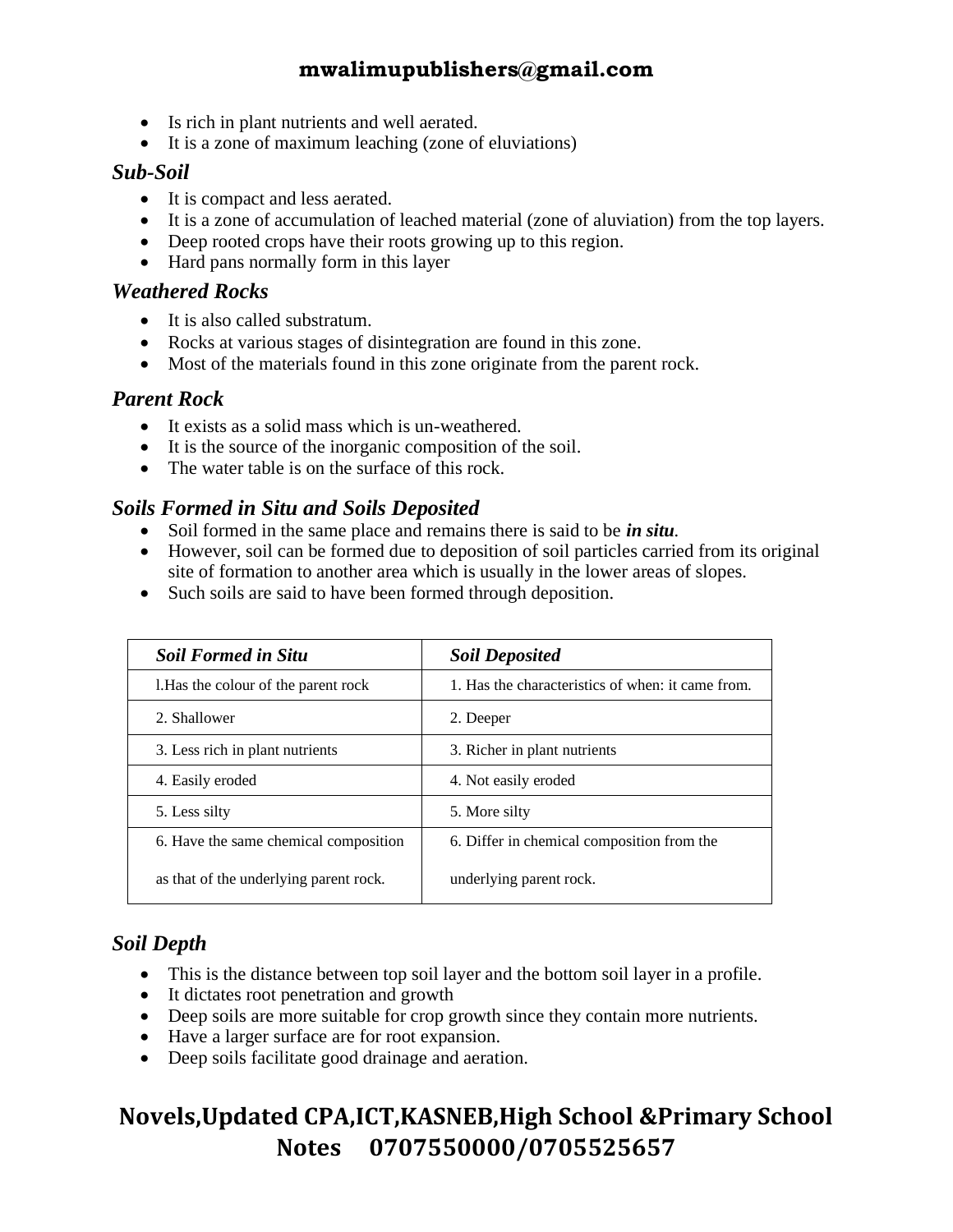- Is rich in plant nutrients and well aerated.
- It is a zone of maximum leaching (zone of eluviations)

#### *Sub-Soil*

- It is compact and less aerated.
- It is a zone of accumulation of leached material (zone of aluviation) from the top layers.
- Deep rooted crops have their roots growing up to this region.
- Hard pans normally form in this layer

#### *Weathered Rocks*

- It is also called substratum.
- Rocks at various stages of disintegration are found in this zone.
- Most of the materials found in this zone originate from the parent rock.

#### *Parent Rock*

- It exists as a solid mass which is un-weathered.
- It is the source of the inorganic composition of the soil.
- The water table is on the surface of this rock.

#### *Soils Formed in Situ and Soils Deposited*

- Soil formed in the same place and remains there is said to be *in situ.*
- However, soil can be formed due to deposition of soil particles carried from its original site of formation to another area which is usually in the lower areas of slopes.
- Such soils are said to have been formed through deposition.

| <b>Soil Deposited</b>                             |
|---------------------------------------------------|
| 1. Has the characteristics of when: it came from. |
| 2. Deeper                                         |
| 3. Richer in plant nutrients                      |
| 4. Not easily eroded                              |
| 5. More silty                                     |
| 6. Differ in chemical composition from the        |
| underlying parent rock.                           |
|                                                   |

#### *Soil Depth*

- This is the distance between top soil layer and the bottom soil layer in a profile.
- It dictates root penetration and growth
- Deep soils are more suitable for crop growth since they contain more nutrients.
- Have a larger surface are for root expansion.
- Deep soils facilitate good drainage and aeration.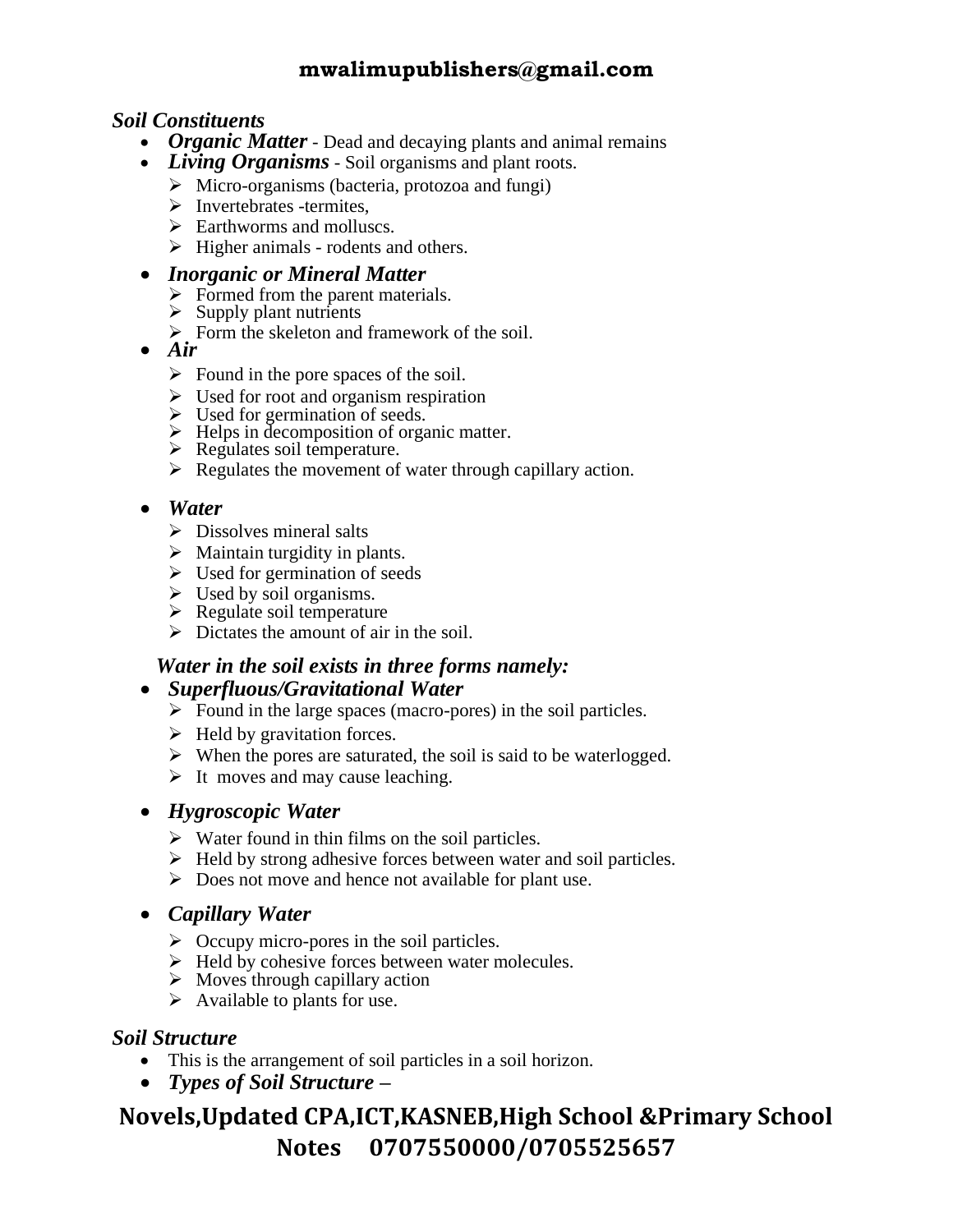#### *Soil Constituents*

- *Organic Matter* Dead and decaying plants and animal remains
- *Living Organisms* Soil organisms and plant roots.
	- $\triangleright$  Micro-organisms (bacteria, protozoa and fungi)
	- ➢ Invertebrates -termites,
	- $\triangleright$  Earthworms and molluscs.
	- ➢ Higher animals rodents and others.

#### • *Inorganic or Mineral Matter*

- $\triangleright$  Formed from the parent materials.
- $\triangleright$  Supply plant nutrients
- $\triangleright$  Form the skeleton and framework of the soil.
- *Air* 
	- $\triangleright$  Found in the pore spaces of the soil.
	- $\triangleright$  Used for root and organism respiration
	- ➢ Used for germination of seeds.
	- ➢ Helps in decomposition of organic matter.
	- $\triangleright$  Regulates soil temperature.
	- $\triangleright$  Regulates the movement of water through capillary action.

#### • *Water*

- ➢ Dissolves mineral salts
- $\triangleright$  Maintain turgidity in plants.
- $\triangleright$  Used for germination of seeds
- $\triangleright$  Used by soil organisms.
- ➢ Regulate soil temperature
- $\triangleright$  Dictates the amount of air in the soil.

#### *Water in the soil exists in three forms namely:*

#### • *Superfluous/Gravitational Water*

- $\triangleright$  Found in the large spaces (macro-pores) in the soil particles.
- $\triangleright$  Held by gravitation forces.
- ➢ When the pores are saturated, the soil is said to be waterlogged.
- $\triangleright$  It moves and may cause leaching.

#### • *Hygroscopic Water*

- ➢ Water found in thin films on the soil particles.
- ➢ Held by strong adhesive forces between water and soil particles.
- ➢ Does not move and hence not available for plant use.

#### • *Capillary Water*

- $\triangleright$  Occupy micro-pores in the soil particles.
- ➢ Held by cohesive forces between water molecules.
- ➢ Moves through capillary action
- $\triangleright$  Available to plants for use.

#### *Soil Structure*

- This is the arrangement of soil particles in a soil horizon.
- *Types of Soil Structure –*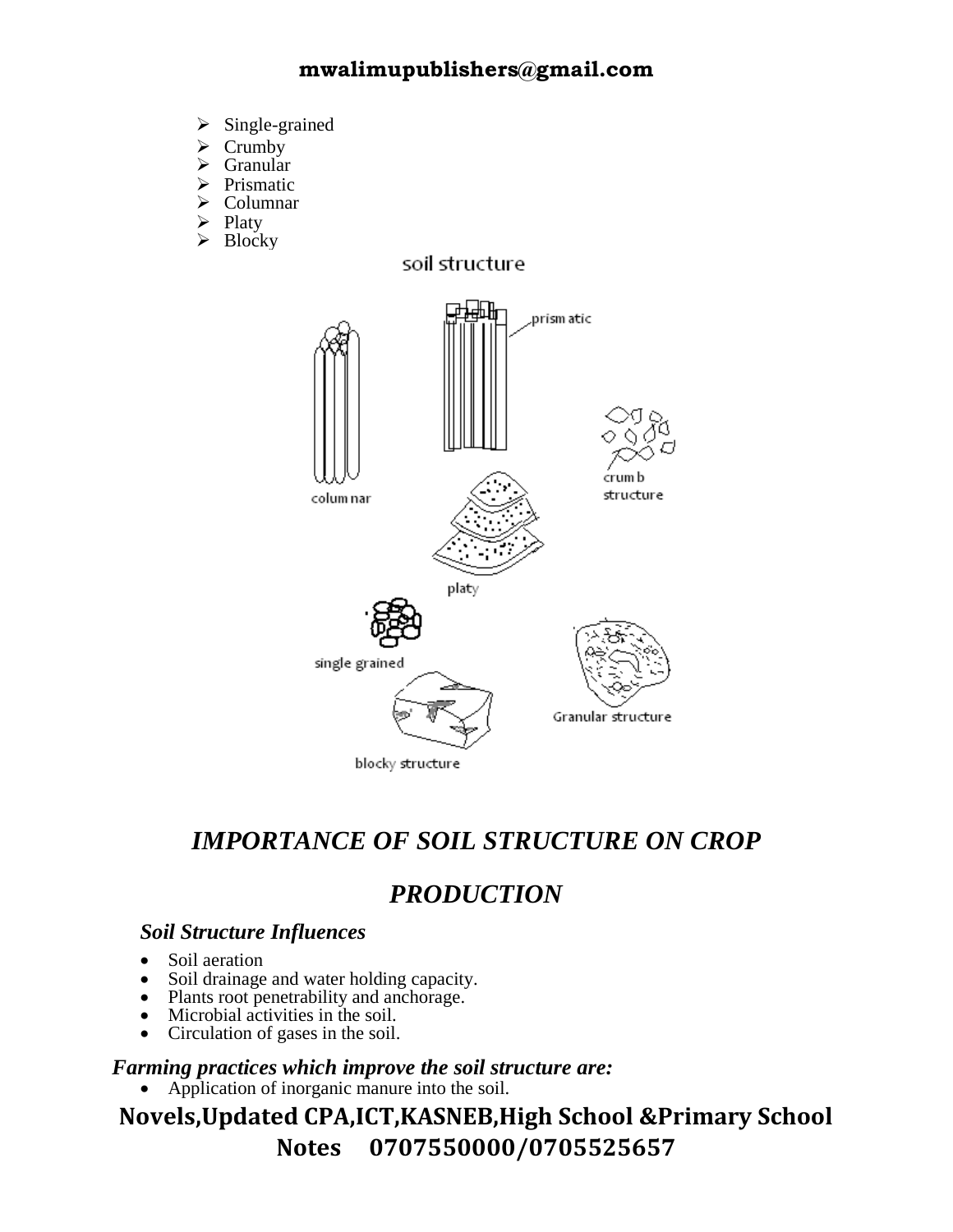- ➢ Single-grained
- **Crumby**
- Granular
- ➢ Prismatic
- ➢ Columnar
- Platy
- ➢ Blocky



## *IMPORTANCE OF SOIL STRUCTURE ON CROP*

## *PRODUCTION*

#### *Soil Structure Influences*

- Soil aeration
- Soil drainage and water holding capacity.
- Plants root penetrability and anchorage.
- Microbial activities in the soil.
- Circulation of gases in the soil.

#### *Farming practices which improve the soil structure are:*

• Application of inorganic manure into the soil.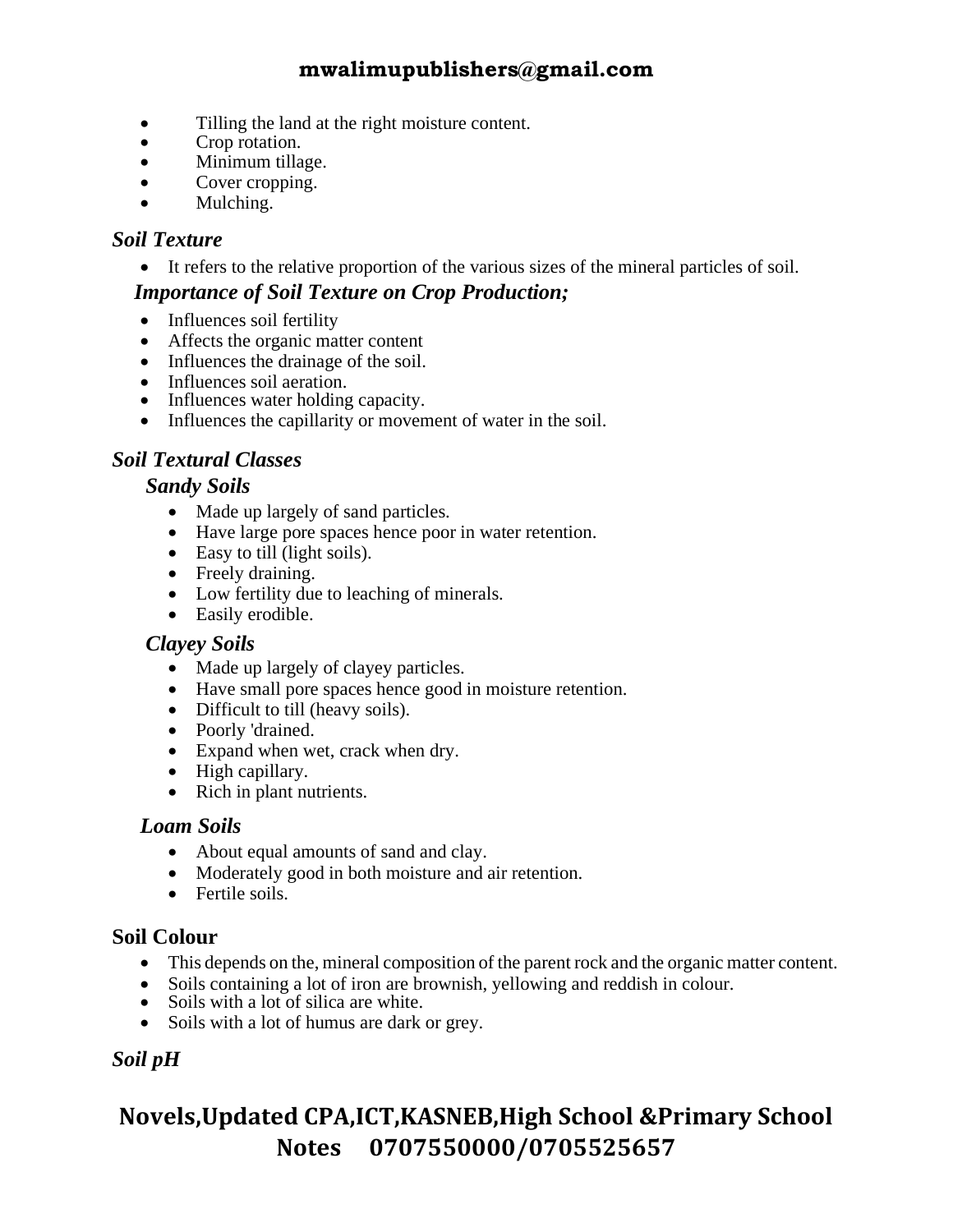- Tilling the land at the right moisture content.
- Crop rotation.
- Minimum tillage.
- Cover cropping.
- Mulching.

#### *Soil Texture*

• It refers to the relative proportion of the various sizes of the mineral particles of soil.

#### *Importance of Soil Texture on Crop Production;*

- Influences soil fertility
- Affects the organic matter content
- Influences the drainage of the soil.
- Influences soil aeration.
- Influences water holding capacity.
- Influences the capillarity or movement of water in the soil.

#### *Soil Textural Classes*

#### *Sandy Soils*

- Made up largely of sand particles.
- Have large pore spaces hence poor in water retention.
- Easy to till (light soils).
- Freely draining.
- Low fertility due to leaching of minerals.
- Easily erodible.

#### *Clayey Soils*

- Made up largely of clayey particles.
- Have small pore spaces hence good in moisture retention.
- Difficult to till (heavy soils).
- Poorly 'drained.
- Expand when wet, crack when dry.
- High capillary.
- Rich in plant nutrients.

#### *Loam Soils*

- About equal amounts of sand and clay.
- Moderately good in both moisture and air retention.
- Fertile soils.

#### **Soil Colour**

- This depends on the, mineral composition of the parent rock and the organic matter content.
- Soils containing a lot of iron are brownish, yellowing and reddish in colour.
- Soils with a lot of silica are white.
- Soils with a lot of humus are dark or grey.

#### *Soil pH*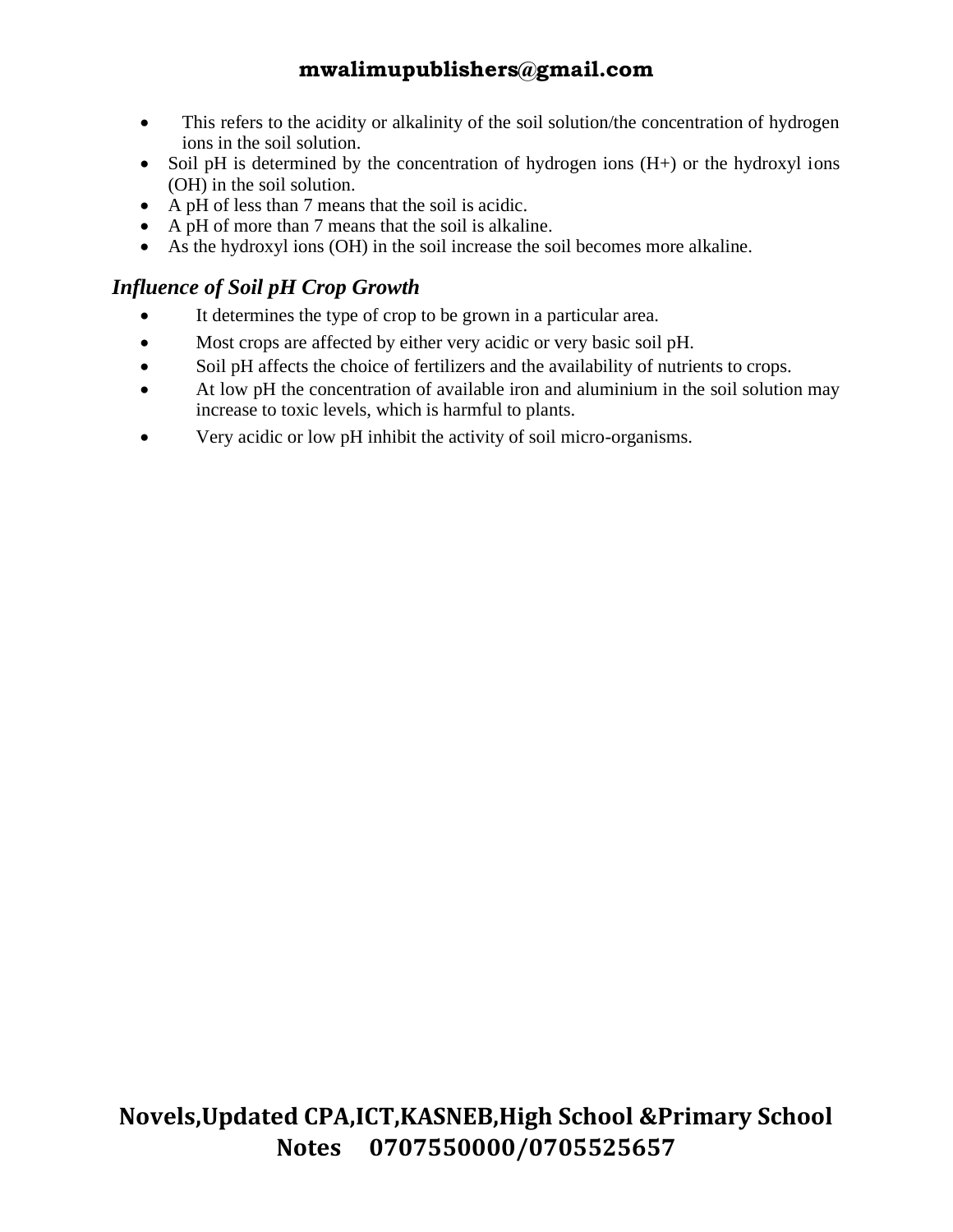- This refers to the acidity or alkalinity of the soil solution/the concentration of hydrogen ions in the soil solution.
- Soil pH is determined by the concentration of hydrogen ions  $(H+)$  or the hydroxyl ions (OH) in the soil solution.
- A pH of less than 7 means that the soil is acidic.
- A pH of more than 7 means that the soil is alkaline.
- As the hydroxyl ions (OH) in the soil increase the soil becomes more alkaline.

#### *Influence of Soil pH Crop Growth*

- It determines the type of crop to be grown in a particular area.
- Most crops are affected by either very acidic or very basic soil pH.
- Soil pH affects the choice of fertilizers and the availability of nutrients to crops.
- At low pH the concentration of available iron and aluminium in the soil solution may increase to toxic levels, which is harmful to plants.
- Very acidic or low pH inhibit the activity of soil micro-organisms.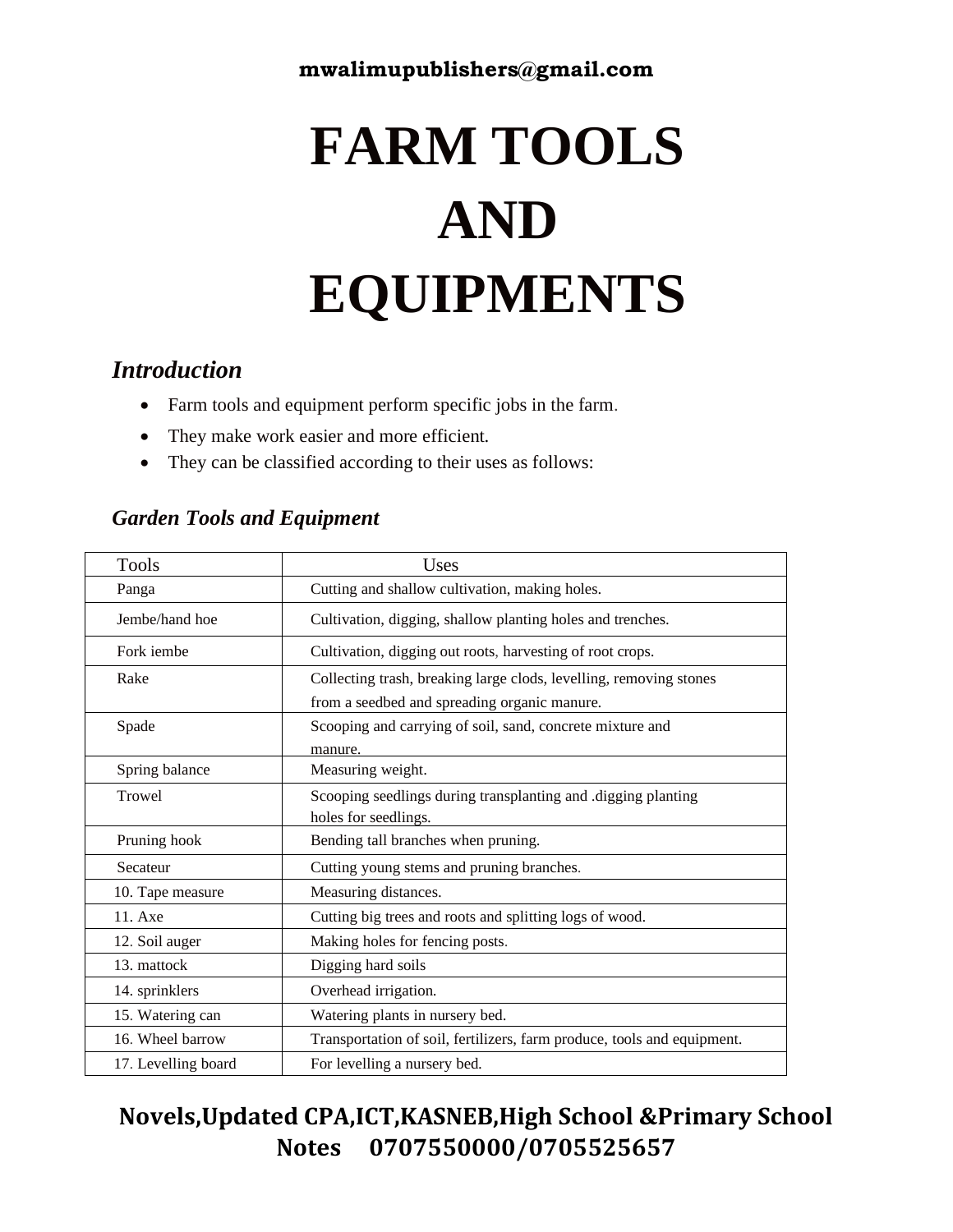# **FARM TOOLS AND EQUIPMENTS**

#### *Introduction*

- Farm tools and equipment perform specific jobs in the farm.
- They make work easier and more efficient.
- They can be classified according to their uses as follows:

#### *Garden Tools and Equipment*

| Tools               | Uses                                                                    |  |  |  |  |
|---------------------|-------------------------------------------------------------------------|--|--|--|--|
| Panga               | Cutting and shallow cultivation, making holes.                          |  |  |  |  |
| Jembe/hand hoe      | Cultivation, digging, shallow planting holes and trenches.              |  |  |  |  |
| Fork <i>iembe</i>   | Cultivation, digging out roots, harvesting of root crops.               |  |  |  |  |
| Rake                | Collecting trash, breaking large clods, levelling, removing stones      |  |  |  |  |
|                     | from a seedbed and spreading organic manure.                            |  |  |  |  |
| Spade               | Scooping and carrying of soil, sand, concrete mixture and               |  |  |  |  |
|                     | manure.                                                                 |  |  |  |  |
| Spring balance      | Measuring weight.                                                       |  |  |  |  |
| Trowel              | Scooping seedlings during transplanting and .digging planting           |  |  |  |  |
|                     | holes for seedlings.                                                    |  |  |  |  |
| Pruning hook        | Bending tall branches when pruning.                                     |  |  |  |  |
| Secateur            | Cutting young stems and pruning branches.                               |  |  |  |  |
| 10. Tape measure    | Measuring distances.                                                    |  |  |  |  |
| 11. Axe             | Cutting big trees and roots and splitting logs of wood.                 |  |  |  |  |
| 12. Soil auger      | Making holes for fencing posts.                                         |  |  |  |  |
| 13. mattock         | Digging hard soils                                                      |  |  |  |  |
| 14. sprinklers      | Overhead irrigation.                                                    |  |  |  |  |
| 15. Watering can    | Watering plants in nursery bed.                                         |  |  |  |  |
| 16. Wheel barrow    | Transportation of soil, fertilizers, farm produce, tools and equipment. |  |  |  |  |
| 17. Levelling board | For levelling a nursery bed.                                            |  |  |  |  |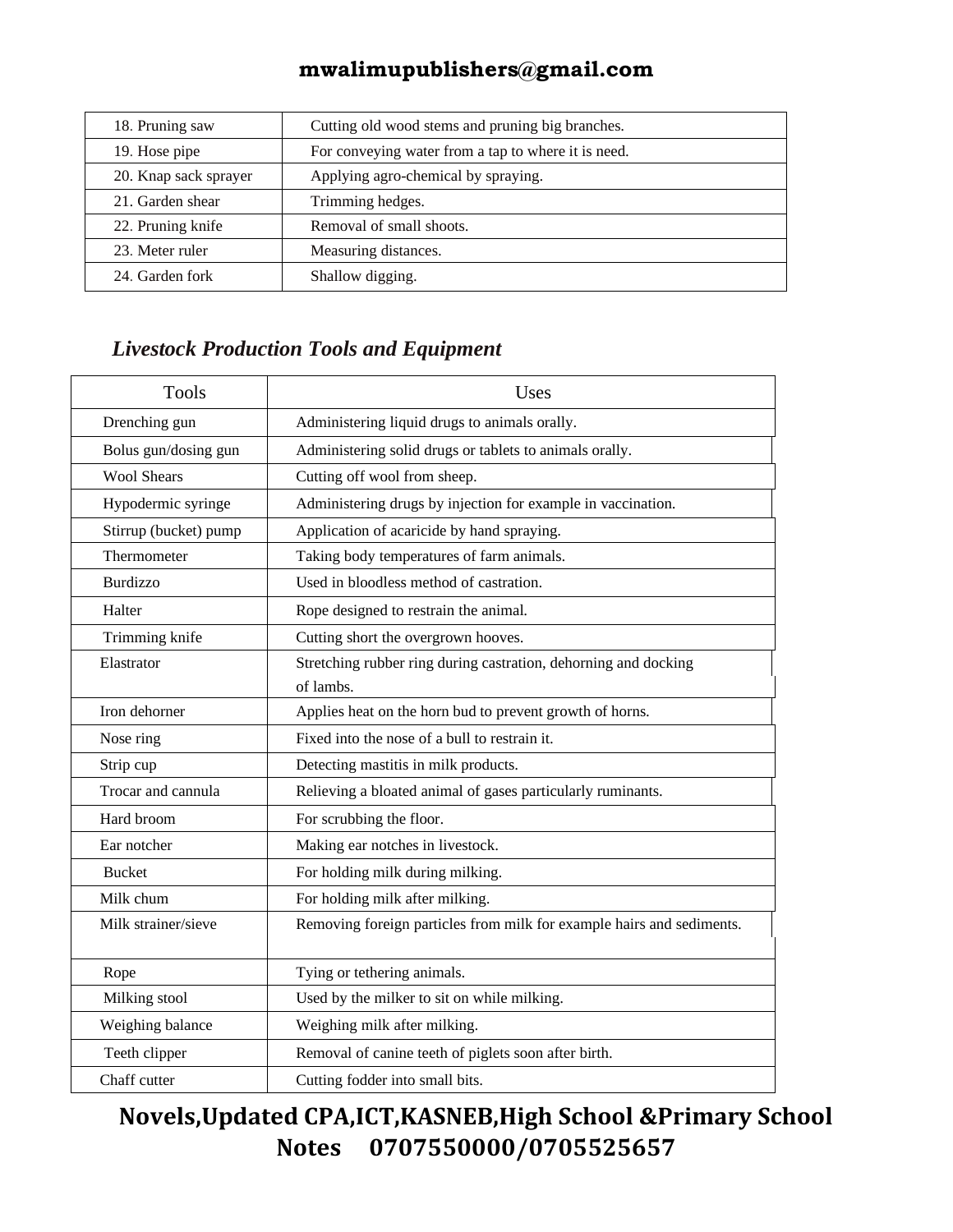| 18. Pruning saw       | Cutting old wood stems and pruning big branches.    |  |  |
|-----------------------|-----------------------------------------------------|--|--|
| 19. Hose pipe         | For conveying water from a tap to where it is need. |  |  |
| 20. Knap sack sprayer | Applying agro-chemical by spraying.                 |  |  |
| 21. Garden shear      | Trimming hedges.                                    |  |  |
| 22. Pruning knife     | Removal of small shoots.                            |  |  |
| 23. Meter ruler       | Measuring distances.                                |  |  |
| 24. Garden fork       | Shallow digging.                                    |  |  |

### *Livestock Production Tools and Equipment*

| <b>Tools</b>          | Uses                                                                         |
|-----------------------|------------------------------------------------------------------------------|
| Drenching gun         | Administering liquid drugs to animals orally.                                |
| Bolus gun/dosing gun  | Administering solid drugs or tablets to animals orally.                      |
| <b>Wool Shears</b>    | Cutting off wool from sheep.                                                 |
| Hypodermic syringe    | Administering drugs by injection for example in vaccination.                 |
| Stirrup (bucket) pump | Application of acaricide by hand spraying.                                   |
| Thermometer           | Taking body temperatures of farm animals.                                    |
| <b>Burdizzo</b>       | Used in bloodless method of castration.                                      |
| Halter                | Rope designed to restrain the animal.                                        |
| Trimming knife        | Cutting short the overgrown hooves.                                          |
| Elastrator            | Stretching rubber ring during castration, dehorning and docking<br>of lambs. |
| Iron dehorner         | Applies heat on the horn bud to prevent growth of horns.                     |
| Nose ring             | Fixed into the nose of a bull to restrain it.                                |
| Strip cup             | Detecting mastitis in milk products.                                         |
| Trocar and cannula    | Relieving a bloated animal of gases particularly ruminants.                  |
| Hard broom            | For scrubbing the floor.                                                     |
| Ear notcher           | Making ear notches in livestock.                                             |
| <b>Bucket</b>         | For holding milk during milking.                                             |
| Milk chum             | For holding milk after milking.                                              |
| Milk strainer/sieve   | Removing foreign particles from milk for example hairs and sediments.        |
| Rope                  | Tying or tethering animals.                                                  |
| Milking stool         | Used by the milker to sit on while milking.                                  |
| Weighing balance      | Weighing milk after milking.                                                 |
| Teeth clipper         | Removal of canine teeth of piglets soon after birth.                         |
| Chaff cutter          | Cutting fodder into small bits.                                              |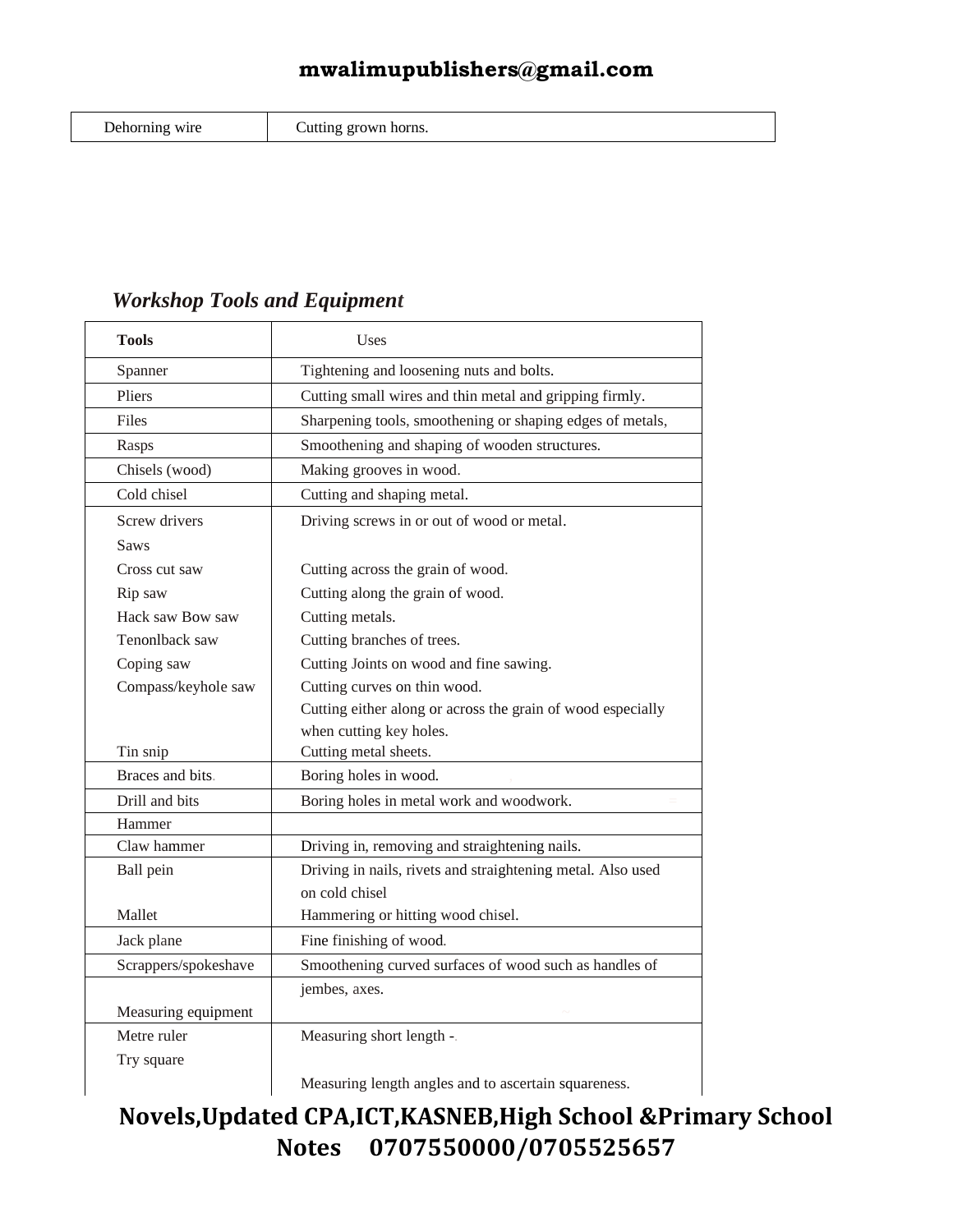| Dehorning wire |  |
|----------------|--|
|                |  |

Cutting grown horns.

#### *Workshop Tools and Equipment*

| <b>Tools</b>         | Uses                                                        |  |  |  |  |
|----------------------|-------------------------------------------------------------|--|--|--|--|
| Spanner              | Tightening and loosening nuts and bolts.                    |  |  |  |  |
| Pliers               | Cutting small wires and thin metal and gripping firmly.     |  |  |  |  |
| Files                | Sharpening tools, smoothening or shaping edges of metals,   |  |  |  |  |
| Rasps                | Smoothening and shaping of wooden structures.               |  |  |  |  |
| Chisels (wood)       | Making grooves in wood.                                     |  |  |  |  |
| Cold chisel          | Cutting and shaping metal.                                  |  |  |  |  |
| Screw drivers        | Driving screws in or out of wood or metal.                  |  |  |  |  |
| Saws                 |                                                             |  |  |  |  |
| Cross cut saw        | Cutting across the grain of wood.                           |  |  |  |  |
| Rip saw              | Cutting along the grain of wood.                            |  |  |  |  |
| Hack saw Bow saw     | Cutting metals.                                             |  |  |  |  |
| Tenonlback saw       | Cutting branches of trees.                                  |  |  |  |  |
| Coping saw           | Cutting Joints on wood and fine sawing.                     |  |  |  |  |
| Compass/keyhole saw  | Cutting curves on thin wood.                                |  |  |  |  |
|                      | Cutting either along or across the grain of wood especially |  |  |  |  |
|                      | when cutting key holes.                                     |  |  |  |  |
| Tin snip             | Cutting metal sheets.                                       |  |  |  |  |
| Braces and bits.     | Boring holes in wood.                                       |  |  |  |  |
| Drill and bits       | Boring holes in metal work and woodwork.                    |  |  |  |  |
| Hammer               |                                                             |  |  |  |  |
| Claw hammer          | Driving in, removing and straightening nails.               |  |  |  |  |
| Ball pein            | Driving in nails, rivets and straightening metal. Also used |  |  |  |  |
|                      | on cold chisel                                              |  |  |  |  |
| Mallet               | Hammering or hitting wood chisel.                           |  |  |  |  |
| Jack plane           | Fine finishing of wood.                                     |  |  |  |  |
| Scrappers/spokeshave | Smoothening curved surfaces of wood such as handles of      |  |  |  |  |
|                      | jembes, axes.                                               |  |  |  |  |
| Measuring equipment  |                                                             |  |  |  |  |
| Metre ruler          | Measuring short length -.                                   |  |  |  |  |
| Try square           |                                                             |  |  |  |  |
|                      | Measuring length angles and to ascertain squareness.        |  |  |  |  |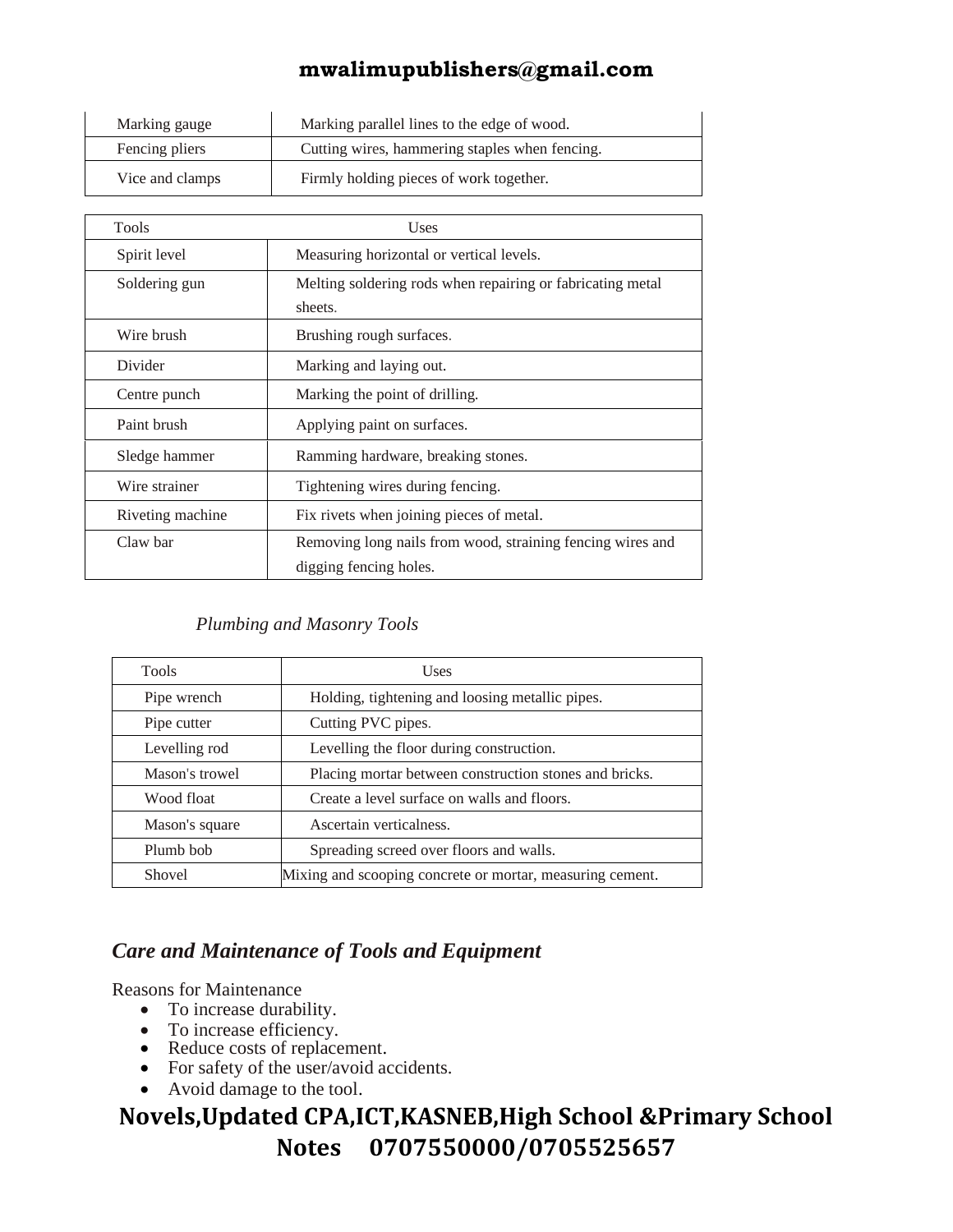| Marking gauge                                                    | Marking parallel lines to the edge of wood. |  |  |
|------------------------------------------------------------------|---------------------------------------------|--|--|
| Cutting wires, hammering staples when fencing.<br>Fencing pliers |                                             |  |  |
| Vice and clamps                                                  | Firmly holding pieces of work together.     |  |  |

| Tools            | Uses                                                                  |  |  |  |  |
|------------------|-----------------------------------------------------------------------|--|--|--|--|
| Spirit level     | Measuring horizontal or vertical levels.                              |  |  |  |  |
| Soldering gun    | Melting soldering rods when repairing or fabricating metal<br>sheets. |  |  |  |  |
| Wire brush       | Brushing rough surfaces.                                              |  |  |  |  |
| Divider          | Marking and laying out.                                               |  |  |  |  |
| Centre punch     | Marking the point of drilling.                                        |  |  |  |  |
| Paint brush      | Applying paint on surfaces.                                           |  |  |  |  |
| Sledge hammer    | Ramming hardware, breaking stones.                                    |  |  |  |  |
| Wire strainer    | Tightening wires during fencing.                                      |  |  |  |  |
| Riveting machine | Fix rivets when joining pieces of metal.                              |  |  |  |  |
| Claw bar         | Removing long nails from wood, straining fencing wires and            |  |  |  |  |
|                  | digging fencing holes.                                                |  |  |  |  |

#### *Plumbing and Masonry Tools*

|                | Uses                                                      |
|----------------|-----------------------------------------------------------|
| Pipe wrench    | Holding, tightening and loosing metallic pipes.           |
| Pipe cutter    | Cutting PVC pipes.                                        |
| Levelling rod  | Levelling the floor during construction.                  |
| Mason's trowel | Placing mortar between construction stones and bricks.    |
| Wood float     | Create a level surface on walls and floors.               |
| Mason's square | Ascertain verticalness.                                   |
| Plumb bob      | Spreading screed over floors and walls.                   |
| Shovel         | Mixing and scooping concrete or mortar, measuring cement. |

#### *Care and Maintenance of Tools and Equipment*

Reasons for Maintenance

- To increase durability.
- To increase efficiency.
- Reduce costs of replacement.
- For safety of the user/avoid accidents.
- Avoid damage to the tool.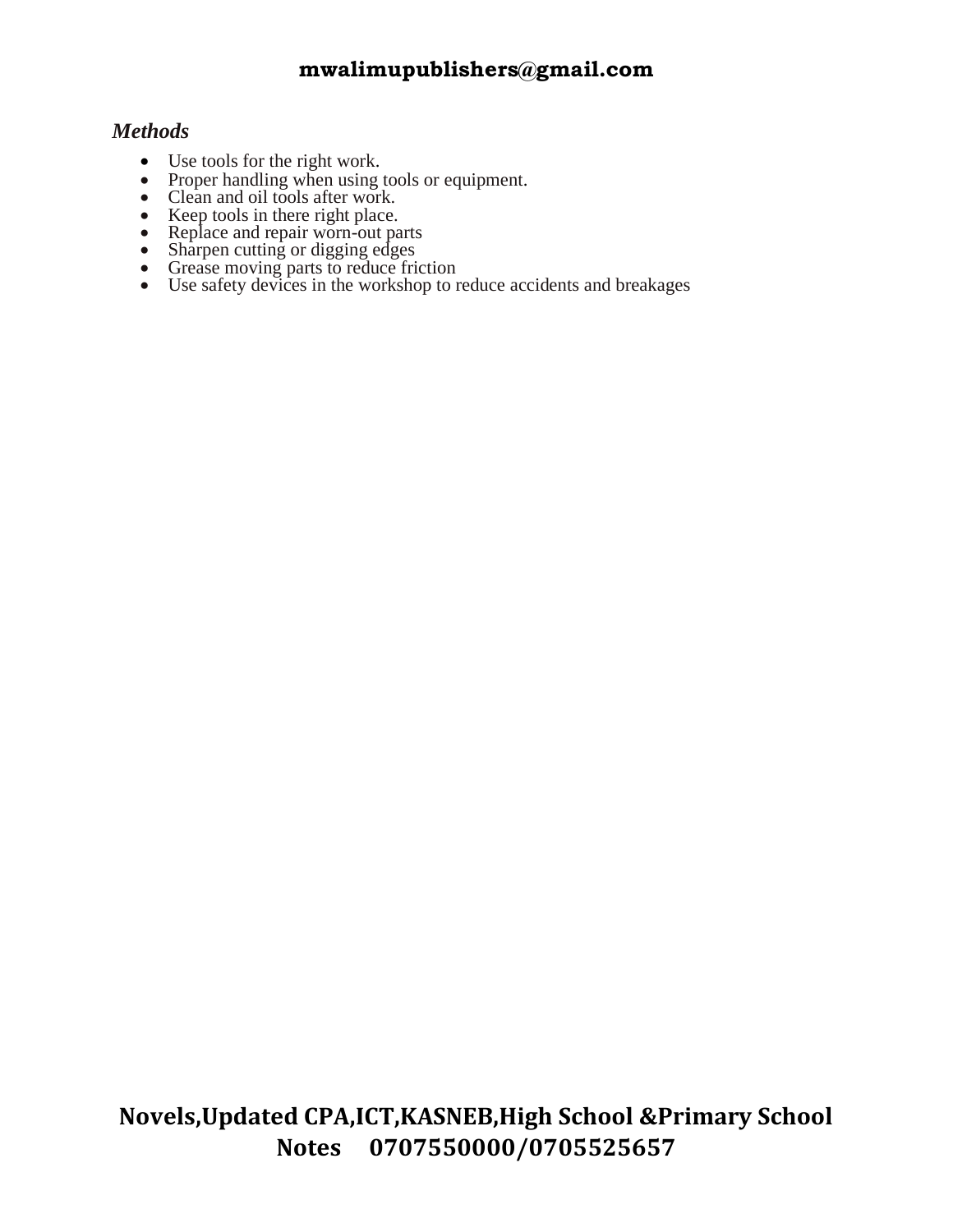#### *Methods*

- Use tools for the right work.
- Proper handling when using tools or equipment.
- Clean and oil tools after work.
- Keep tools in there right place.
- Replace and repair worn-out parts
- Sharpen cutting or digging edges
- Grease moving parts to reduce friction
- Use safety devices in the workshop to reduce accidents and breakages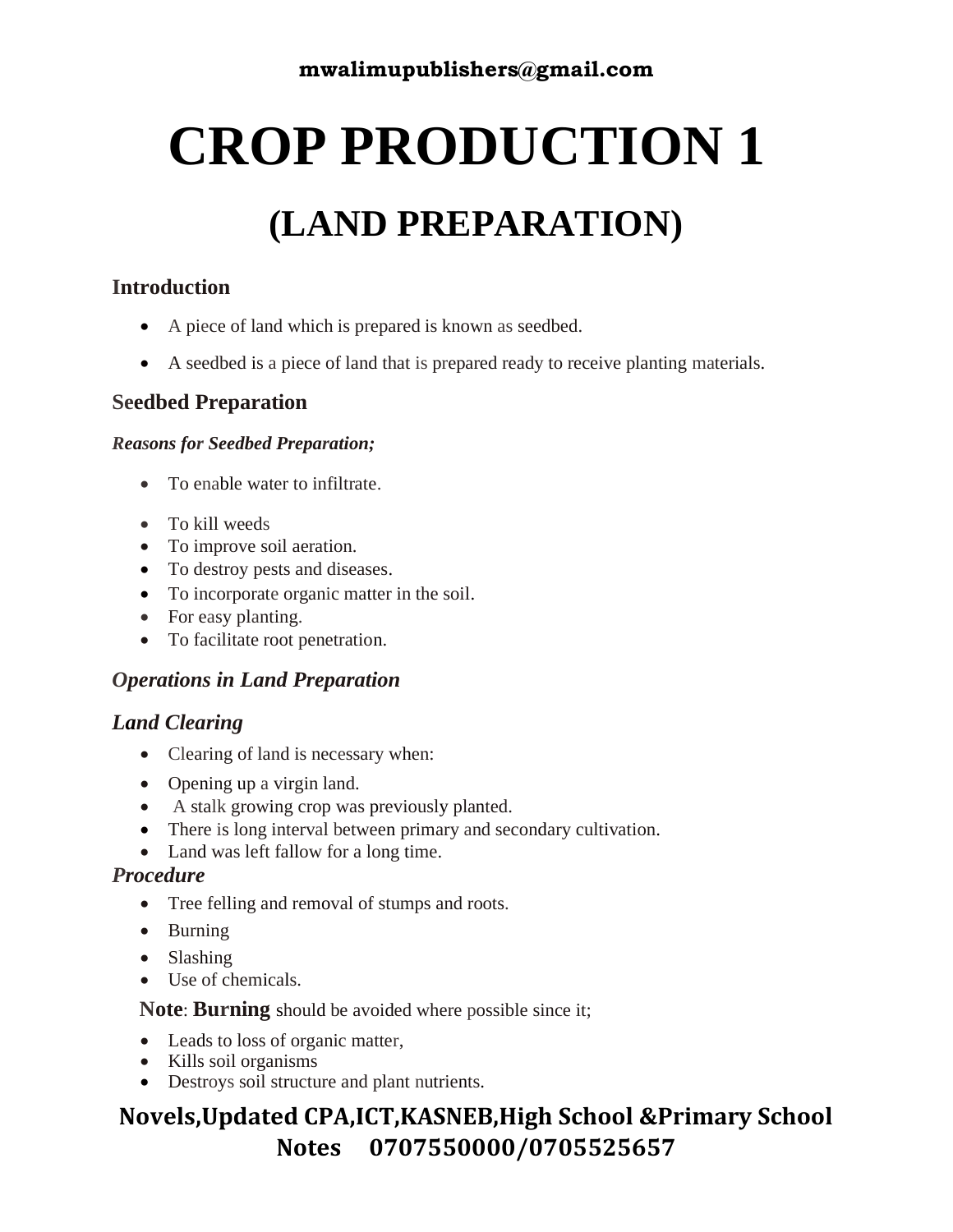# **CROP PRODUCTION 1**

## **(LAND PREPARATION)**

#### **Introduction**

- A piece of land which is prepared is known as seedbed.
- A seedbed is a piece of land that is prepared ready to receive planting materials.

#### **Seedbed Preparation**

#### *Reasons for Seedbed Preparation;*

- To enable water to infiltrate.
- To kill weeds
- To improve soil aeration.
- To destroy pests and diseases.
- To incorporate organic matter in the soil.
- For easy planting.
- To facilitate root penetration.

#### *Operations in Land Preparation*

#### *Land Clearing*

- Clearing of land is necessary when:
- Opening up a virgin land.
- A stalk growing crop was previously planted.
- There is long interval between primary and secondary cultivation.
- Land was left fallow for a long time.

#### *Procedure*

- Tree felling and removal of stumps and roots.
- Burning
- Slashing
- Use of chemicals.

 **Note**: **Burning** should be avoided where possible since it;

- Leads to loss of organic matter,
- Kills soil organisms
- Destroys soil structure and plant nutrients.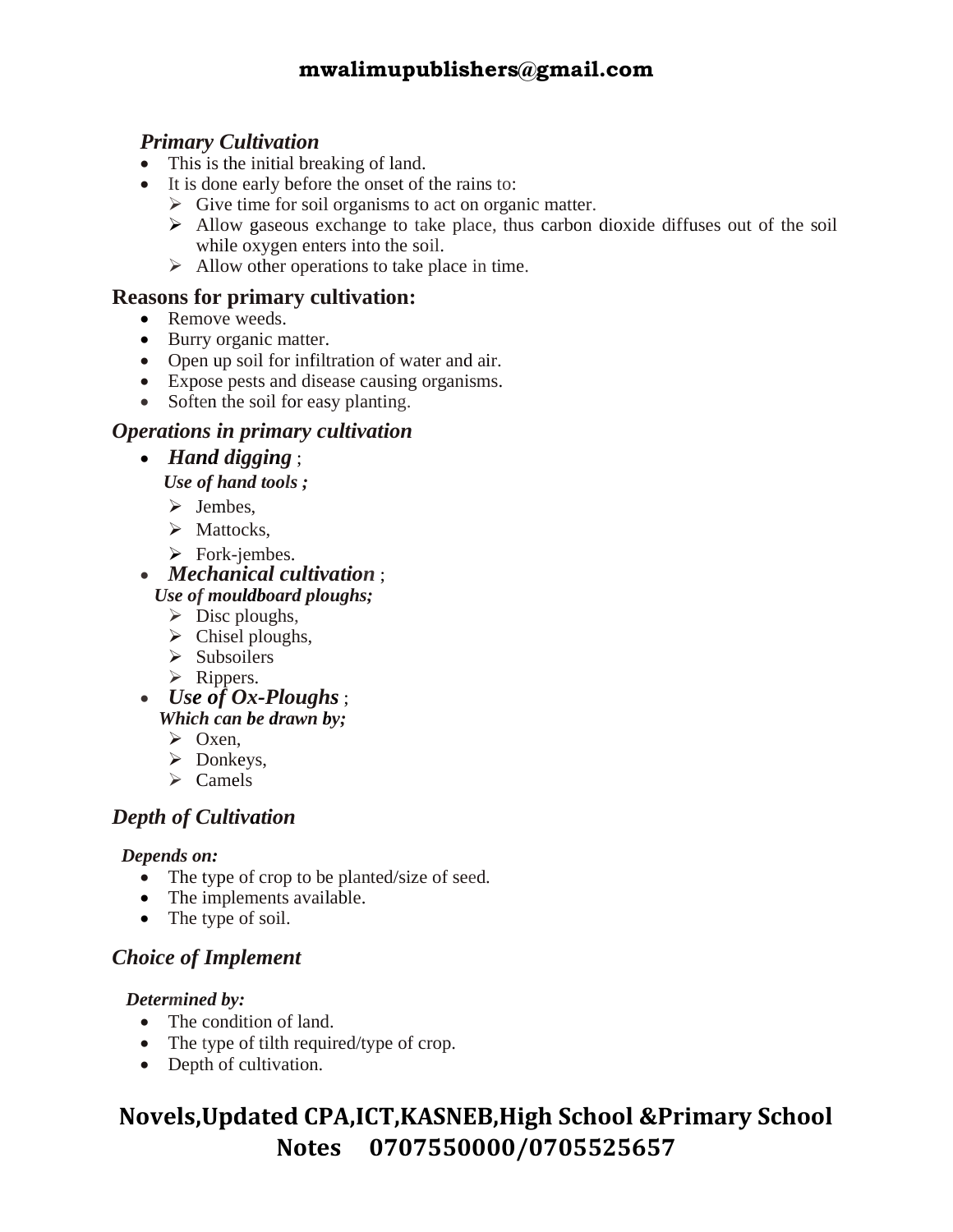#### *Primary Cultivation*

- This is the initial breaking of land.
- It is done early before the onset of the rains to:
	- $\triangleright$  Give time for soil organisms to act on organic matter.
	- $\triangleright$  Allow gaseous exchange to take place, thus carbon dioxide diffuses out of the soil while oxygen enters into the soil.
	- $\triangleright$  Allow other operations to take place in time.

#### **Reasons for primary cultivation:**

- Remove weeds.
- Burry organic matter.
- Open up soil for infiltration of water and air.
- Expose pests and disease causing organisms.
- Soften the soil for easy planting.

#### *Operations in primary cultivation*

• *Hand digging* ;

 *Use of hand tools ;* 

➢ Jembes,

- ➢ Mattocks,
- ➢ Fork-jembes.
- *Mechanical cultivation* ;  *Use of mouldboard ploughs;*
	- $\triangleright$  Disc ploughs,
	- $\triangleright$  Chisel ploughs,
	- ➢ Subsoilers
	- ➢ Rippers.
- *Use of Ox-Ploughs* ;  *Which can be drawn by;*
	- ➢ Oxen,
	- ➢ Donkeys,
	- ➢ Camels

#### *Depth of Cultivation*

#### *Depends on:*

- The type of crop to be planted/size of seed.
- The implements available.
- The type of soil.

#### *Choice of Implement*

#### *Determined by:*

- The condition of land.
- The type of tilth required/type of crop.
- Depth of cultivation.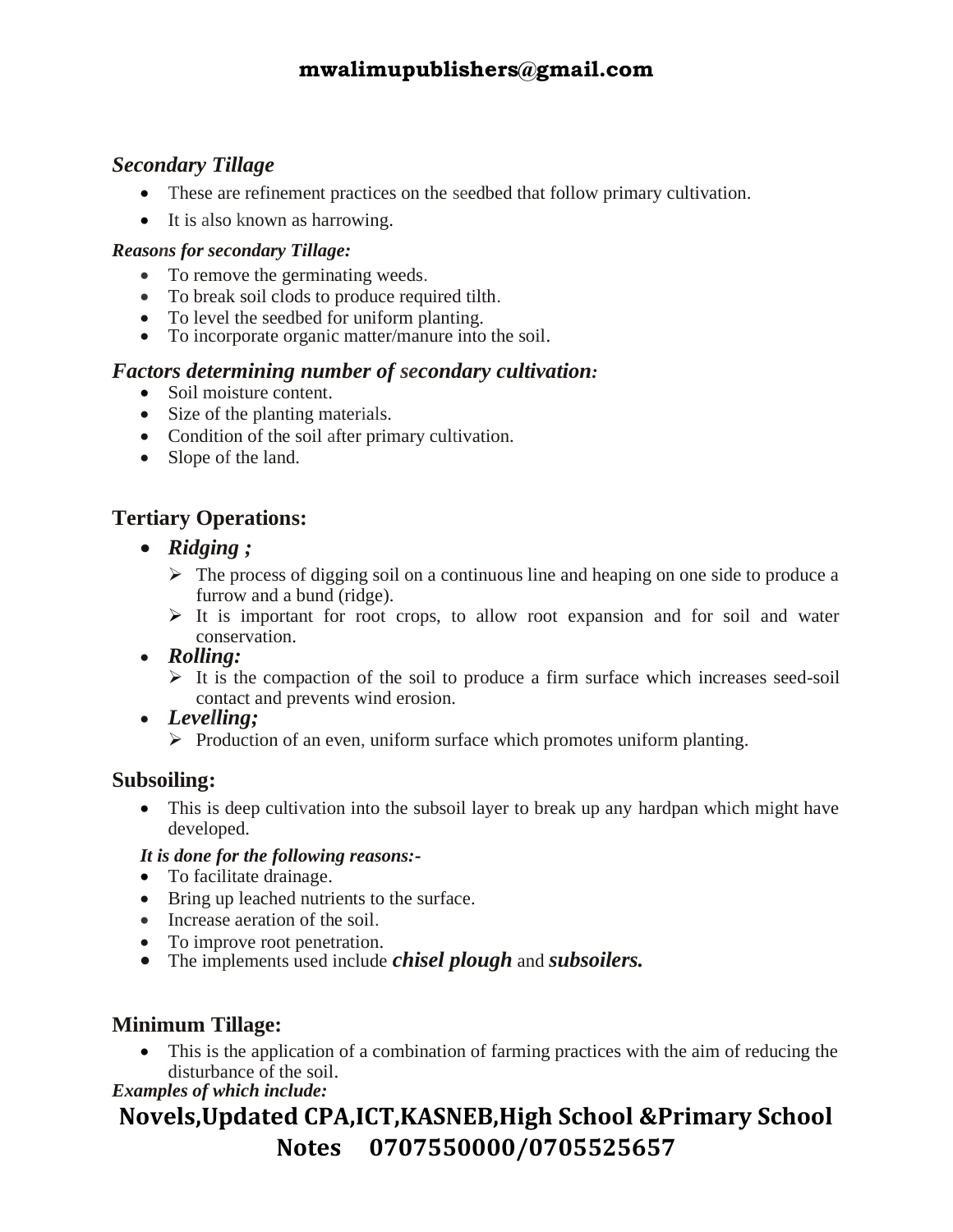#### *Secondary Tillage*

- These are refinement practices on the seedbed that follow primary cultivation.
- It is also known as harrowing.

#### *Reasons for secondary Tillage:*

- To remove the germinating weeds.
- To break soil clods to produce required tilth.
- To level the seedbed for uniform planting.
- To incorporate organic matter/manure into the soil.

#### *Factors determining number of secondary cultivation:*

- Soil moisture content.
- Size of the planting materials.
- Condition of the soil after primary cultivation.
- Slope of the land.

#### **Tertiary Operations:**

- *Ridging ;*
	- $\triangleright$  The process of digging soil on a continuous line and heaping on one side to produce a furrow and a bund (ridge).
	- ➢ It is important for root crops, to allow root expansion and for soil and water conservation.
- *Rolling:*
	- $\triangleright$  It is the compaction of the soil to produce a firm surface which increases seed-soil contact and prevents wind erosion.
- *Levelling;*
	- ➢ Production of an even, uniform surface which promotes uniform planting.

#### **Subsoiling:**

• This is deep cultivation into the subsoil layer to break up any hardpan which might have developed.

#### *It is done for the following reasons:-*

- To facilitate drainage.
- Bring up leached nutrients to the surface.
- Increase aeration of the soil.
- To improve root penetration.
- The implements used include *chisel plough* and *subsoilers.*

#### **Minimum Tillage:**

• This is the application of a combination of farming practices with the aim of reducing the disturbance of the soil.

*Examples of which include:*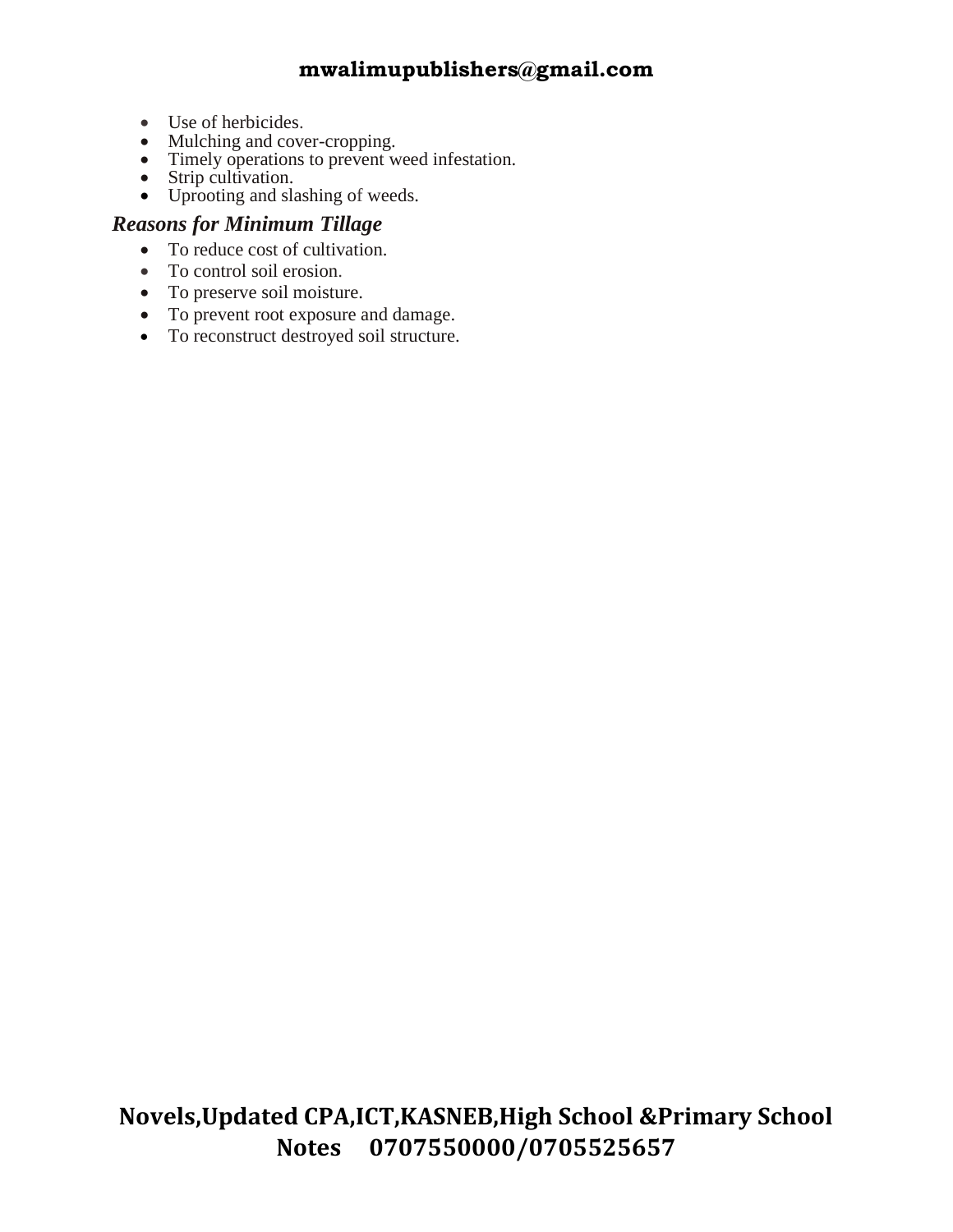- Use of herbicides.
- Mulching and cover-cropping.
- Timely operations to prevent weed infestation.
- Strip cultivation.
- Uprooting and slashing of weeds.

#### *Reasons for Minimum Tillage*

- To reduce cost of cultivation.
- To control soil erosion.
- To preserve soil moisture.
- To prevent root exposure and damage.
- To reconstruct destroyed soil structure.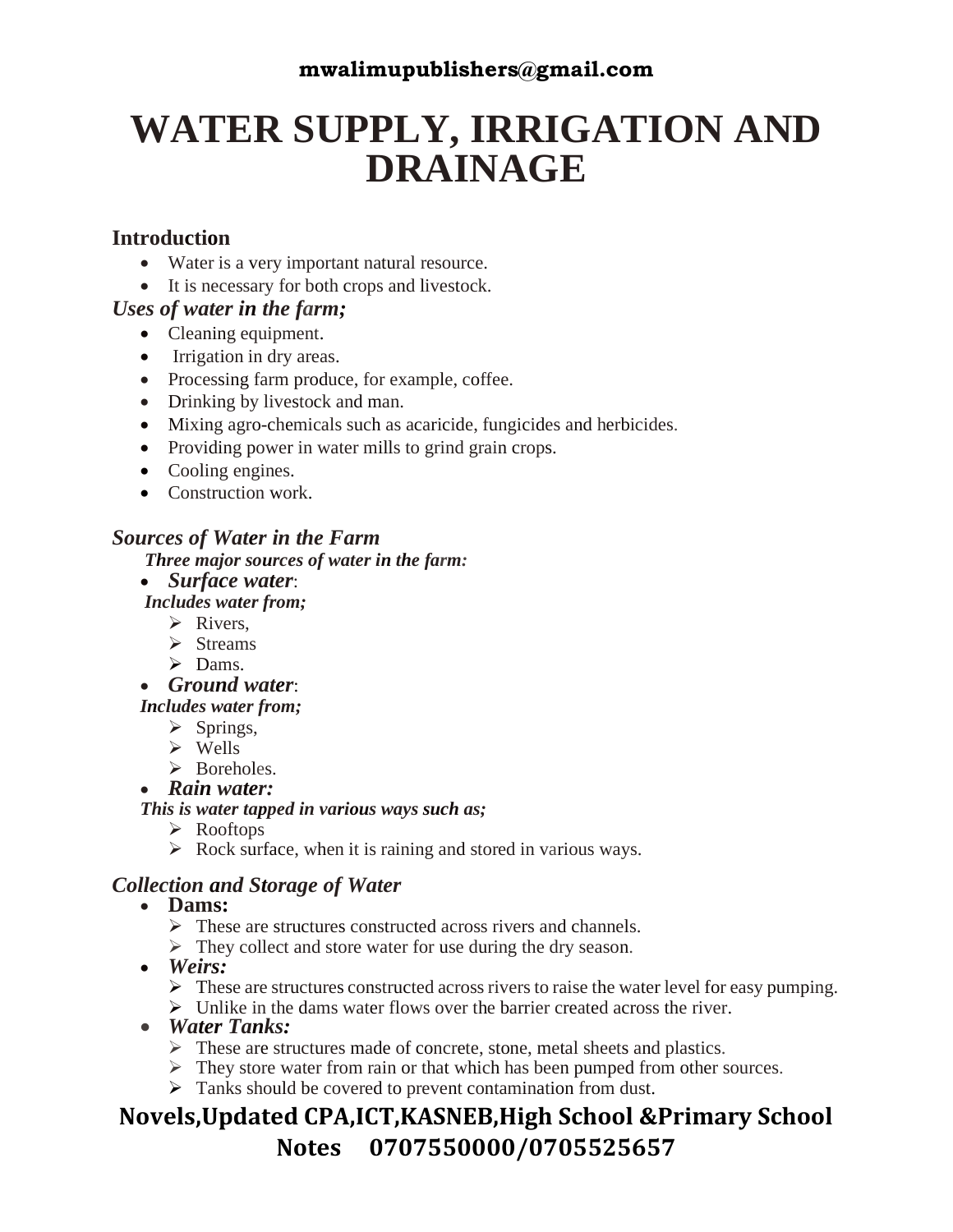## **WATER SUPPLY, IRRIGATION AND DRAINAGE**

#### **Introduction**

- Water is a very important natural resource.
- It is necessary for both crops and livestock.

#### *Uses of water in the farm;*

- Cleaning equipment.
- Irrigation in dry areas.
- Processing farm produce, for example, coffee.
- Drinking by livestock and man.
- Mixing agro-chemicals such as acaricide, fungicides and herbicides.
- Providing power in water mills to grind grain crops.
- Cooling engines.
- Construction work.

#### *Sources of Water in the Farm*

*Three major sources of water in the farm:* 

• *Surface water*:

*Includes water from;*

- ➢ Rivers,
- ➢ Streams
- ➢ Dams.

• *Ground water*:

*Includes water from;*

- $\triangleright$  Springs,
- ➢ Wells
- ➢ Boreholes.

#### • *Rain water:*

#### *This is water tapped in various ways such as;*

- ➢ Rooftops
- $\triangleright$  Rock surface, when it is raining and stored in various ways.

#### *Collection and Storage of Water*

- **Dams:**
	- $\triangleright$  These are structures constructed across rivers and channels.
	- ➢ They collect and store water for use during the dry season.
- *Weirs:*
	- ➢ These are structures constructed across rivers to raise the water level for easy pumping.
	- $\triangleright$  Unlike in the dams water flows over the barrier created across the river.
- *Water Tanks:*
	- ➢ These are structures made of concrete, stone, metal sheets and plastics.
	- $\triangleright$  They store water from rain or that which has been pumped from other sources.
	- ➢ Tanks should be covered to prevent contamination from dust.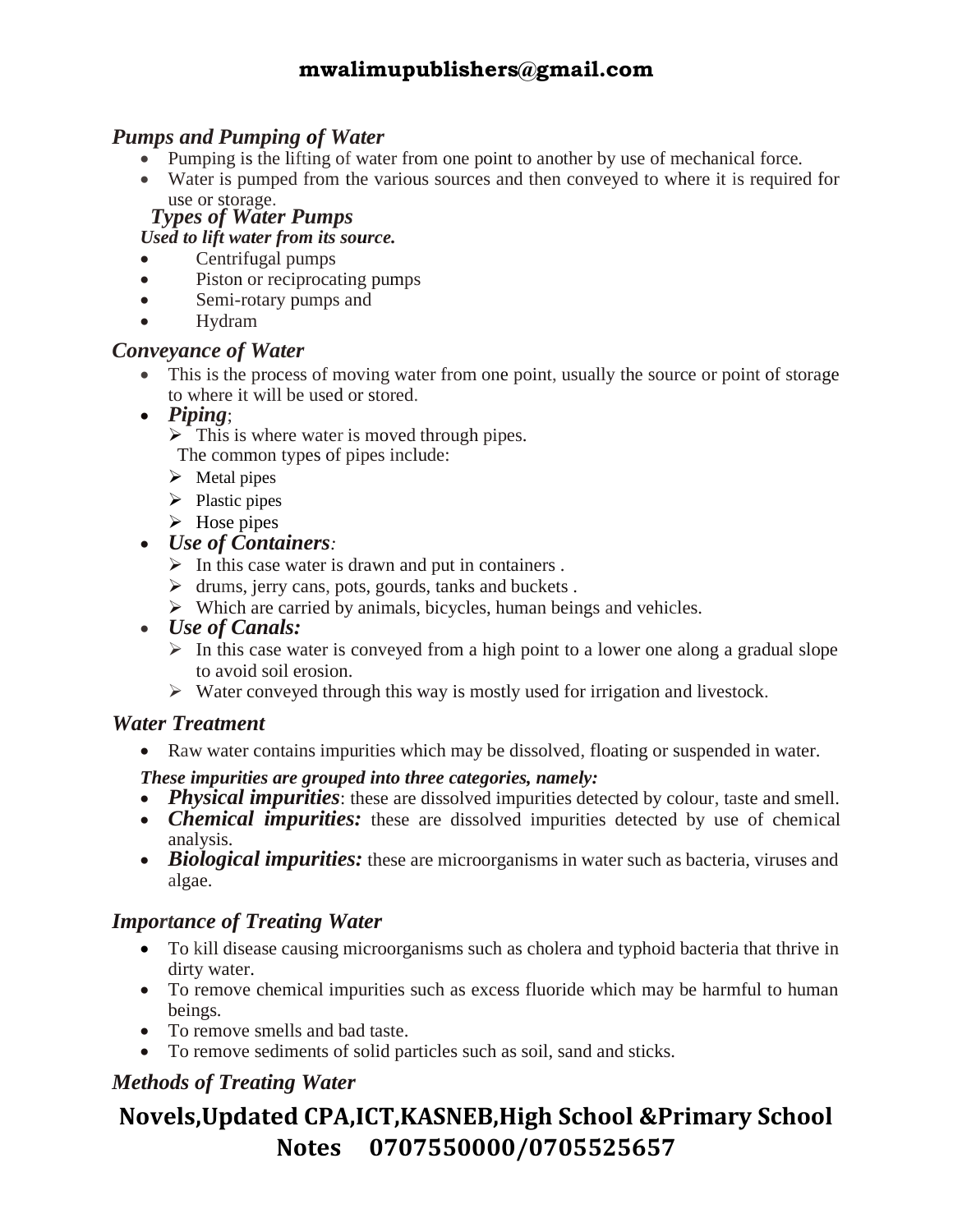#### *Pumps and Pumping of Water*

- Pumping is the lifting of water from one point to another by use of mechanical force.
- Water is pumped from the various sources and then conveyed to where it is required for use or storage.

#### *Types of Water Pumps*

#### *Used to lift water from its source.*

- Centrifugal pumps
- Piston or reciprocating pumps
- Semi-rotary pumps and
- Hydram

#### *Conveyance of Water*

- This is the process of moving water from one point, usually the source or point of storage to where it will be used or stored.
- *Piping*;
	- $\triangleright$  This is where water is moved through pipes.
	- The common types of pipes include:
	- $\triangleright$  Metal pipes
	- $\triangleright$  Plastic pipes
	- $\triangleright$  Hose pipes
- *Use of Containers:* 
	- $\triangleright$  In this case water is drawn and put in containers.
	- $\triangleright$  drums, jerry cans, pots, gourds, tanks and buckets.
	- ➢ Which are carried by animals, bicycles, human beings and vehicles.
- *Use of Canals:*
	- $\triangleright$  In this case water is conveyed from a high point to a lower one along a gradual slope to avoid soil erosion.
	- ➢ Water conveyed through this way is mostly used for irrigation and livestock.

#### *Water Treatment*

• Raw water contains impurities which may be dissolved, floating or suspended in water.

#### *These impurities are grouped into three categories, namely:*

- *Physical impurities*: these are dissolved impurities detected by colour, taste and smell.
- *Chemical impurities:* these are dissolved impurities detected by use of chemical analysis.
- *Biological impurities:* these are microorganisms in water such as bacteria, viruses and algae.

#### *Importance of Treating Water*

- To kill disease causing microorganisms such as cholera and typhoid bacteria that thrive in dirty water.
- To remove chemical impurities such as excess fluoride which may be harmful to human beings.
- To remove smells and bad taste.
- To remove sediments of solid particles such as soil, sand and sticks.

#### *Methods of Treating Water*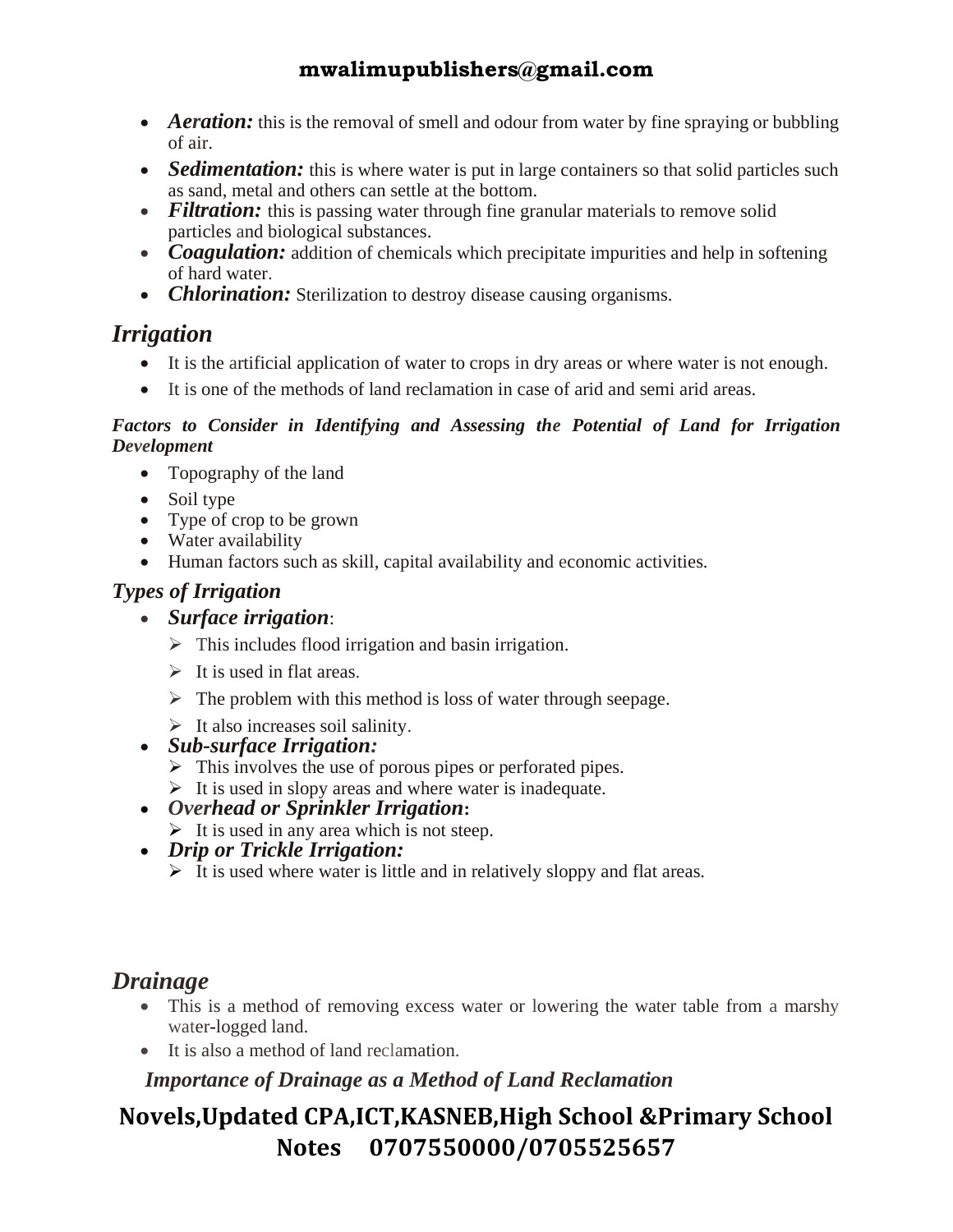- *Aeration:* this is the removal of smell and odour from water by fine spraying or bubbling of air.
- *Sedimentation:* this is where water is put in large containers so that solid particles such as sand, metal and others can settle at the bottom.
- *Filtration:* this is passing water through fine granular materials to remove solid particles and biological substances.
- *Coagulation:* addition of chemicals which precipitate impurities and help in softening of hard water.
- *Chlorination:* Sterilization to destroy disease causing organisms.

### *Irrigation*

- It is the artificial application of water to crops in dry areas or where water is not enough.
- It is one of the methods of land reclamation in case of arid and semi arid areas.

#### *Factors to Consider in Identifying and Assessing the Potential of Land for Irrigation Development*

- Topography of the land
- Soil type
- Type of crop to be grown
- Water availability
- Human factors such as skill, capital availability and economic activities.

#### *Types of Irrigation*

- *Surface irrigation*:
	- $\triangleright$  This includes flood irrigation and basin irrigation.
	- $\triangleright$  It is used in flat areas.
	- $\triangleright$  The problem with this method is loss of water through seepage.
	- $\triangleright$  It also increases soil salinity.
- *Sub-surface Irrigation:*
	- $\triangleright$  This involves the use of porous pipes or perforated pipes.
	- $\triangleright$  It is used in slopy areas and where water is inadequate.
- *Overhead or Sprinkler Irrigation***:**
	- $\triangleright$  It is used in any area which is not steep.
- *Drip or Trickle Irrigation:*
	- $\triangleright$  It is used where water is little and in relatively sloppy and flat areas.

## *Drainage*

- This is a method of removing excess water or lowering the water table from a marshy water-logged land.
- It is also a method of land reclamation.

 *Importance of Drainage as a Method of Land Reclamation*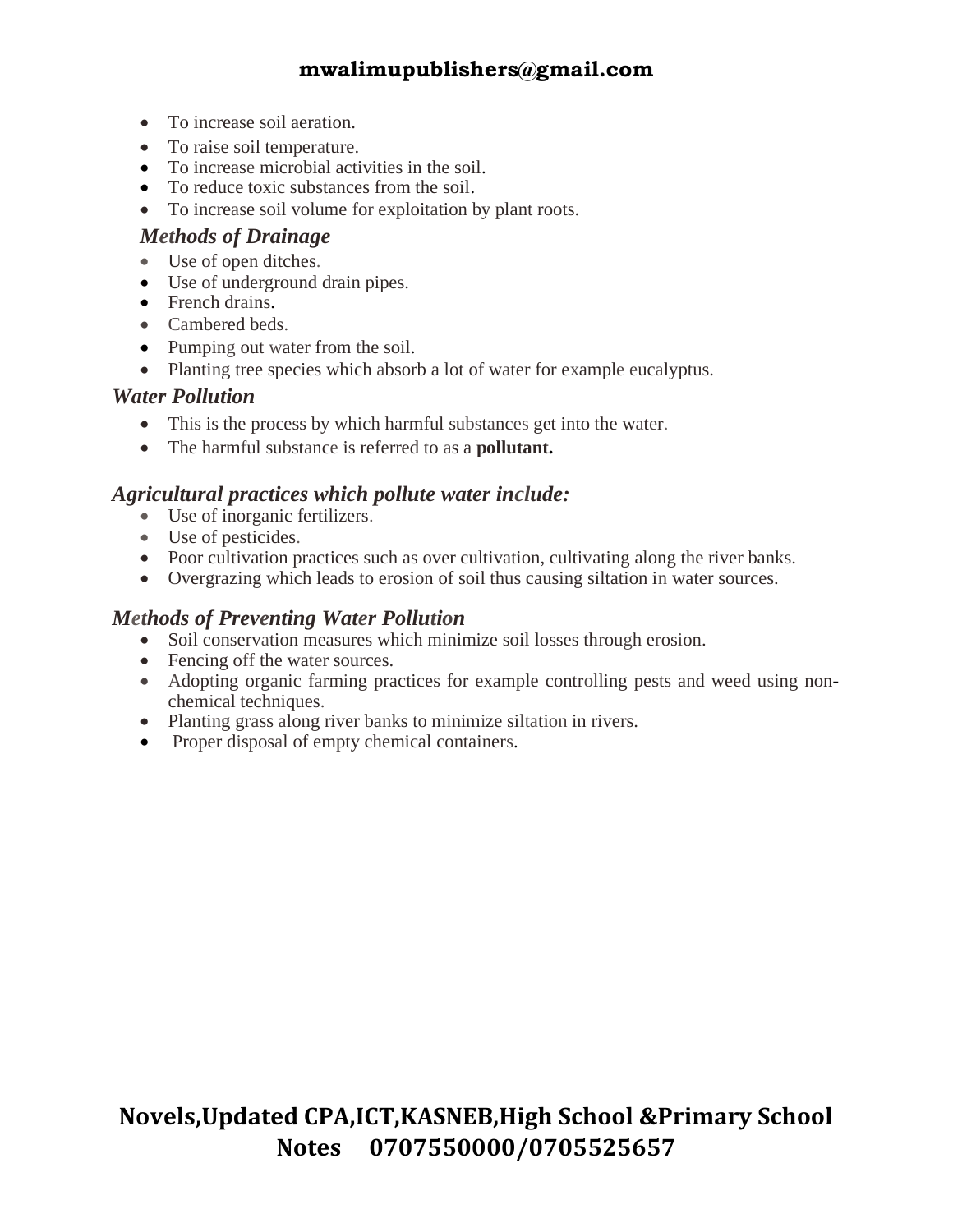- To increase soil aeration.
- To raise soil temperature.
- To increase microbial activities in the soil.
- To reduce toxic substances from the soil.
- To increase soil volume for exploitation by plant roots.

#### *Methods of Drainage*

- Use of open ditches.
- Use of underground drain pipes.
- French drains.
- Cambered beds.
- Pumping out water from the soil.
- Planting tree species which absorb a lot of water for example eucalyptus.

#### *Water Pollution*

- This is the process by which harmful substances get into the water.
- The harmful substance is referred to as a **pollutant.**

#### *Agricultural practices which pollute water include:*

- Use of inorganic fertilizers.
- Use of pesticides.
- Poor cultivation practices such as over cultivation, cultivating along the river banks.
- Overgrazing which leads to erosion of soil thus causing siltation in water sources.

#### *Methods of Preventing Water Pollution*

- Soil conservation measures which minimize soil losses through erosion.
- Fencing off the water sources.
- Adopting organic farming practices for example controlling pests and weed using nonchemical techniques.
- Planting grass along river banks to minimize siltation in rivers.
- Proper disposal of empty chemical containers.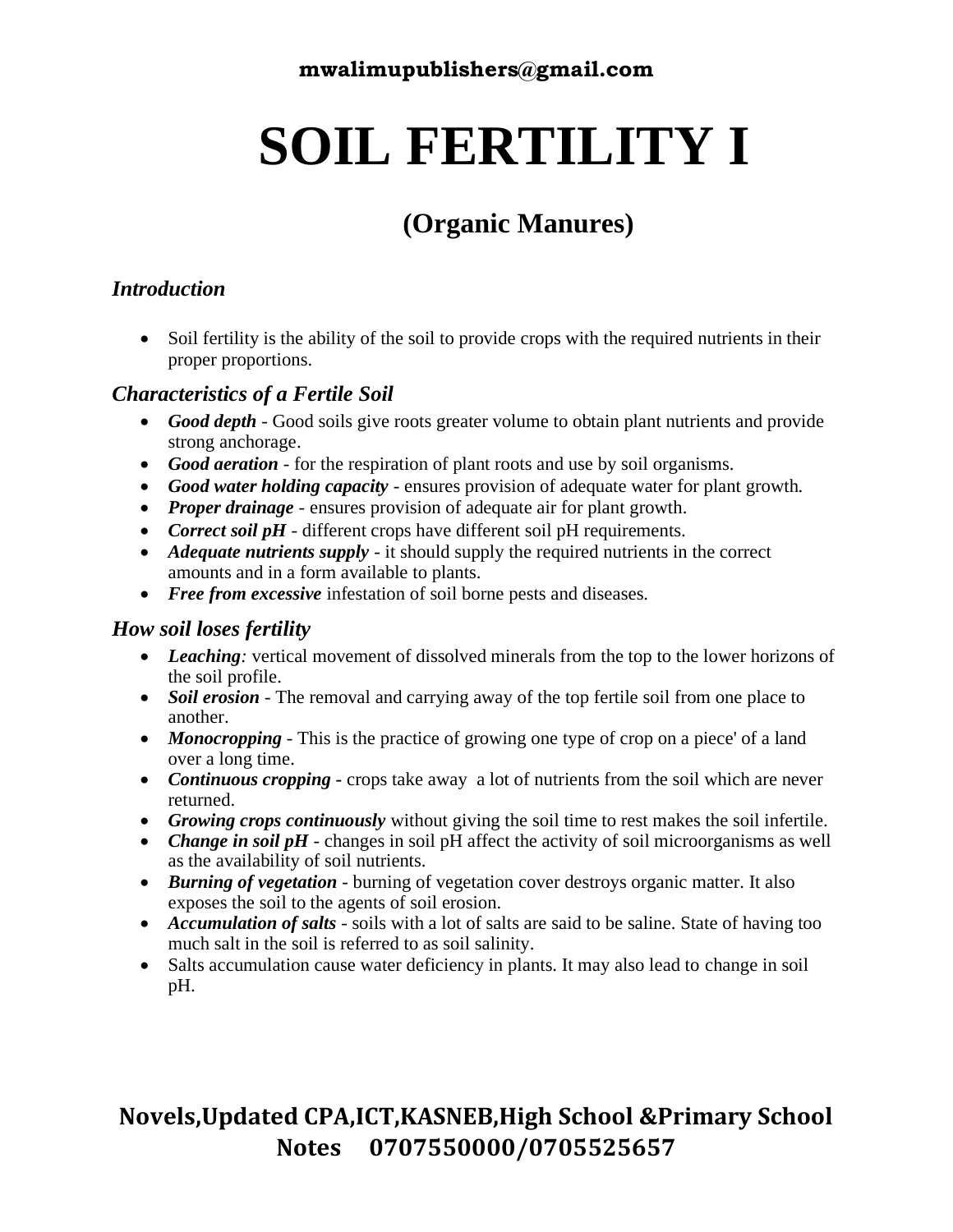# **SOIL FERTILITY I**

## **(Organic Manures)**

#### *Introduction*

• Soil fertility is the ability of the soil to provide crops with the required nutrients in their proper proportions.

#### *Characteristics of a Fertile Soil*

- *Good depth* Good soils give roots greater volume to obtain plant nutrients and provide strong anchorage.
- *Good aeration* for the respiration of plant roots and use by soil organisms.
- *Good water holding capacity* ensures provision of adequate water for plant growth.
- *Proper drainage* ensures provision of adequate air for plant growth.
- *Correct soil pH* different crops have different soil pH requirements.
- *Adequate nutrients supply* it should supply the required nutrients in the correct amounts and in a form available to plants.
- *Free from excessive* infestation of soil borne pests and diseases.

#### *How soil loses fertility*

- *Leaching*: vertical movement of dissolved minerals from the top to the lower horizons of the soil profile.
- *Soil erosion* The removal and carrying away of the top fertile soil from one place to another.
- *Monocropping* This is the practice of growing one type of crop on a piece' of a land over a long time.
- *Continuous cropping* crops take away a lot of nutrients from the soil which are never returned.
- *Growing crops continuously* without giving the soil time to rest makes the soil infertile.
- *Change in soil pH* changes in soil pH affect the activity of soil microorganisms as well as the availability of soil nutrients.
- *Burning of vegetation* burning of vegetation cover destroys organic matter. It also exposes the soil to the agents of soil erosion.
- *Accumulation of salts* soils with a lot of salts are said to be saline. State of having too much salt in the soil is referred to as soil salinity.
- Salts accumulation cause water deficiency in plants. It may also lead to change in soil pH.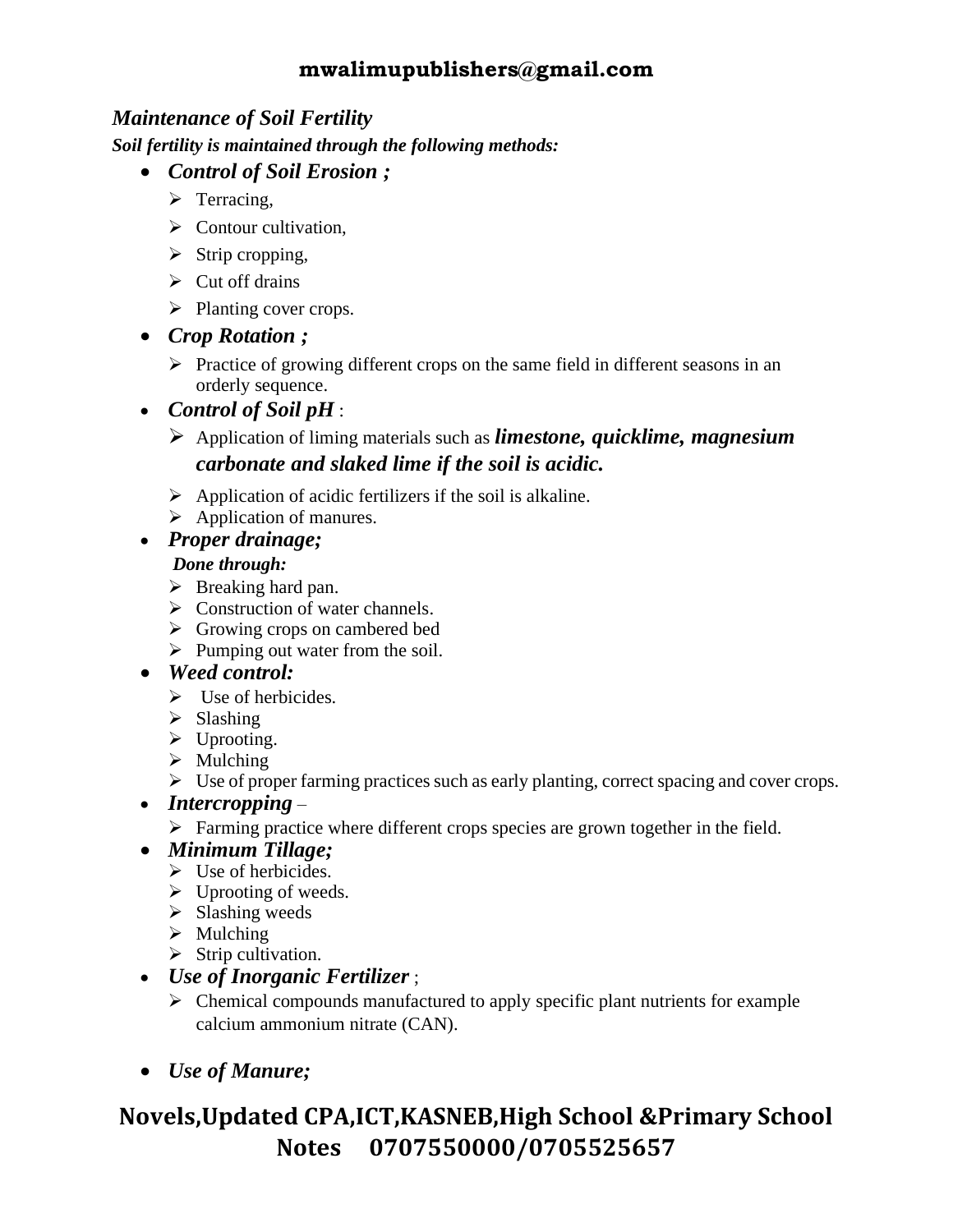#### *Maintenance of Soil Fertility*

*Soil fertility is maintained through the following methods:* 

- *Control of Soil Erosion ;* 
	- > Terracing,
	- $\triangleright$  Contour cultivation.
	- $\triangleright$  Strip cropping,
	- $\triangleright$  Cut off drains
	- ➢ Planting cover crops.
- *Crop Rotation ;*
	- ➢ Practice of growing different crops on the same field in different seasons in an orderly sequence.
- *Control of Soil pH* :
	- ➢ Application of liming materials such as *limestone, quicklime, magnesium carbonate and slaked lime if the soil is acidic.*
	- $\triangleright$  Application of acidic fertilizers if the soil is alkaline.
	- $\triangleright$  Application of manures.

#### • *Proper drainage;*

#### *Done through:*

- ➢ Breaking hard pan.
- ➢ Construction of water channels.
- ➢ Growing crops on cambered bed
- $\triangleright$  Pumping out water from the soil.

#### • *Weed control:*

- $\triangleright$  Use of herbicides.
- ➢ Slashing
- ➢ Uprooting.
- $\triangleright$  Mulching
- ➢ Use of proper farming practices such as early planting, correct spacing and cover crops.

#### • *Intercropping* –

➢ Farming practice where different crops species are grown together in the field.

#### • *Minimum Tillage;*

- ➢ Use of herbicides.
- $\triangleright$  Uprooting of weeds.
- $\triangleright$  Slashing weeds
- $\triangleright$  Mulching
- $\triangleright$  Strip cultivation.

#### • *Use of Inorganic Fertilizer* ;

- ➢ Chemical compounds manufactured to apply specific plant nutrients for example calcium ammonium nitrate (CAN).
- *Use of Manure;*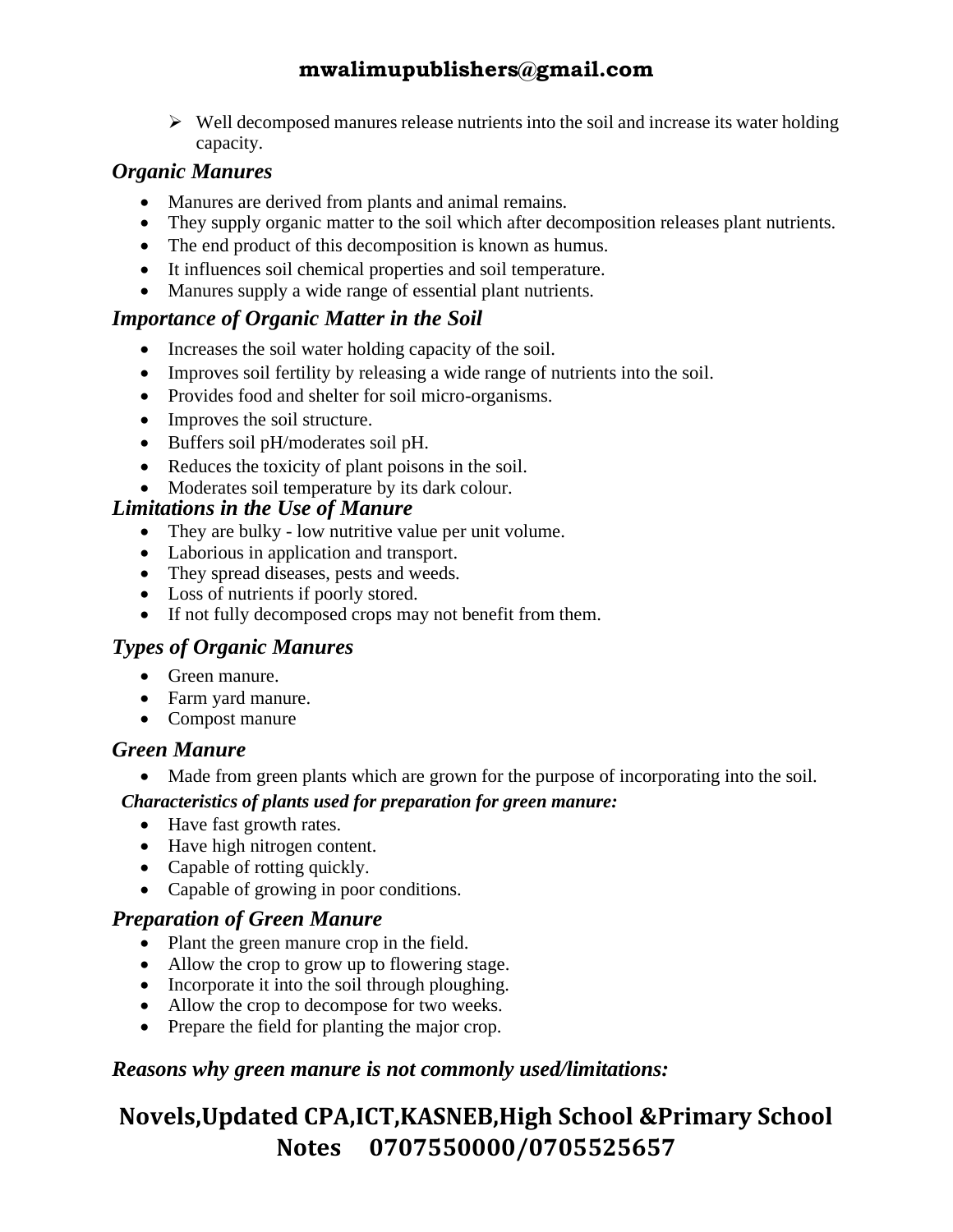$\triangleright$  Well decomposed manures release nutrients into the soil and increase its water holding capacity.

#### *Organic Manures*

- Manures are derived from plants and animal remains.
- They supply organic matter to the soil which after decomposition releases plant nutrients.
- The end product of this decomposition is known as humus.
- It influences soil chemical properties and soil temperature.
- Manures supply a wide range of essential plant nutrients.

#### *Importance of Organic Matter in the Soil*

- Increases the soil water holding capacity of the soil.
- Improves soil fertility by releasing a wide range of nutrients into the soil.
- Provides food and shelter for soil micro-organisms.
- Improves the soil structure.
- Buffers soil pH/moderates soil pH.
- Reduces the toxicity of plant poisons in the soil.
- Moderates soil temperature by its dark colour.

#### *Limitations in the Use of Manure*

- They are bulky low nutritive value per unit volume.
- Laborious in application and transport.
- They spread diseases, pests and weeds.
- Loss of nutrients if poorly stored.
- If not fully decomposed crops may not benefit from them.

#### *Types of Organic Manures*

- Green manure.
- Farm yard manure.
- Compost manure

#### *Green Manure*

• Made from green plants which are grown for the purpose of incorporating into the soil.

#### *Characteristics of plants used for preparation for green manure:*

- Have fast growth rates.
- Have high nitrogen content.
- Capable of rotting quickly.
- Capable of growing in poor conditions.

#### *Preparation of Green Manure*

- Plant the green manure crop in the field.
- Allow the crop to grow up to flowering stage.
- Incorporate it into the soil through ploughing.
- Allow the crop to decompose for two weeks.
- Prepare the field for planting the major crop.

#### *Reasons why green manure is not commonly used/limitations:*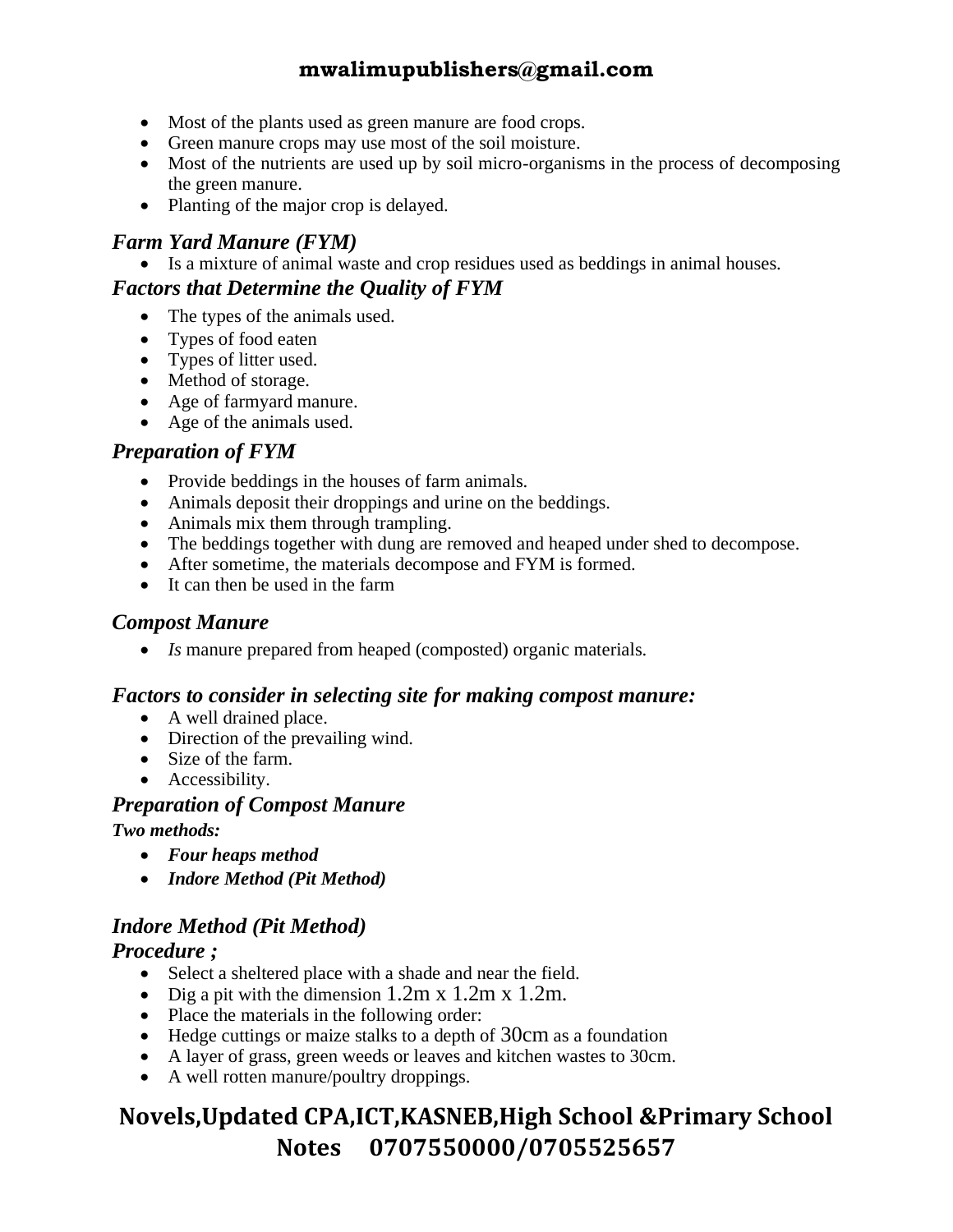- Most of the plants used as green manure are food crops.
- Green manure crops may use most of the soil moisture.
- Most of the nutrients are used up by soil micro-organisms in the process of decomposing the green manure.
- Planting of the major crop is delayed.

#### *Farm Yard Manure (FYM)*

• Is a mixture of animal waste and crop residues used as beddings in animal houses.

#### *Factors that Determine the Quality of FYM*

- The types of the animals used.
- Types of food eaten
- Types of litter used.
- Method of storage.
- Age of farmyard manure.
- Age of the animals used.

#### *Preparation of FYM*

- Provide beddings in the houses of farm animals.
- Animals deposit their droppings and urine on the beddings.
- Animals mix them through trampling.
- The beddings together with dung are removed and heaped under shed to decompose.
- After sometime, the materials decompose and FYM is formed.
- It can then be used in the farm

#### *Compost Manure*

• *Is* manure prepared from heaped (composted) organic materials.

#### *Factors to consider in selecting site for making compost manure:*

- A well drained place.
- Direction of the prevailing wind.
- Size of the farm.
- Accessibility.

#### *Preparation of Compost Manure*

*Two methods:*

- *Four heaps method*
- *Indore Method (Pit Method)*

#### *Indore Method (Pit Method)*

#### *Procedure ;*

- Select a sheltered place with a shade and near the field.
- Dig a pit with the dimension 1.2m x 1.2m x 1.2m.
- Place the materials in the following order:
- Hedge cuttings or maize stalks to a depth of 30cm as a foundation
- A layer of grass, green weeds or leaves and kitchen wastes to 30cm.
- A well rotten manure/poultry droppings.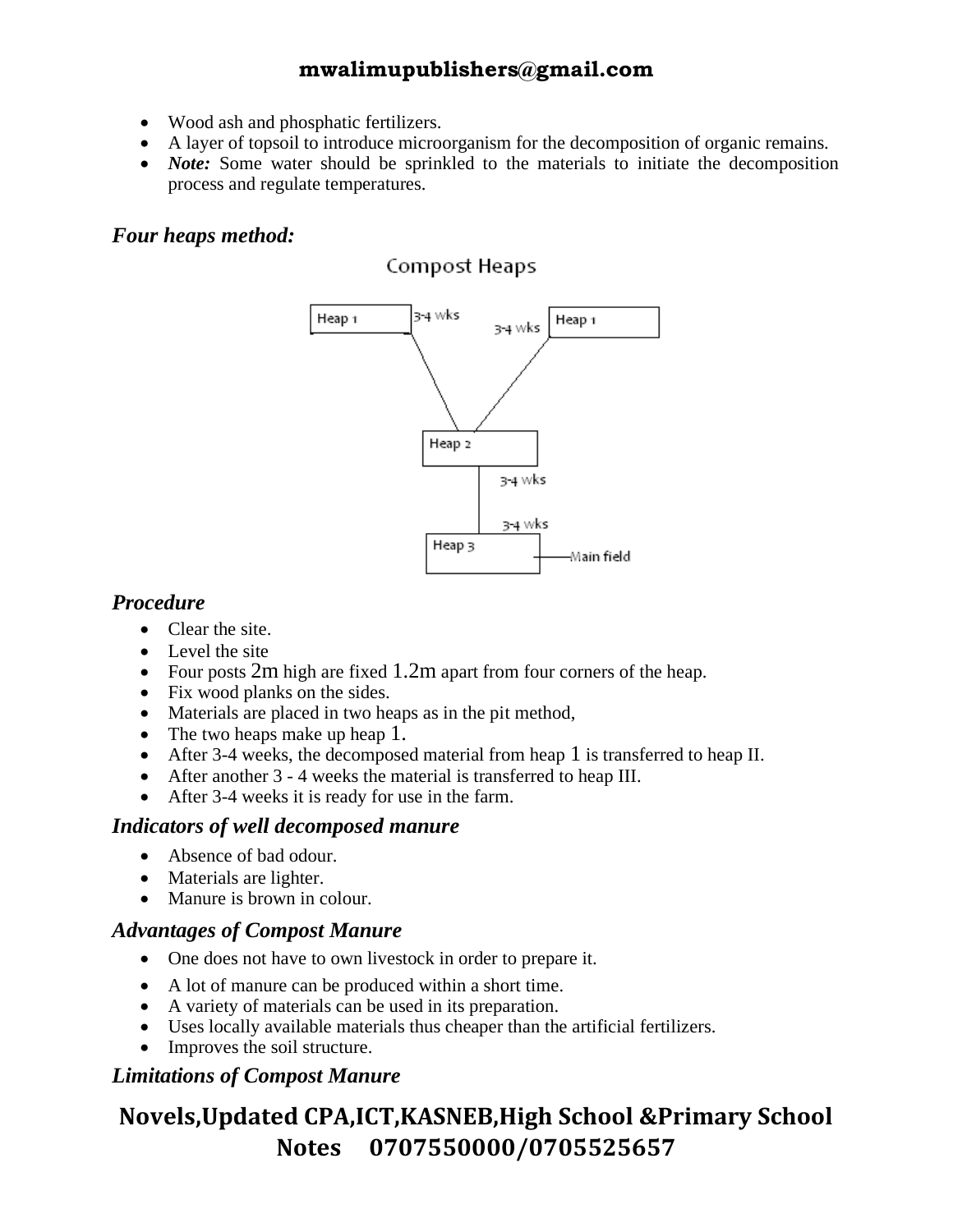- Wood ash and phosphatic fertilizers.
- A layer of topsoil to introduce microorganism for the decomposition of organic remains.
- *Note:* Some water should be sprinkled to the materials to initiate the decomposition process and regulate temperatures.

#### *Four heaps method:*

#### Compost Heaps



#### *Procedure*

- Clear the site.
- Level the site
- Four posts 2m high are fixed 1.2m apart from four corners of the heap.
- Fix wood planks on the sides.
- Materials are placed in two heaps as in the pit method,
- The two heaps make up heap 1.
- After 3-4 weeks, the decomposed material from heap 1 is transferred to heap II.
- After another 3 4 weeks the material is transferred to heap III.
- After 3-4 weeks it is ready for use in the farm.

#### *Indicators of well decomposed manure*

- Absence of bad odour.
- Materials are lighter.
- Manure is brown in colour.

#### *Advantages of Compost Manure*

- One does not have to own livestock in order to prepare it.
- A lot of manure can be produced within a short time.
- A variety of materials can be used in its preparation.
- Uses locally available materials thus cheaper than the artificial fertilizers.
- Improves the soil structure.

#### *Limitations of Compost Manure*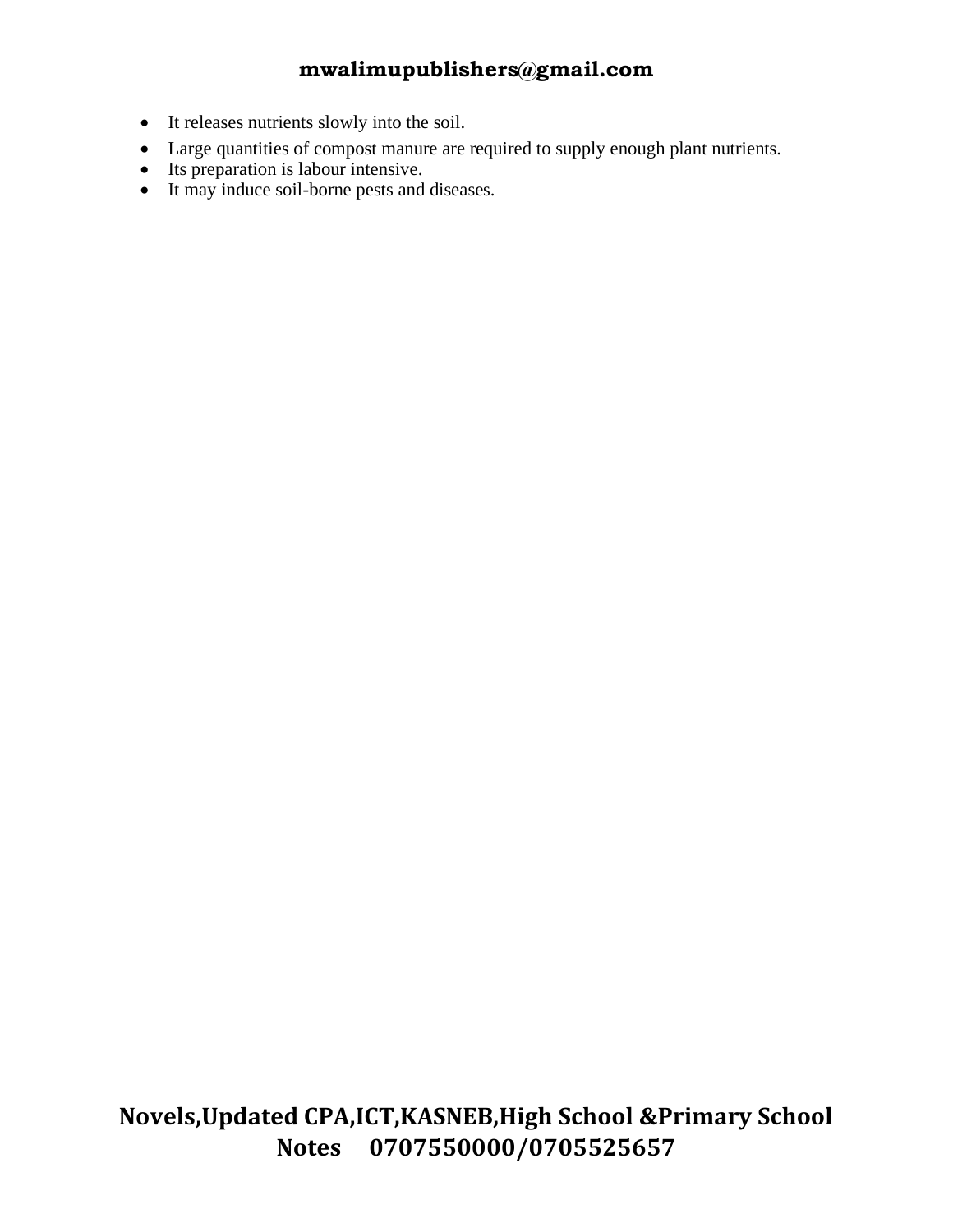- It releases nutrients slowly into the soil.
- Large quantities of compost manure are required to supply enough plant nutrients.
- Its preparation is labour intensive.
- It may induce soil-borne pests and diseases.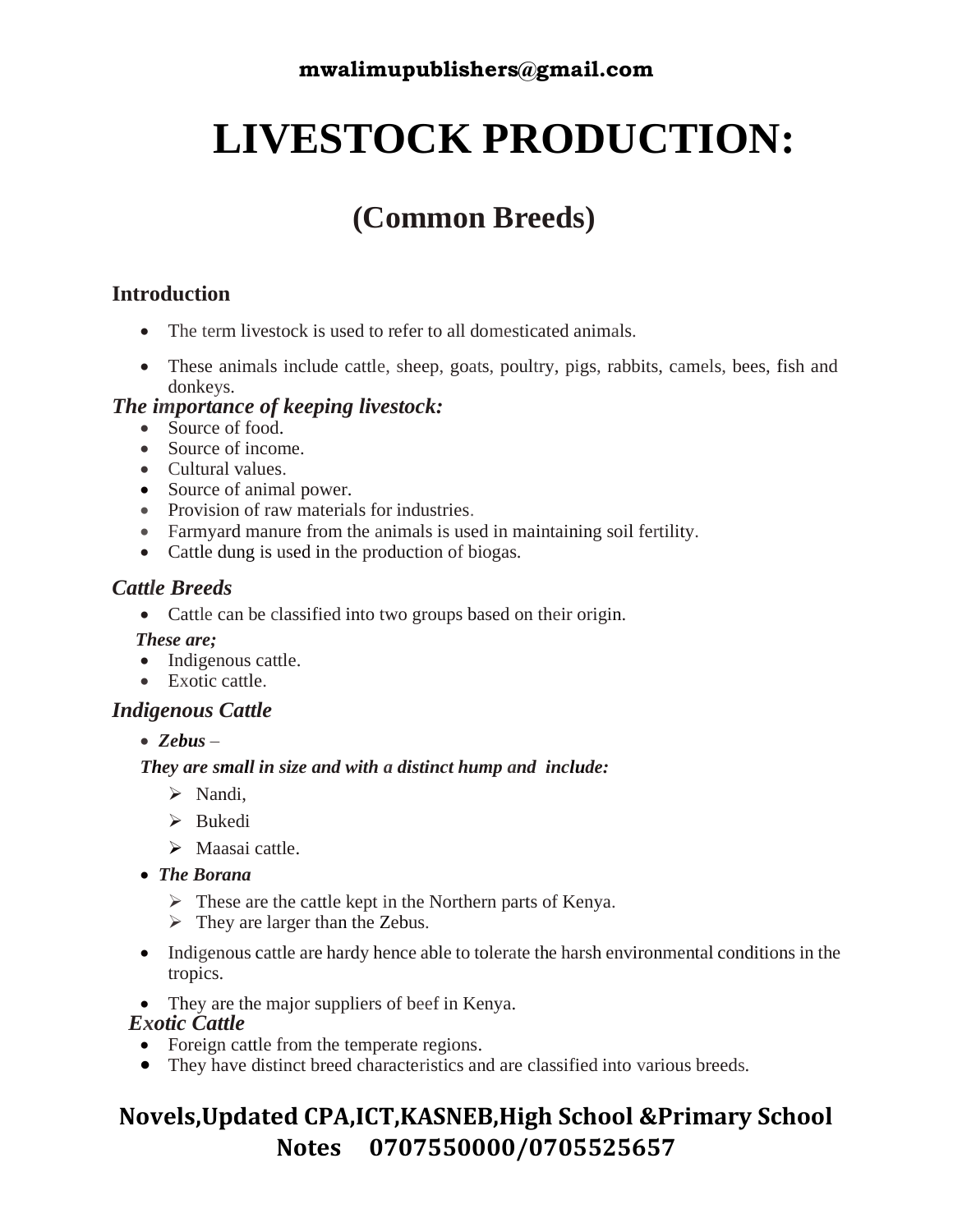## **LIVESTOCK PRODUCTION:**

## **(Common Breeds)**

#### **Introduction**

- The term livestock is used to refer to all domesticated animals.
- These animals include cattle, sheep, goats, poultry, pigs, rabbits, camels, bees, fish and donkeys.

#### *The importance of keeping livestock:*

- Source of food.
- Source of income.
- Cultural values.
- Source of animal power.
- Provision of raw materials for industries.
- Farmyard manure from the animals is used in maintaining soil fertility.
- Cattle dung is used in the production of biogas.

#### *Cattle Breeds*

- Cattle can be classified into two groups based on their origin.
- *These are;*
- Indigenous cattle.
- Exotic cattle.

#### *Indigenous Cattle*

• *Zebus* –

#### *They are small in size and with a distinct hump and include:*

- ➢ Nandi,
- ➢ Bukedi
- ➢ Maasai cattle.
- *The Borana*
	- $\triangleright$  These are the cattle kept in the Northern parts of Kenya.
	- $\triangleright$  They are larger than the Zebus.
- Indigenous cattle are hardy hence able to tolerate the harsh environmental conditions in the tropics.
- They are the major suppliers of beef in Kenya.

#### *Exotic Cattle*

- Foreign cattle from the temperate regions.
- They have distinct breed characteristics and are classified into various breeds.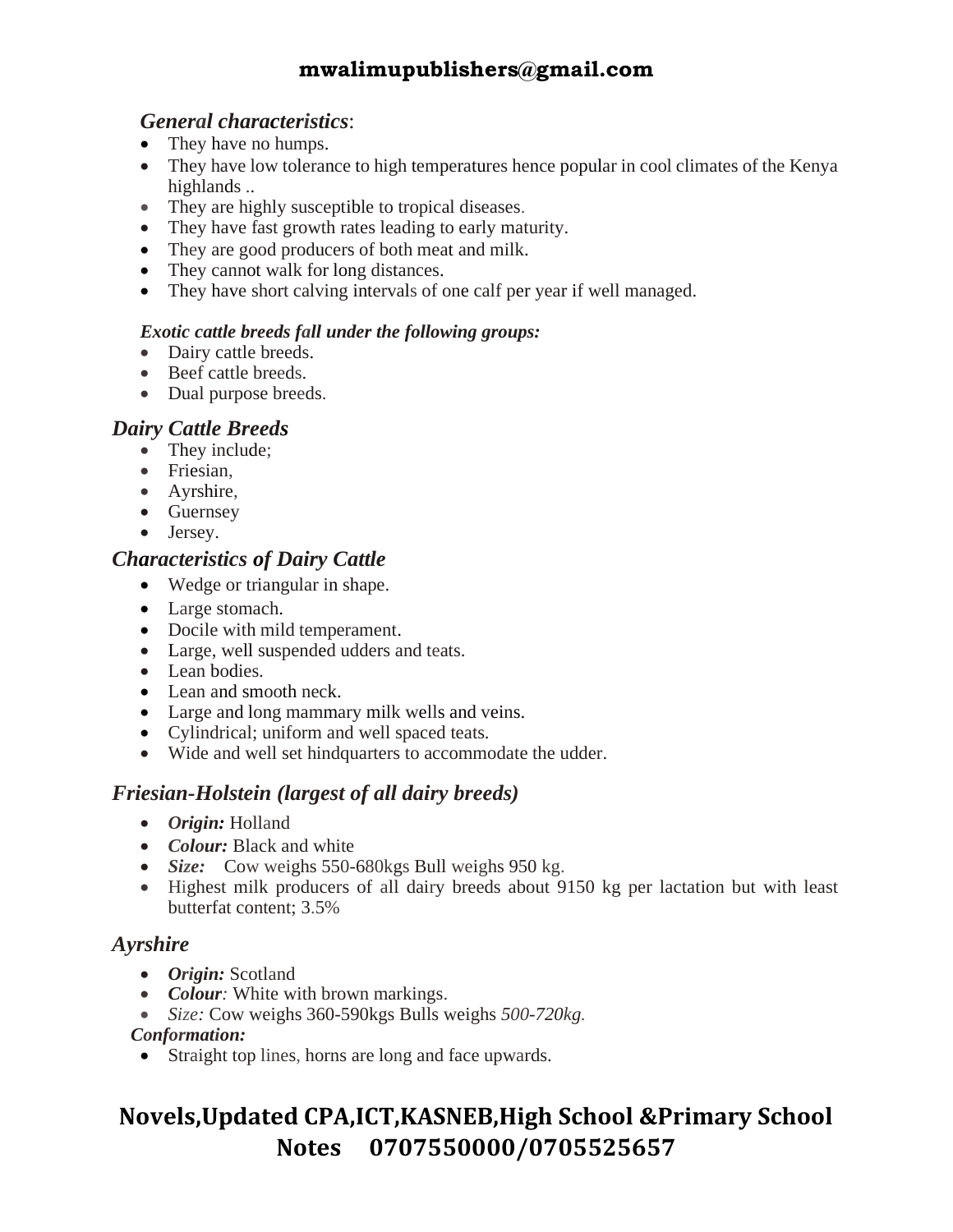#### *General characteristics*:

- They have no humps.
- They have low tolerance to high temperatures hence popular in cool climates of the Kenya highlands ..
- They are highly susceptible to tropical diseases.
- They have fast growth rates leading to early maturity.
- They are good producers of both meat and milk.
- They cannot walk for long distances.
- They have short calving intervals of one calf per year if well managed.

#### *Exotic cattle breeds fall under the following groups:*

- Dairy cattle breeds.
- Beef cattle breeds.
- Dual purpose breeds.

#### *Dairy Cattle Breeds*

- They include;
- Friesian,
- Ayrshire,
- Guernsey
- Jersey.

#### *Characteristics of Dairy Cattle*

- Wedge or triangular in shape.
- Large stomach.
- Docile with mild temperament.
- Large, well suspended udders and teats.
- Lean bodies.
- Lean and smooth neck.
- Large and long mammary milk wells and veins.
- Cylindrical; uniform and well spaced teats.
- Wide and well set hindquarters to accommodate the udder.

#### *Friesian-Holstein (largest of all dairy breeds)*

- *Origin:* Holland
- *Colour:* Black and white
- *Size:* Cow weighs 550-680kgs Bull weighs 950 kg.
- Highest milk producers of all dairy breeds about 9150 kg per lactation but with least butterfat content; 3.5%

#### *Ayrshire*

- *Origin:* Scotland
- *Colour:* White with brown markings.
- *Size:* Cow weighs 360-590kgs Bulls weighs *500-720kg.*

#### *Conformation:*

• Straight top lines, horns are long and face upwards.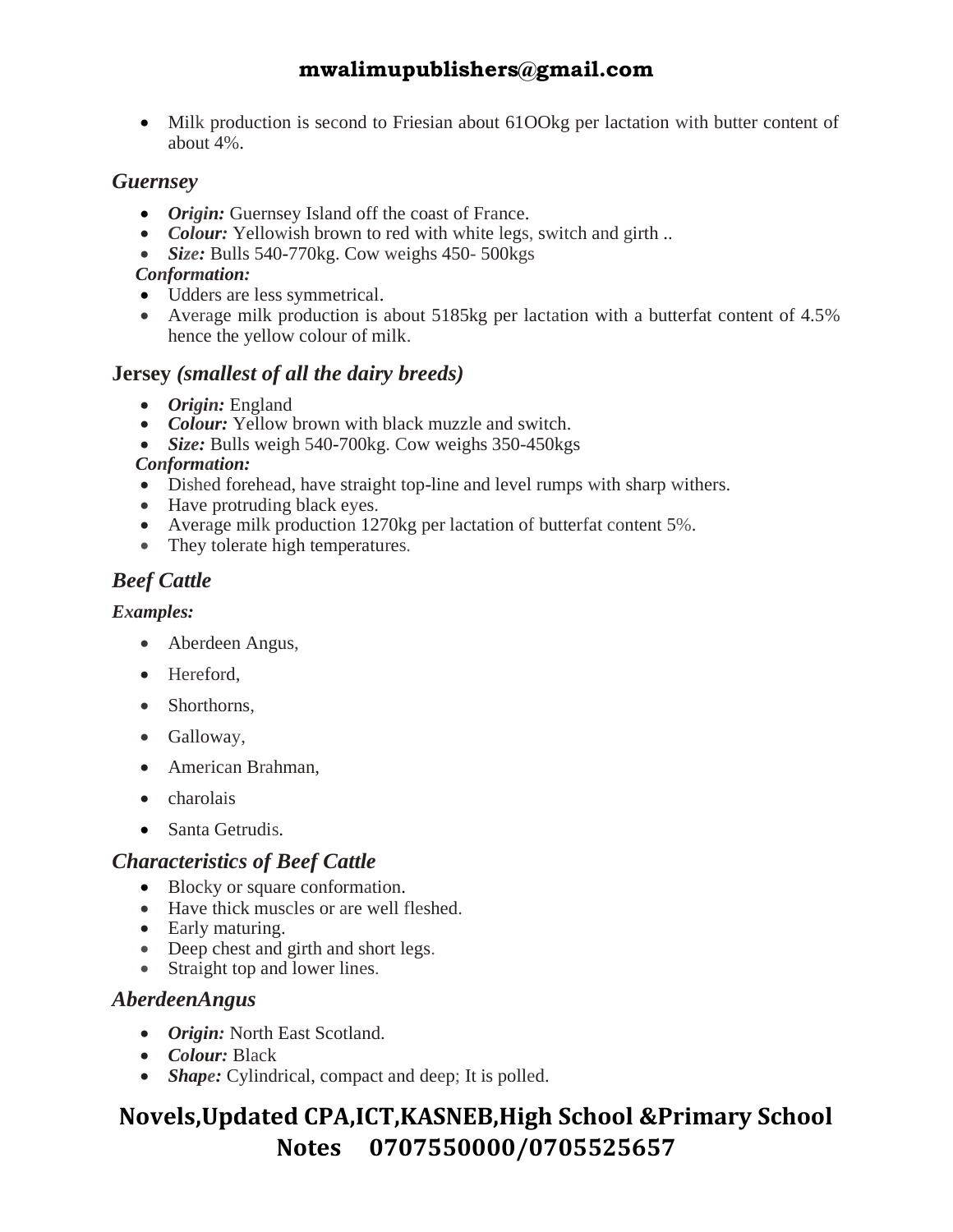• Milk production is second to Friesian about 61 OOkg per lactation with butter content of about 4%.

#### *Guernsey*

- *Origin:* Guernsey Island off the coast of France.
- *Colour:* Yellowish brown to red with white legs, switch and girth ...
- *Size:* Bulls 540-770kg. Cow weighs 450- 500kgs

#### *Conformation:*

- Udders are less symmetrical.
- Average milk production is about 5185kg per lactation with a butterfat content of 4.5% hence the yellow colour of milk.

#### **Jersey** *(smallest of all the dairy breeds)*

- *Origin:* England
- *Colour:* Yellow brown with black muzzle and switch.
- *Size:* Bulls weigh 540-700kg. Cow weighs 350-450kgs

#### *Conformation:*

- Dished forehead, have straight top-line and level rumps with sharp withers.
- Have protruding black eyes.
- Average milk production 1270kg per lactation of butterfat content 5%.
- They tolerate high temperatures.

#### *Beef Cattle*

#### *Examples:*

- Aberdeen Angus,
- Hereford,
- Shorthorns.
- Galloway,
- American Brahman,
- charolais
- Santa Getrudis.

#### *Characteristics of Beef Cattle*

- Blocky or square conformation.
- Have thick muscles or are well fleshed.
- Early maturing.
- Deep chest and girth and short legs.
- Straight top and lower lines.

#### *AberdeenAngus*

- *Origin:* North East Scotland.
- *Colour:* Black
- *Shape:* Cylindrical, compact and deep; It is polled.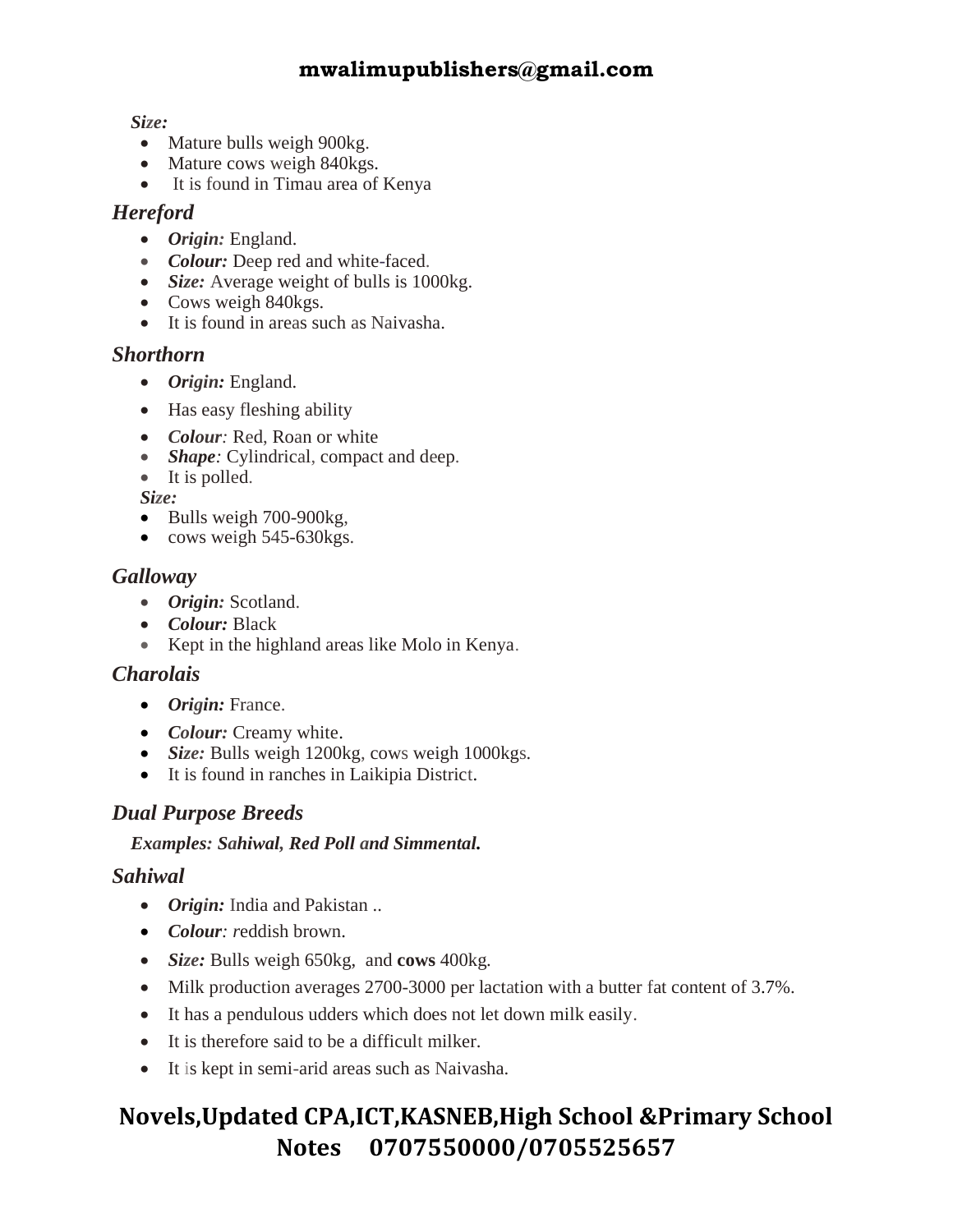#### *Size:*

- Mature bulls weigh 900kg.
- Mature cows weigh 840kgs.
- It is found in Timau area of Kenya

#### *Hereford*

- *Origin:* England.
- *Colour:* Deep red and white-faced.
- *Size:* Average weight of bulls is 1000kg.
- Cows weigh 840kgs.
- It is found in areas such as Naivasha.

#### *Shorthorn*

- *Origin:* England.
- Has easy fleshing ability
- *Colour:* Red, Roan or white
- *Shape:* Cylindrical, compact and deep.
- It is polled.

 *Size:*

- Bulls weigh 700-900kg,
- cows weigh 545-630kgs.

#### *Galloway*

- *Origin:* Scotland.
- *Colour:* Black
- Kept in the highland areas like Molo in Kenya.

#### *Charolais*

- *Origin:* France.
- *Colour:* Creamy white.
- *Size:* Bulls weigh 1200kg, cows weigh 1000kgs.
- It is found in ranches in Laikipia District.

#### *Dual Purpose Breeds*

#### *Examples: Sahiwal, Red Poll and Simmental.*

#### *Sahiwal*

- *Origin:* India and Pakistan ..
- *Colour: r*eddish brown.
- *Size:* Bulls weigh 650kg, and **cows** 400kg.
- Milk production averages 2700-3000 per lactation with a butter fat content of 3.7%.
- It has a pendulous udders which does not let down milk easily.
- It is therefore said to be a difficult milker.
- It is kept in semi-arid areas such as Naivasha.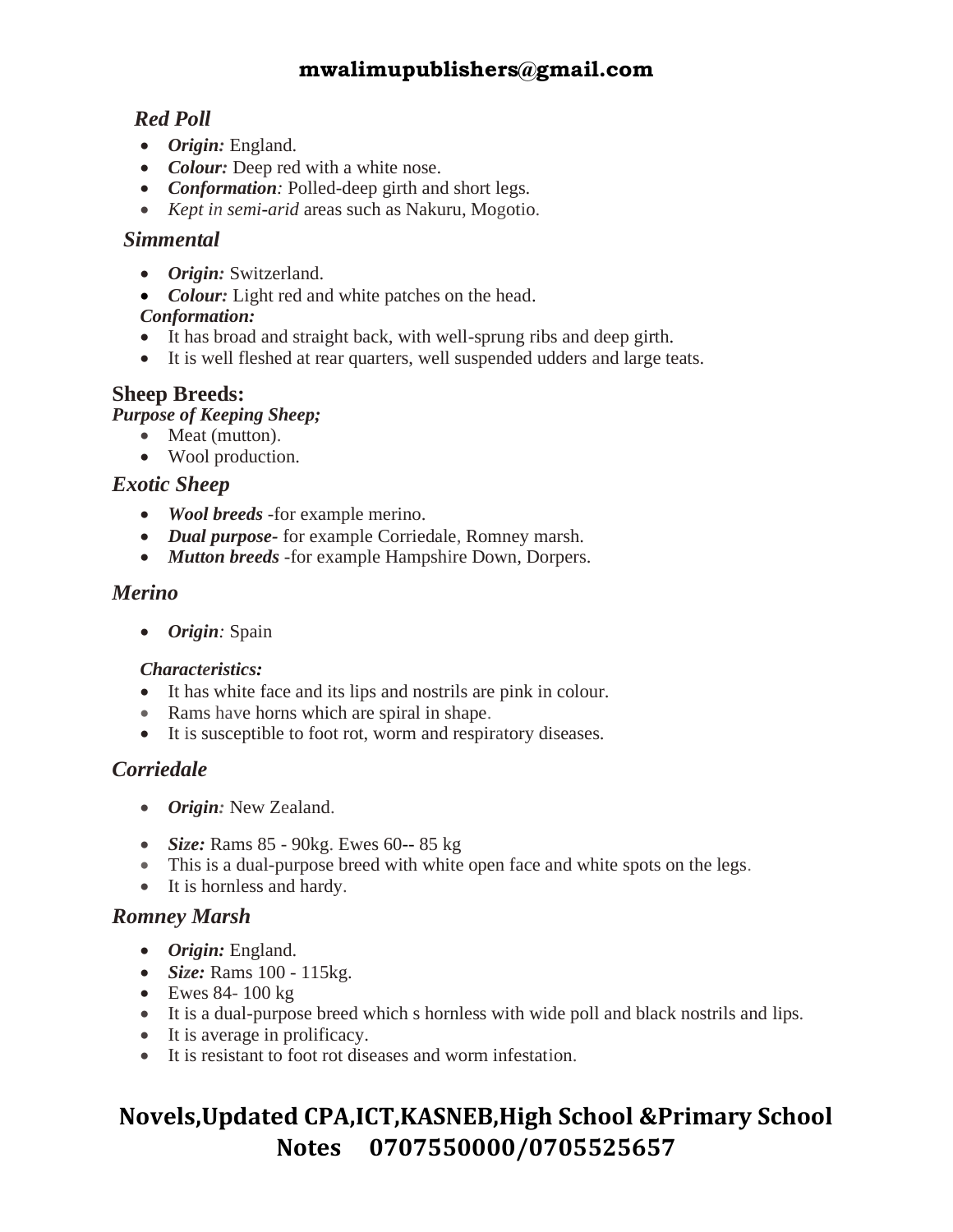#### *Red Poll*

- *Origin:* England.
- *Colour:* Deep red with a white nose.
- *Conformation:* Polled-deep girth and short legs.
- *Kept in semi-arid* areas such as Nakuru, Mogotio.

#### *Simmental*

- *Origin:* Switzerland.
- *Colour:* Light red and white patches on the head.

#### *Conformation:*

- It has broad and straight back, with well-sprung ribs and deep girth.
- It is well fleshed at rear quarters, well suspended udders and large teats.

#### **Sheep Breeds:**

*Purpose of Keeping Sheep;* 

- Meat (mutton).
- Wool production.

#### *Exotic Sheep*

- *Wool breeds* -for example merino.
- *Dual purpose-* for example Corriedale, Romney marsh.
- *Mutton breeds* -for example Hampshire Down, Dorpers.

#### *Merino*

• *Origin:* Spain

#### *Characteristics:*

- It has white face and its lips and nostrils are pink in colour.
- Rams have horns which are spiral in shape.
- It is susceptible to foot rot, worm and respiratory diseases.

#### *Corriedale*

- *Origin:* New Zealand.
- *Size:* Rams 85 90kg. Ewes 60-- 85 kg
- This is a dual-purpose breed with white open face and white spots on the legs.
- It is hornless and hardy.

#### *Romney Marsh*

- *Origin:* England.
- *Size:* Rams 100 115kg.
- Ewes 84- 100 kg
- It is a dual-purpose breed which s hornless with wide poll and black nostrils and lips.
- It is average in prolificacy.
- It is resistant to foot rot diseases and worm infestation.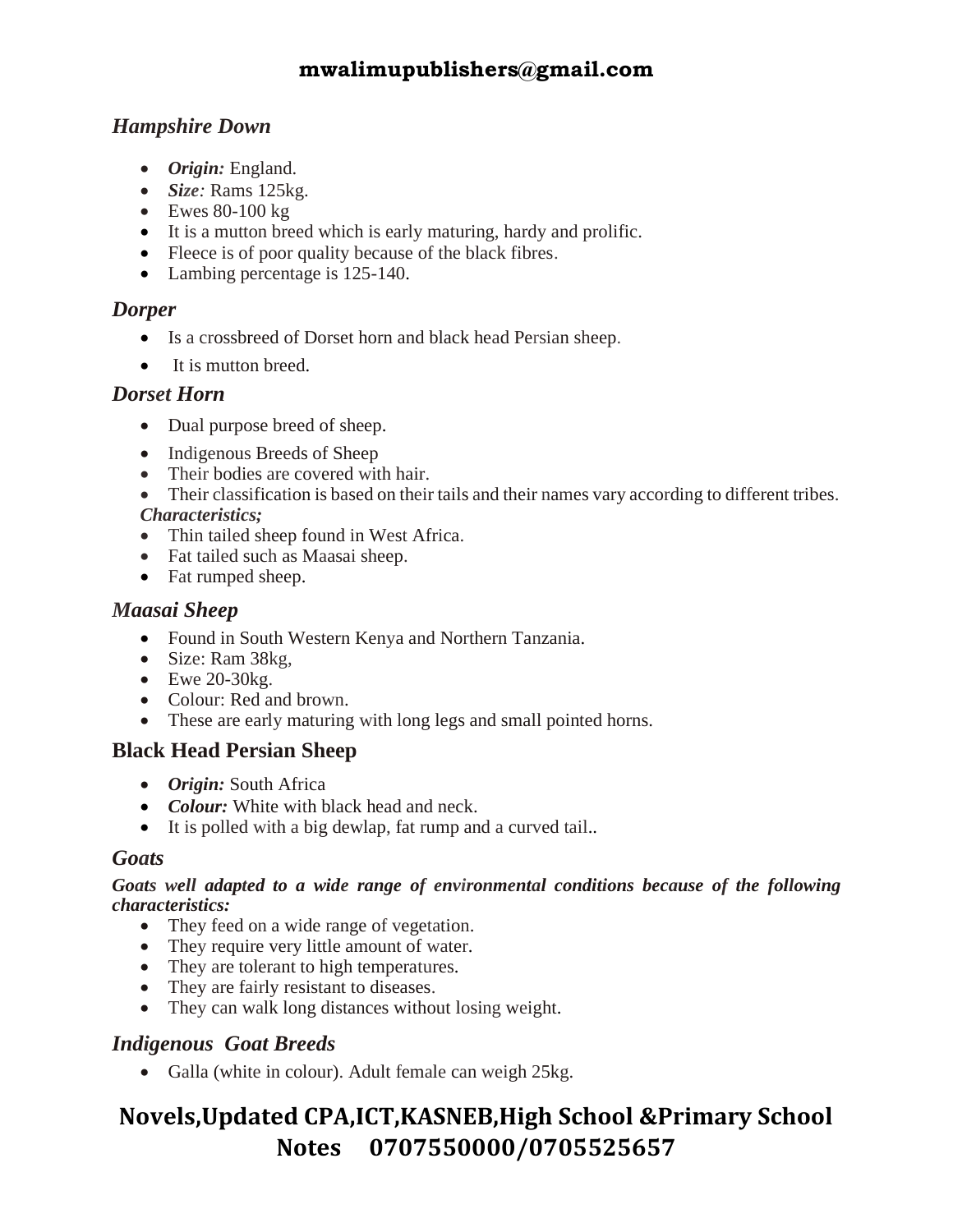#### *Hampshire Down*

- *Origin:* England.
- *Size:* Rams 125kg.
- $\bullet$  Ewes 80-100 kg
- It is a mutton breed which is early maturing, hardy and prolific.
- Fleece is of poor quality because of the black fibres.
- Lambing percentage is 125-140.

#### *Dorper*

- Is a crossbreed of Dorset horn and black head Persian sheep.
- It is mutton breed.

#### *Dorset Horn*

- Dual purpose breed of sheep.
- Indigenous Breeds of Sheep
- Their bodies are covered with hair.
- Their classification is based on their tails and their names vary according to different tribes. *Characteristics;*
- Thin tailed sheep found in West Africa.
- Fat tailed such as Maasai sheep.
- Fat rumped sheep.

#### *Maasai Sheep*

- Found in South Western Kenya and Northern Tanzania.
- Size: Ram 38kg,
- $\bullet$  Ewe 20-30kg.
- Colour: Red and brown.
- These are early maturing with long legs and small pointed horns.

#### **Black Head Persian Sheep**

- *Origin:* South Africa
- *Colour:* White with black head and neck.
- It is polled with a big dewlap, fat rump and a curved tail..

#### *Goats*

#### *Goats well adapted to a wide range of environmental conditions because of the following characteristics:*

- They feed on a wide range of vegetation.
- They require very little amount of water.
- They are tolerant to high temperatures.
- They are fairly resistant to diseases.
- They can walk long distances without losing weight.

#### *Indigenous Goat Breeds*

• Galla (white in colour). Adult female can weigh 25kg.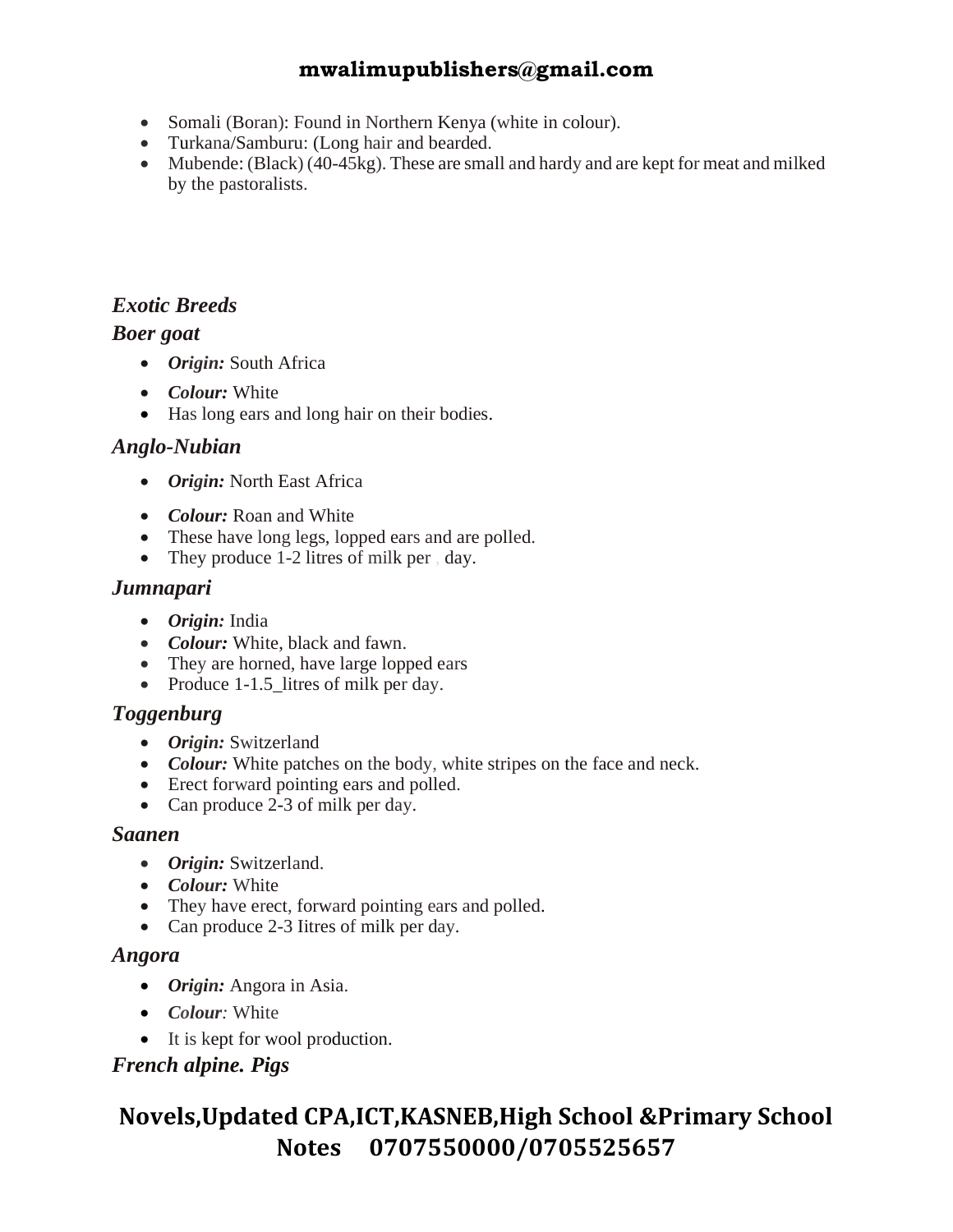- Somali (Boran): Found in Northern Kenya (white in colour).
- Turkana/Samburu: (Long hair and bearded.
- Mubende: (Black) (40-45kg). These are small and hardy and are kept for meat and milked by the pastoralists.

#### *Exotic Breeds*

#### *Boer goat*

- *Origin:* South Africa
- *Colour:* White
- Has long ears and long hair on their bodies.

#### *Anglo-Nubian*

- *Origin:* North East Africa
- *Colour:* Roan and White
- These have long legs, lopped ears and are polled.
- They produce 1-2 litres of milk per , day.

#### *Jumnapari*

- *Origin:* India
- *Colour:* White, black and fawn.
- They are horned, have large lopped ears
- Produce 1-1.5\_litres of milk per day.

#### *Toggenburg*

- *Origin:* Switzerland
- *Colour:* White patches on the body, white stripes on the face and neck.
- Erect forward pointing ears and polled.
- Can produce 2-3 of milk per day.

#### *Saanen*

- *Origin:* Switzerland.
- *Colour:* White
- They have erect, forward pointing ears and polled.
- Can produce 2-3 Iitres of milk per day.

#### *Angora*

- *Origin:* Angora in Asia.
- *Colour:* White
- It is kept for wool production.

#### *French alpine. Pigs*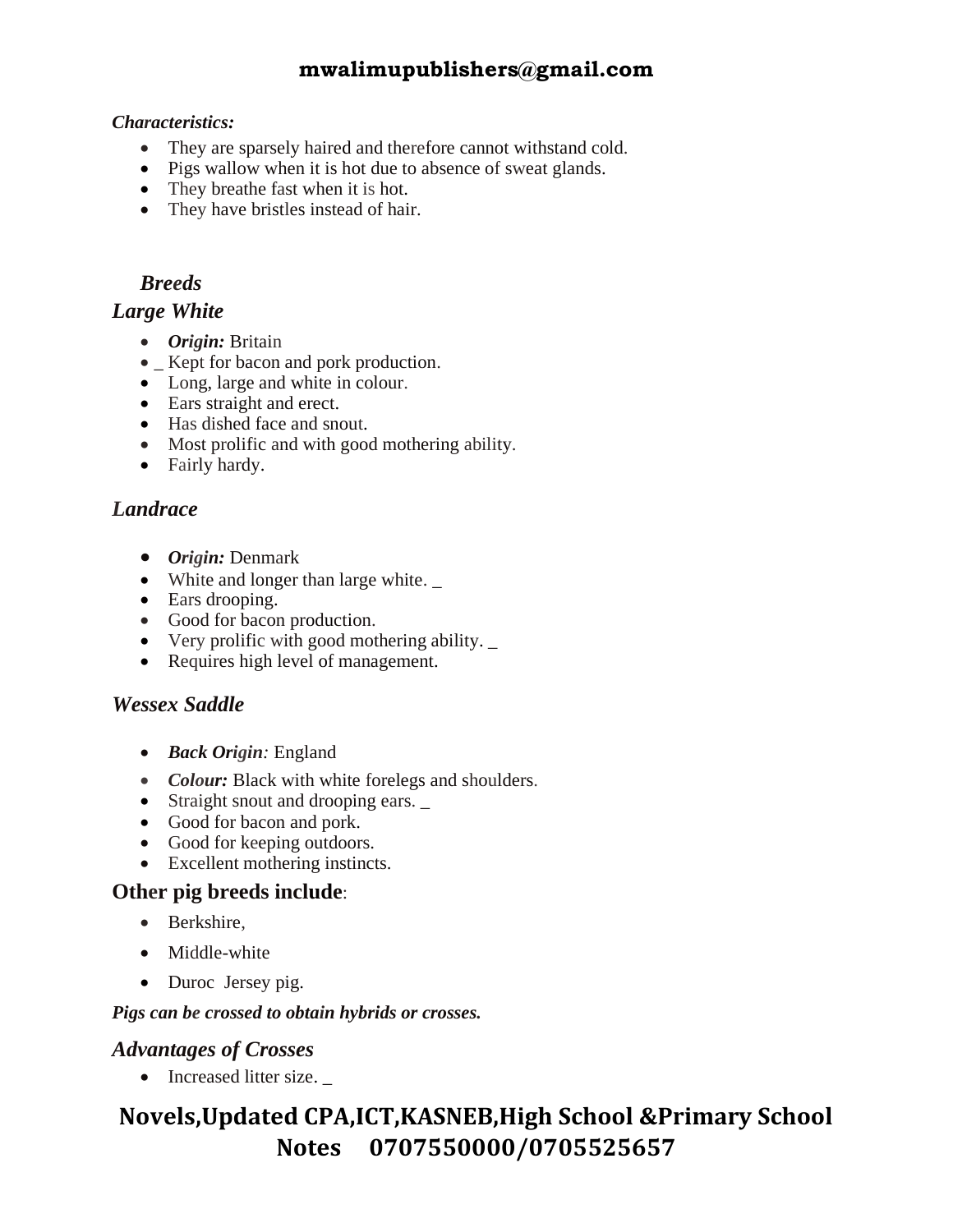#### *Characteristics:*

- They are sparsely haired and therefore cannot withstand cold.
- Pigs wallow when it is hot due to absence of sweat glands.
- They breathe fast when it is hot.
- They have bristles instead of hair.

#### *Breeds*

#### *Large White*

- *Origin:* Britain
- Kept for bacon and pork production.
- Long, large and white in colour.
- Ears straight and erect.
- Has dished face and snout.
- Most prolific and with good mothering ability.
- Fairly hardy.

#### *Landrace*

- *Origin:* Denmark
- White and longer than large white.
- Ears drooping.
- Good for bacon production.
- Very prolific with good mothering ability. \_
- Requires high level of management.

#### *Wessex Saddle*

- *Back Origin:* England
- *Colour:* Black with white forelegs and shoulders.
- Straight snout and drooping ears.  $\overline{\phantom{a}}$
- Good for bacon and pork.
- Good for keeping outdoors.
- Excellent mothering instincts.

#### **Other pig breeds include**:

- Berkshire,
- Middle-white
- Duroc Jersey pig.

#### *Pigs can be crossed to obtain hybrids or crosses.*

#### *Advantages of Crosses*

• Increased litter size.  $\overline{\phantom{a}}$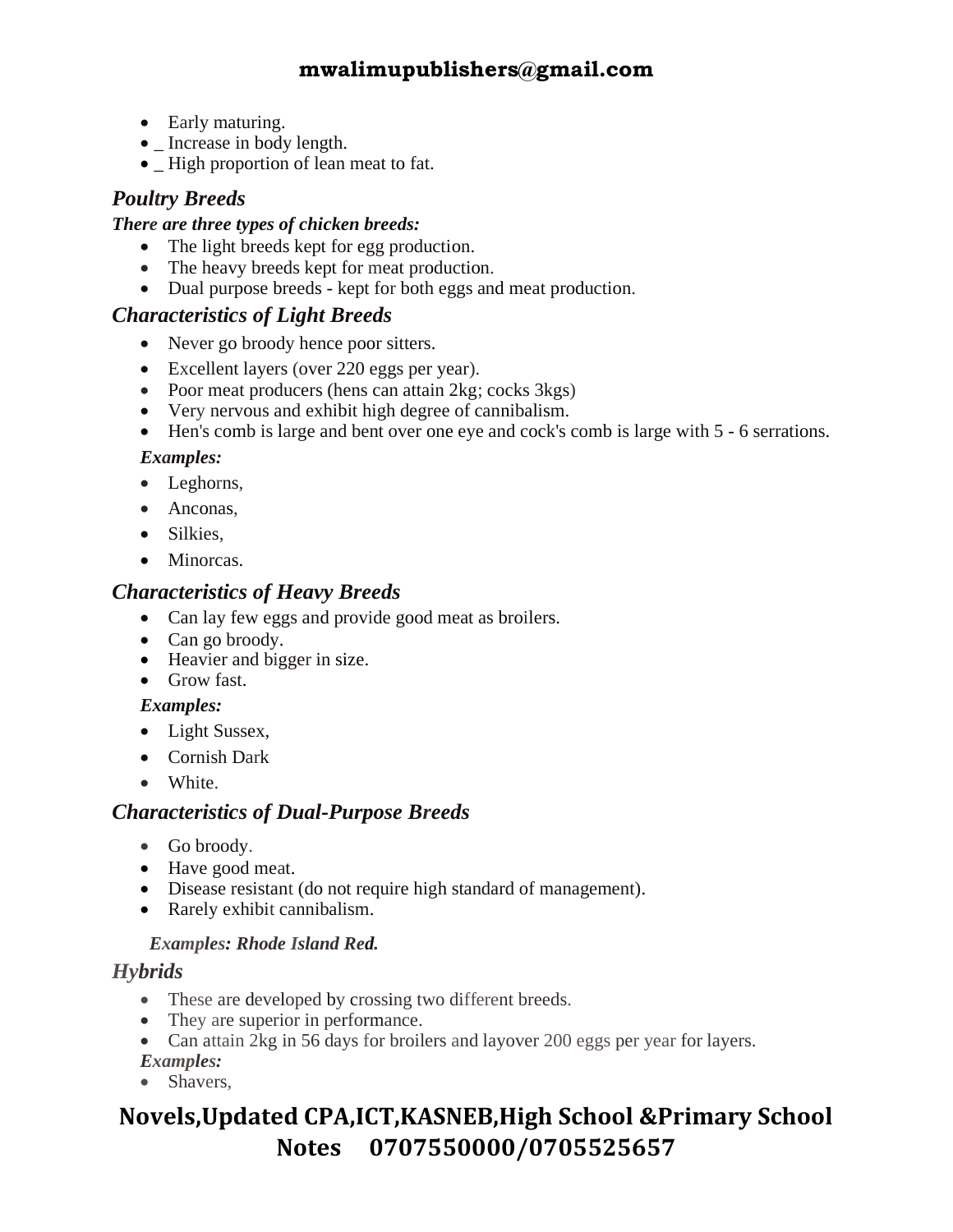- Early maturing.
- Increase in body length.
- High proportion of lean meat to fat.

#### *Poultry Breeds*

#### *There are three types of chicken breeds:*

- The light breeds kept for egg production.
- The heavy breeds kept for meat production.
- Dual purpose breeds kept for both eggs and meat production.

#### *Characteristics of Light Breeds*

- Never go broody hence poor sitters.
- Excellent layers (over 220 eggs per year).
- Poor meat producers (hens can attain 2kg; cocks 3kgs)
- Very nervous and exhibit high degree of cannibalism.
- Hen's comb is large and bent over one eye and cock's comb is large with 5 6 serrations.

#### *Examples:*

- Leghorns,
- Anconas,
- Silkies.
- Minorcas.

#### *Characteristics of Heavy Breeds*

- Can lay few eggs and provide good meat as broilers.
- Can go broody.
- Heavier and bigger in size.
- Grow fast.

#### *Examples:*

- Light Sussex,
- Cornish Dark
- White.

#### *Characteristics of Dual-Purpose Breeds*

- Go broody.
- Have good meat.
- Disease resistant (do not require high standard of management).
- Rarely exhibit cannibalism.

#### *Examples: Rhode Island Red.*

#### *Hybrids*

- These are developed by crossing two different breeds.
- They are superior in performance.
- Can attain 2kg in 56 days for broilers and layover 200 eggs per year for layers. *Examples:*
- Shavers,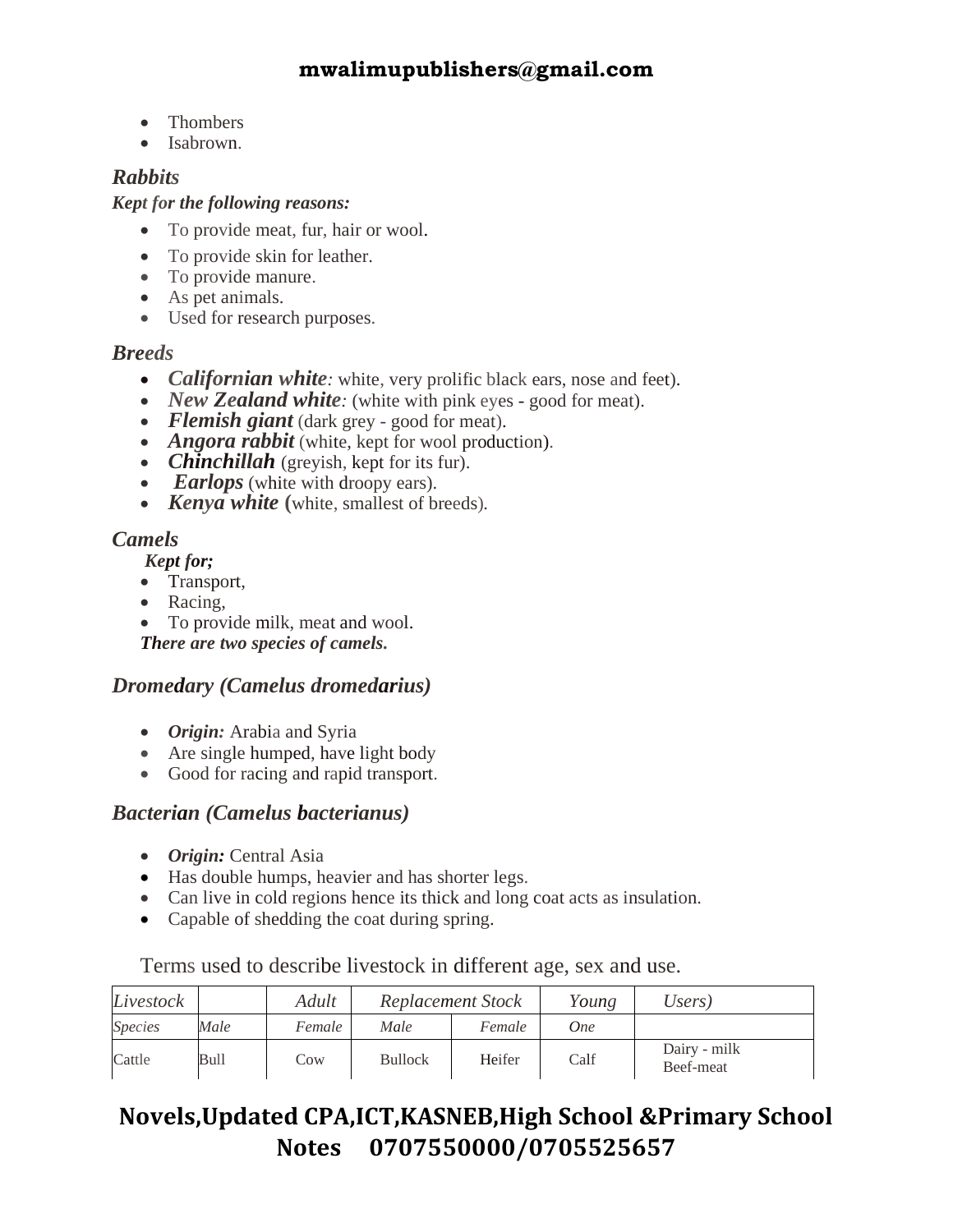- Thombers
- Isabrown.

#### *Rabbits*

#### *Kept for the following reasons:*

- To provide meat, fur, hair or wool.
- To provide skin for leather.
- To provide manure.
- As pet animals.
- Used for research purposes.

#### *Breeds*

- *Californian white*: white, very prolific black ears, nose and feet).
- *New Zealand white*: (white with pink eyes good for meat).
- *Flemish giant* (dark grey good for meat).
- *Angora rabbit* (white, kept for wool production).
- *Chinchillah* (greyish, kept for its fur).
- *Earlops* (white with droopy ears).
- *Kenya white* (white, smallest of breeds).

#### *Camels*

 *Kept for;*

- Transport,
- Racing,
- To provide milk, meat and wool.

*There are two species of camels.* 

#### *Dromedary (Camelus dromedarius)*

- *Origin:* Arabia and Syria
- Are single humped, have light body
- Good for racing and rapid transport.

#### *Bacterian (Camelus bacterianus)*

- *Origin:* Central Asia
- Has double humps, heavier and has shorter legs.
- Can live in cold regions hence its thick and long coat acts as insulation.
- Capable of shedding the coat during spring.

#### Terms used to describe livestock in different age, sex and use.

| Livestock      |      | Adult  | Replacement Stock |        | Young | Users)                    |
|----------------|------|--------|-------------------|--------|-------|---------------------------|
| <b>Species</b> | Male | Female | Male              | Female | One   |                           |
| Cattle         | Bull | Cow    | <b>Bullock</b>    | Heifer | Calf  | Dairy - milk<br>Beef-meat |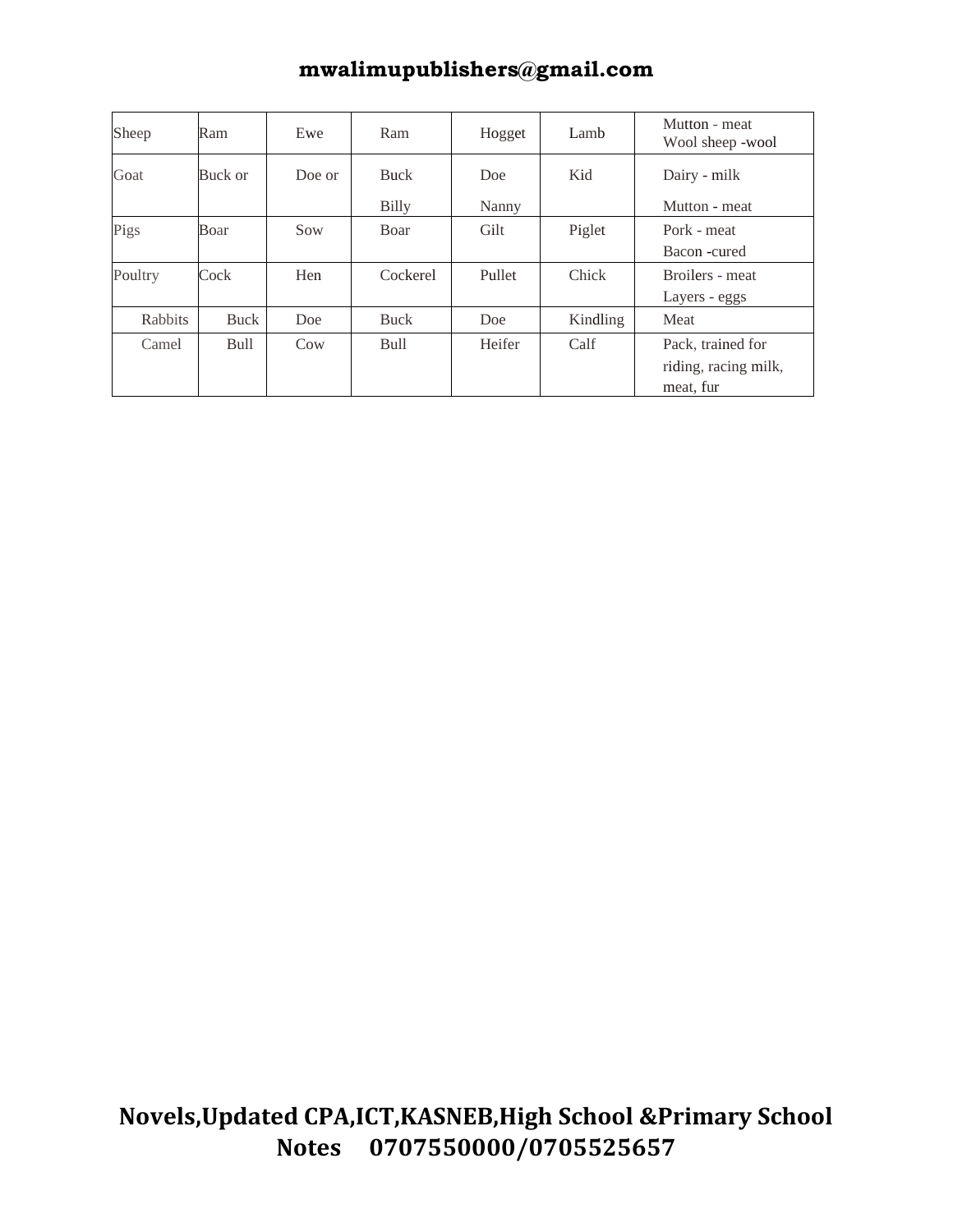| Sheep   | Ram         | Ewe    | Ram         | Hogget | Lamb     | Mutton - meat<br>Wool sheep -wool |
|---------|-------------|--------|-------------|--------|----------|-----------------------------------|
| Goat    | Buck or     | Doe or | <b>Buck</b> | Doe    | Kid      | Dairy - milk                      |
|         |             |        | Billy       | Nanny  |          | Mutton - meat                     |
| Pigs    | Boar        | Sow    | Boar        | Gilt   | Piglet   | Pork - meat                       |
|         |             |        |             |        |          | Bacon -cured                      |
| Poultry | Cock        | Hen    | Cockerel    | Pullet | Chick    | Broilers - meat                   |
|         |             |        |             |        |          | Layers - eggs                     |
| Rabbits | <b>Buck</b> | Doe    | <b>Buck</b> | Doe    | Kindling | Meat                              |
| Camel   | Bull        | Cow    | <b>Bull</b> | Heifer | Calf     | Pack, trained for                 |
|         |             |        |             |        |          | riding, racing milk,              |
|         |             |        |             |        |          | meat, fur                         |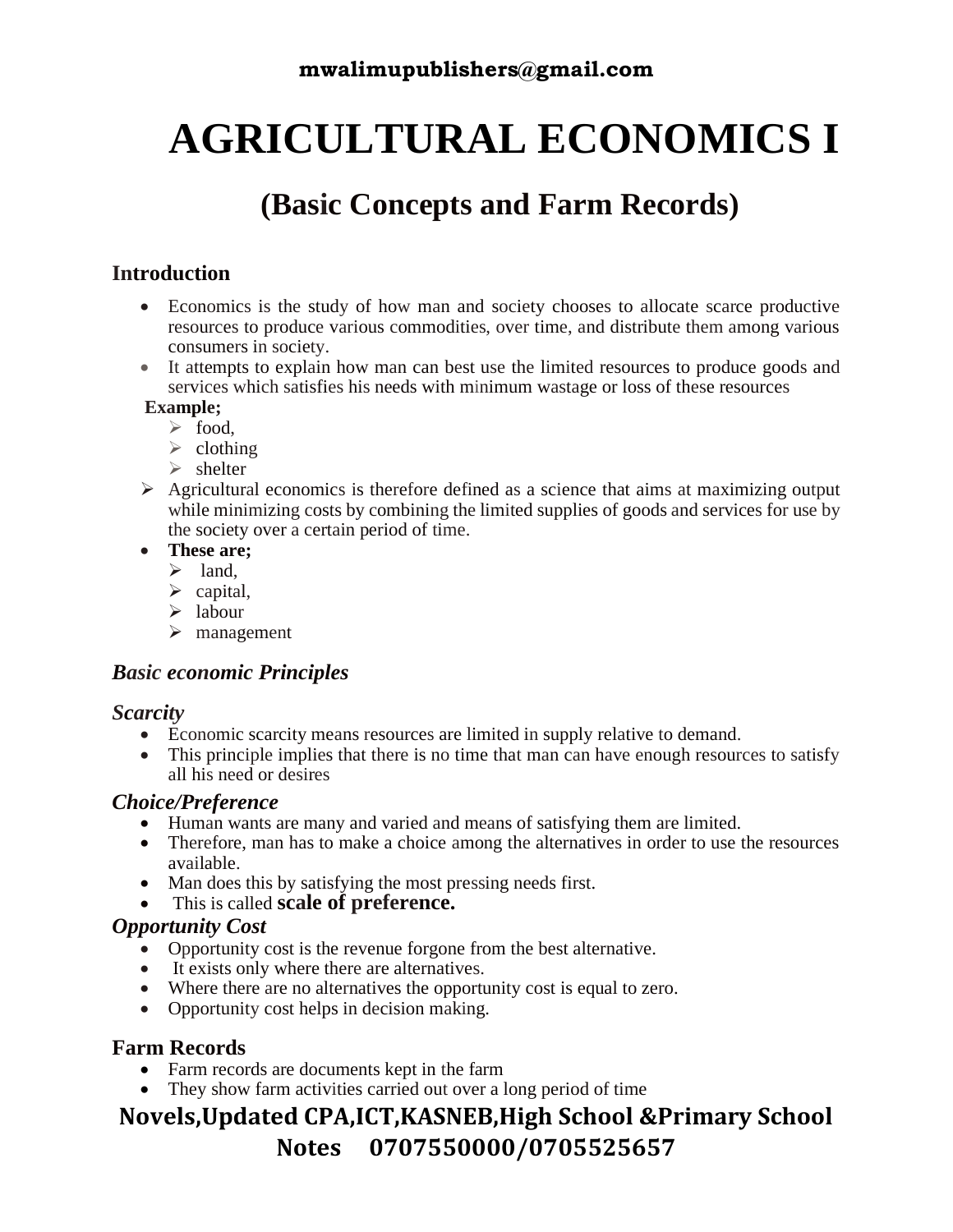## **AGRICULTURAL ECONOMICS I**

## **(Basic Concepts and Farm Records)**

#### **Introduction**

- Economics is the study of how man and society chooses to allocate scarce productive resources to produce various commodities, over time, and distribute them among various consumers in society.
- It attempts to explain how man can best use the limited resources to produce goods and services which satisfies his needs with minimum wastage or loss of these resources

#### **Example;**

- ➢ food,
- $\triangleright$  clothing
- $\triangleright$  shelter
- ➢ Agricultural economics is therefore defined as a science that aims at maximizing output while minimizing costs by combining the limited supplies of goods and services for use by the society over a certain period of time.
- **These are;** 
	- $\triangleright$  land,
	- $\triangleright$  capital,
	- $\triangleright$  labour
	- ➢ management

#### *Basic economic Principles*

#### *Scarcity*

- Economic scarcity means resources are limited in supply relative to demand.
- This principle implies that there is no time that man can have enough resources to satisfy all his need or desires

#### *Choice/Preference*

- Human wants are many and varied and means of satisfying them are limited.
- Therefore, man has to make a choice among the alternatives in order to use the resources available.
- Man does this by satisfying the most pressing needs first.
- This is called **scale of preference.**

#### *Opportunity Cost*

- Opportunity cost is the revenue forgone from the best alternative.
- It exists only where there are alternatives.
- Where there are no alternatives the opportunity cost is equal to zero.
- Opportunity cost helps in decision making.

#### **Farm Records**

- Farm records are documents kept in the farm
- They show farm activities carried out over a long period of time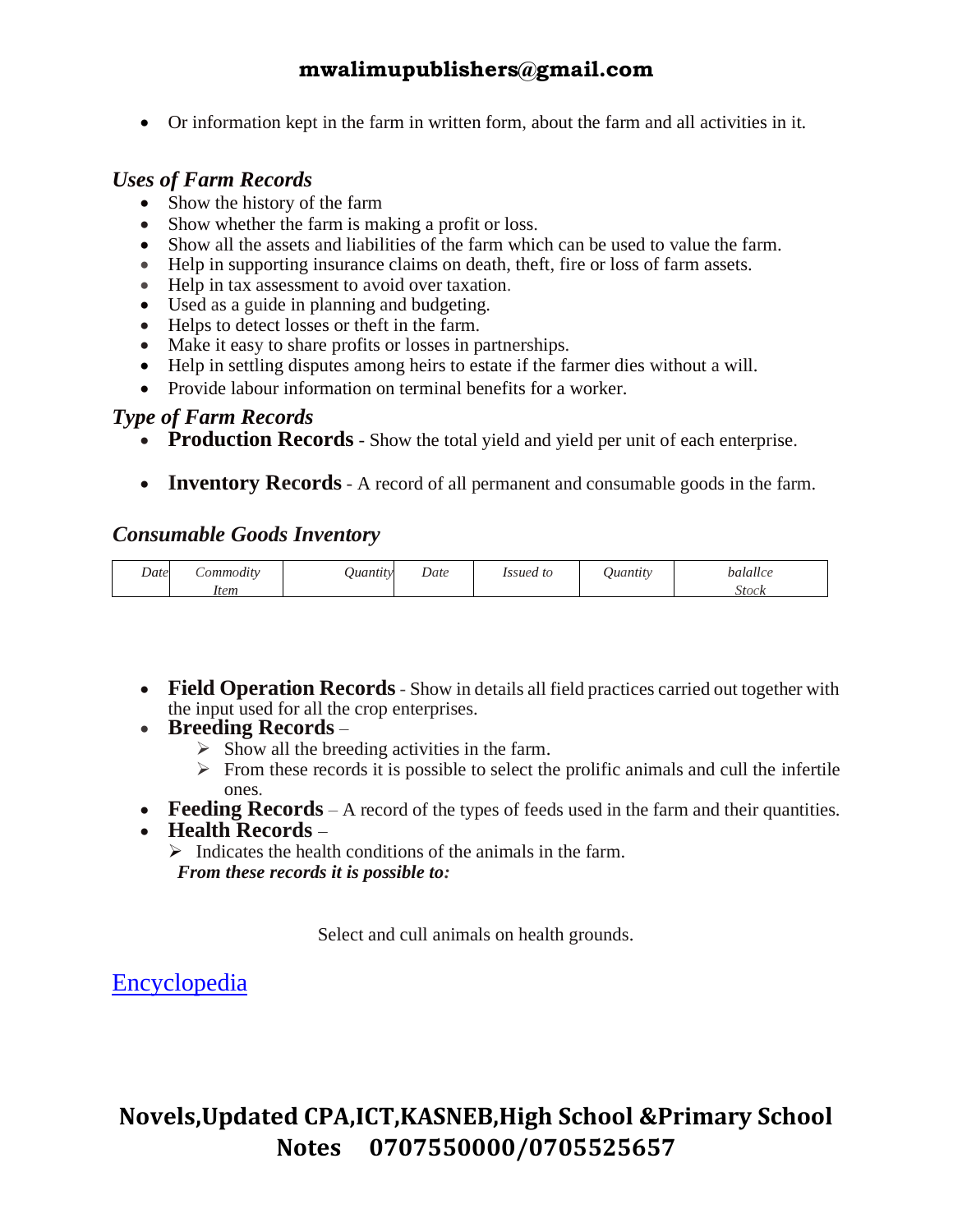• Or information kept in the farm in written form, about the farm and all activities in it.

#### *Uses of Farm Records*

- Show the history of the farm
- Show whether the farm is making a profit or loss.
- Show all the assets and liabilities of the farm which can be used to value the farm.
- Help in supporting insurance claims on death, theft, fire or loss of farm assets.
- Help in tax assessment to avoid over taxation.
- Used as a guide in planning and budgeting.
- Helps to detect losses or theft in the farm.
- Make it easy to share profits or losses in partnerships.
- Help in settling disputes among heirs to estate if the farmer dies without a will.
- Provide labour information on terminal benefits for a worker.

#### *Type of Farm Records*

- **Production Records** Show the total yield and yield per unit of each enterprise.
- **Inventory Records** A record of all permanent and consumable goods in the farm.

#### *Consumable Goods Inventory*

| Date | <i>_ommodity</i> | Juantity<br>~ | Date | <i>Issued to</i> | Juantitv | balallce |
|------|------------------|---------------|------|------------------|----------|----------|
|      | <i>Item</i>      |               |      |                  |          | stock    |

- **Field Operation Records** Show in details all field practices carried out together with the input used for all the crop enterprises.
- **Breeding Records**
	- $\triangleright$  Show all the breeding activities in the farm.
	- $\triangleright$  From these records it is possible to select the prolific animals and cull the infertile ones.
- **Feeding Records** A record of the types of feeds used in the farm and their quantities.
- **Health Records** –

 $\triangleright$  Indicates the health conditions of the animals in the farm.  *From these records it is possible to:* 

Select and cull animals on health grounds.

### [Encyclopedia](http://www.infoplease.com/encyclopedia/)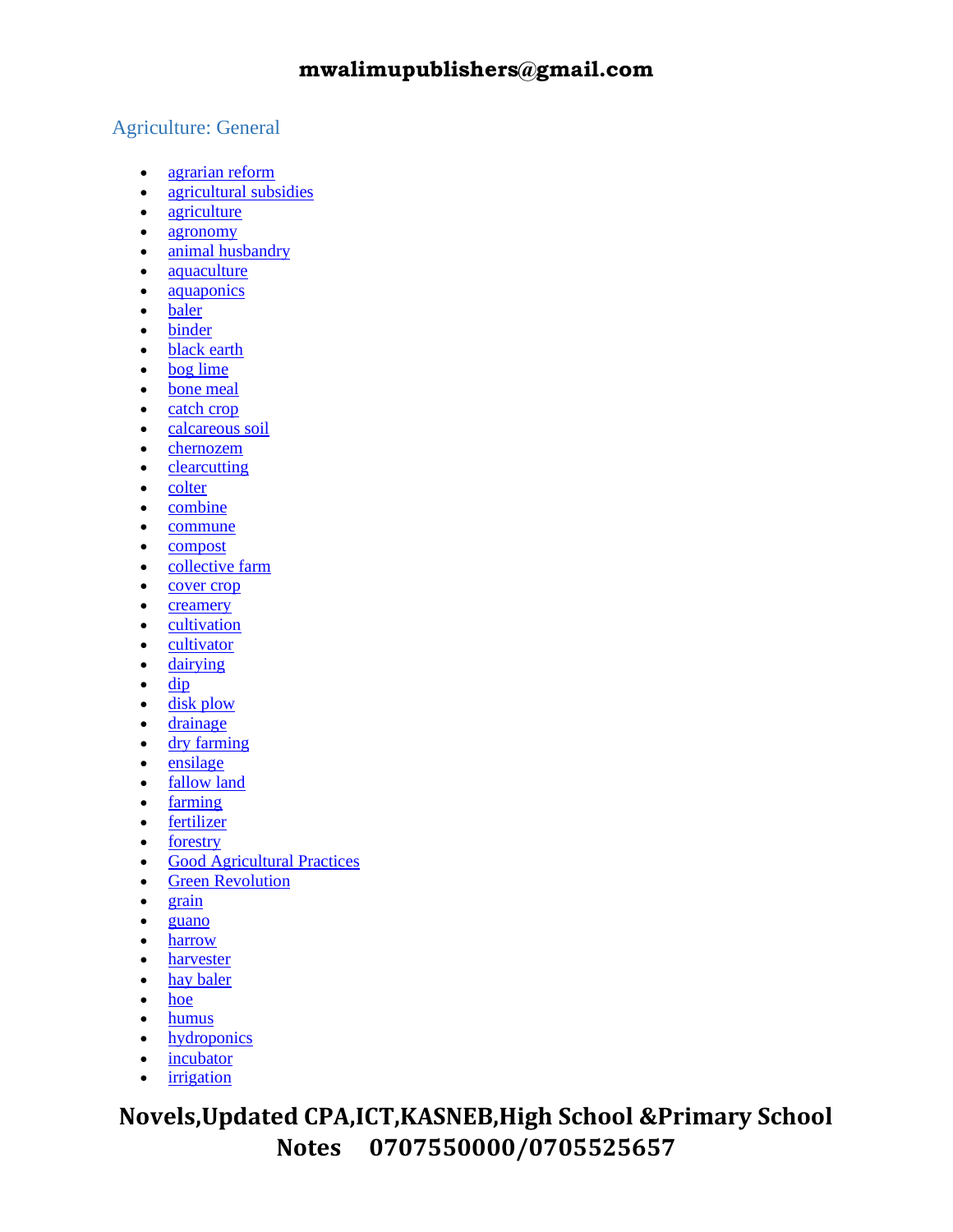#### Agriculture: General

- [agrarian reform](http://www.infoplease.com/encyclopedia/science/agrarian-reform.html)
- [agricultural subsidies](http://www.infoplease.com/encyclopedia/science/agricultural-subsidies.html)
- [agriculture](http://www.infoplease.com/encyclopedia/science/agriculture.html)
- [agronomy](http://www.infoplease.com/encyclopedia/science/agronomy.html)
- [animal husbandry](http://www.infoplease.com/encyclopedia/science/animal-husbandry.html)
- [aquaculture](http://www.infoplease.com/encyclopedia/science/aquaculture.html)
- **[aquaponics](http://www.infoplease.com/encyclopedia/science/aquaponics.html)**
- [baler](http://www.infoplease.com/encyclopedia/science/baler.html)
- [binder](http://www.infoplease.com/encyclopedia/science/binder.html)
- [black earth](http://www.infoplease.com/encyclopedia/science/black-earth.html)
- [bog lime](http://www.infoplease.com/encyclopedia/science/bog-lime.html)
- [bone meal](http://www.infoplease.com/encyclopedia/science/bone-meal.html)
- [catch crop](http://www.infoplease.com/encyclopedia/science/catch-crop.html)
- [calcareous soil](http://www.infoplease.com/encyclopedia/science/calcareous-soil.html)
- [chernozem](http://www.infoplease.com/encyclopedia/science/chernozem.html)
- [clearcutting](http://www.infoplease.com/encyclopedia/science/clearcutting.html)
- [colter](http://www.infoplease.com/encyclopedia/science/colter.html)
- [combine](http://www.infoplease.com/encyclopedia/science/combine.html)
- [commune](http://www.infoplease.com/encyclopedia/science/commune-agriculture.html)
- [compost](http://www.infoplease.com/encyclopedia/science/compost.html)
- [collective farm](http://www.infoplease.com/encyclopedia/science/collective-farm.html)
- [cover crop](http://www.infoplease.com/encyclopedia/science/cover-crop.html)
- [creamery](http://www.infoplease.com/encyclopedia/science/creamery.html)
- [cultivation](http://www.infoplease.com/encyclopedia/science/cultivation.html)
- [cultivator](http://www.infoplease.com/encyclopedia/science/cultivator.html)
- [dairying](http://www.infoplease.com/encyclopedia/science/dairying.html)
- $\bullet$  [dip](http://www.infoplease.com/encyclopedia/science/dip.html)
- [disk plow](http://www.infoplease.com/encyclopedia/science/disk-plow.html)
- [drainage](http://www.infoplease.com/encyclopedia/science/drainage-agriculture.html)
- [dry farming](http://www.infoplease.com/encyclopedia/science/dry-farming.html)
- [ensilage](http://www.infoplease.com/encyclopedia/science/ensilage.html)
- [fallow land](http://www.infoplease.com/encyclopedia/science/fallow-land.html)
- [farming](http://www.infoplease.com/encyclopedia/science/farming-agriculture.html)
- [fertilizer](http://www.infoplease.com/encyclopedia/science/fertilizer.html)
- [forestry](http://www.infoplease.com/encyclopedia/science/forestry.html)
- [Good Agricultural Practices](http://www.infoplease.com/encyclopedia/science/good-agricultural-practices.html)
- [Green Revolution](http://www.infoplease.com/encyclopedia/science/green-revolution.html)
- [grain](http://www.infoplease.com/encyclopedia/science/grain-agriculture.html)
- [guano](http://www.infoplease.com/encyclopedia/science/guano.html)
- [harrow](http://www.infoplease.com/encyclopedia/science/harrow-agriculture.html)
- [harvester](http://www.infoplease.com/encyclopedia/science/harvester.html)
- [hay baler](http://www.infoplease.com/encyclopedia/science/hay-baler.html)
- [hoe](http://www.infoplease.com/encyclopedia/science/hoe.html)
- [humus](http://www.infoplease.com/encyclopedia/science/humus.html)
- [hydroponics](http://www.infoplease.com/encyclopedia/science/hydroponics.html)
- [incubator](http://www.infoplease.com/encyclopedia/science/incubator.html)
- <u>[irrigation](http://www.infoplease.com/encyclopedia/science/irrigation.html)</u>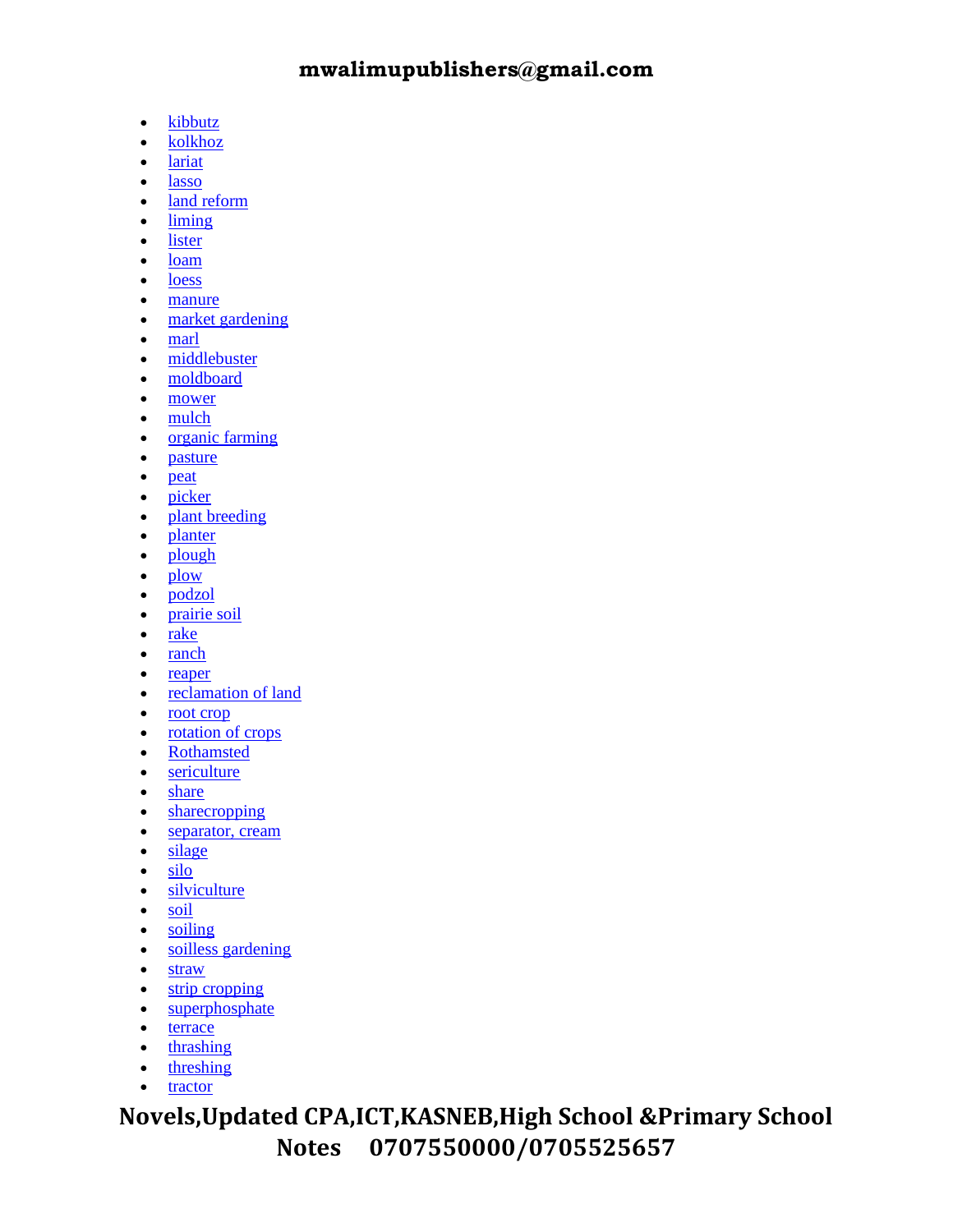- [kibbutz](http://www.infoplease.com/encyclopedia/science/kibbutz.html)
- [kolkhoz](http://www.infoplease.com/encyclopedia/science/kolkhoz.html)
- [lariat](http://www.infoplease.com/encyclopedia/science/lariat.html)
- [lasso](http://www.infoplease.com/encyclopedia/science/lasso.html)
- [land reform](http://www.infoplease.com/encyclopedia/science/land-reform.html)
- [liming](http://www.infoplease.com/encyclopedia/science/liming.html)
- [lister](http://www.infoplease.com/encyclopedia/science/lister.html)
- [loam](http://www.infoplease.com/encyclopedia/science/loam.html)
- [loess](http://www.infoplease.com/encyclopedia/science/loess.html)
- [manure](http://www.infoplease.com/encyclopedia/science/manure.html)
- [market gardening](http://www.infoplease.com/encyclopedia/science/market-gardening.html)
- [marl](http://www.infoplease.com/encyclopedia/science/marl-type-soil.html)
- [middlebuster](http://www.infoplease.com/encyclopedia/science/middlebuster.html)
- [moldboard](http://www.infoplease.com/encyclopedia/science/moldboard.html)
- [mower](http://www.infoplease.com/encyclopedia/science/mower.html)
- [mulch](http://www.infoplease.com/encyclopedia/science/mulch.html)
- [organic farming](http://www.infoplease.com/encyclopedia/science/organic-farming.html)
- [pasture](http://www.infoplease.com/encyclopedia/science/pasture.html)
- [peat](http://www.infoplease.com/encyclopedia/science/peat.html)
- [picker](http://www.infoplease.com/encyclopedia/science/picker.html)
- [plant breeding](http://www.infoplease.com/encyclopedia/science/plant-breeding.html)
- [planter](http://www.infoplease.com/encyclopedia/science/planter.html)
- [plough](http://www.infoplease.com/encyclopedia/science/plough.html)
- [plow](http://www.infoplease.com/encyclopedia/science/plow.html)
- [podzol](http://www.infoplease.com/encyclopedia/science/podzol.html)
- [prairie soil](http://www.infoplease.com/encyclopedia/science/prairie-soil.html)
- [rake](http://www.infoplease.com/encyclopedia/science/rake.html)
- [ranch](http://www.infoplease.com/encyclopedia/science/ranch.html)
- [reaper](http://www.infoplease.com/encyclopedia/science/reaper.html)
- [reclamation of land](http://www.infoplease.com/encyclopedia/science/reclamation-land.html)
- [root crop](http://www.infoplease.com/encyclopedia/science/root-crop.html)
- <u>[rotation of crops](http://www.infoplease.com/encyclopedia/science/rotation-crops.html)</u>
- [Rothamsted](http://www.infoplease.com/encyclopedia/science/rothamsted.html)
- [sericulture](http://www.infoplease.com/encyclopedia/science/sericulture.html)
- [share](http://www.infoplease.com/encyclopedia/science/share-agriculture.html)
- [sharecropping](http://www.infoplease.com/encyclopedia/science/sharecropping.html)
- [separator, cream](http://www.infoplease.com/encyclopedia/science/separator-cream.html)
- [silage](http://www.infoplease.com/encyclopedia/science/silage.html)
- [silo](http://www.infoplease.com/encyclopedia/science/silo.html)
- [silviculture](http://www.infoplease.com/encyclopedia/science/silviculture.html)
- [soil](http://www.infoplease.com/encyclopedia/science/soil.html)
- [soiling](http://www.infoplease.com/encyclopedia/science/soiling.html)
- [soilless gardening](http://www.infoplease.com/encyclopedia/science/soilless-gardening.html)
- [straw](http://www.infoplease.com/encyclopedia/science/straw.html)
- [strip cropping](http://www.infoplease.com/encyclopedia/science/strip-cropping.html)
- [superphosphate](http://www.infoplease.com/encyclopedia/science/superphosphate.html)
- [terrace](http://www.infoplease.com/encyclopedia/science/terrace.html)
- [thrashing](http://www.infoplease.com/encyclopedia/science/thrashing.html)
- [threshing](http://www.infoplease.com/encyclopedia/science/threshing.html)
- [tractor](http://www.infoplease.com/encyclopedia/science/tractor.html)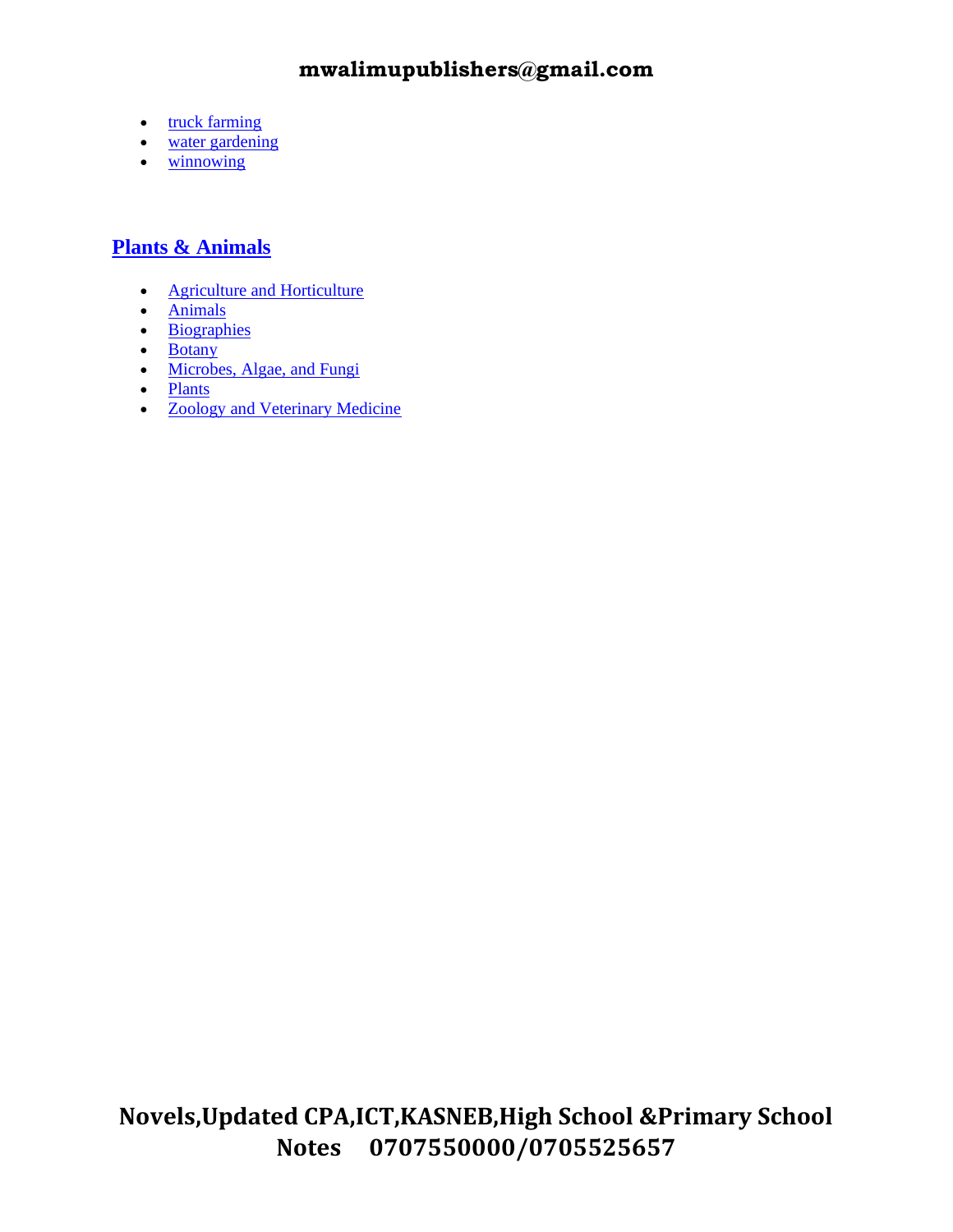- [truck farming](http://www.infoplease.com/encyclopedia/science/truck-farming.html)
- [water gardening](http://www.infoplease.com/encyclopedia/science/water-gardening.html)
- [winnowing](http://www.infoplease.com/encyclopedia/science/winnowing.html)

#### **[Plants & Animals](http://www.infoplease.com/encyclopedia/plants-animals.html)**

- **[Agriculture and Horticulture](http://www.infoplease.com/encyclopedia/0paaghort.html)**
- [Animals](http://www.infoplease.com/encyclopedia/0paanim.html)
- [Biographies](http://www.infoplease.com/encyclopedia/0pabio.html)
- [Botany](http://www.infoplease.com/encyclopedia/0pabot.html)
- [Microbes, Algae, and Fungi](http://www.infoplease.com/encyclopedia/0pamon.html)
- [Plants](http://www.infoplease.com/encyclopedia/0paplant.html)
- [Zoology and Veterinary Medicine](http://www.infoplease.com/encyclopedia/0pazoovet.html)